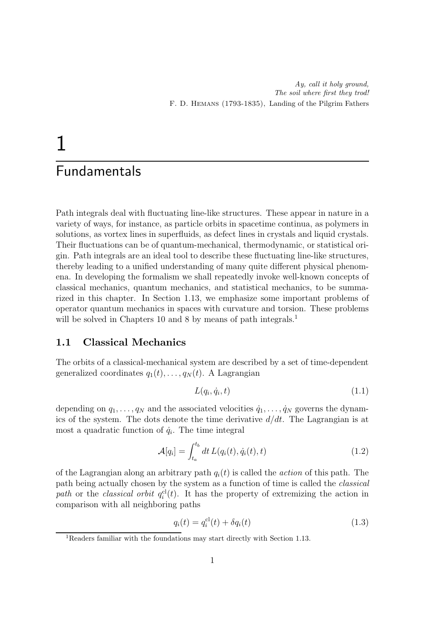# 1

# Fundamentals

Path integrals deal with fluctuating line-like structures. These appear in nature in a variety of ways, for instance, as particle orbits in spacetime continua, as polymers in solutions, as vortex lines in superfluids, as defect lines in crystals and liquid crystals. Their fluctuations can be of quantum-mechanical, thermodynamic, or statistical origin. Path integrals are an ideal tool to describe these fluctuating line-like structures, thereby leading to a unified understanding of many quite different physical phenomena. In developing the formalism we shall repeatedly invoke well-known concepts of classical mechanics, quantum mechanics, and statistical mechanics, to be summarized in this chapter. In Section 1.13, we emphasize some important problems of operator quantum mechanics in spaces with curvature and torsion. These problems will be solved in Chapters 10 and 8 by means of path integrals.<sup>1</sup>

# 1.1 Classical Mechanics

The orbits of a classical-mechanical system are described by a set of time-dependent generalized coordinates  $q_1(t), \ldots, q_N(t)$ . A Lagrangian

$$
L(q_i, \dot{q}_i, t) \tag{1.1}
$$

depending on  $q_1, \ldots, q_N$  and the associated velocities  $\dot{q}_1, \ldots, \dot{q}_N$  governs the dynamics of the system. The dots denote the time derivative  $d/dt$ . The Lagrangian is at most a quadratic function of  $\dot{q}_i$ . The time integral

$$
\mathcal{A}[q_i] = \int_{t_a}^{t_b} dt \, L(q_i(t), \dot{q}_i(t), t) \tag{1.2}
$$

of the Lagrangian along an arbitrary path  $q_i(t)$  is called the *action* of this path. The path being actually chosen by the system as a function of time is called the classical path or the classical orbit  $q_i^{cl}(t)$ . It has the property of extremizing the action in comparison with all neighboring paths

$$
q_i(t) = q_i^{cl}(t) + \delta q_i(t)
$$
\n
$$
(1.3)
$$

<sup>&</sup>lt;sup>1</sup>Readers familiar with the foundations may start directly with Section 1.13.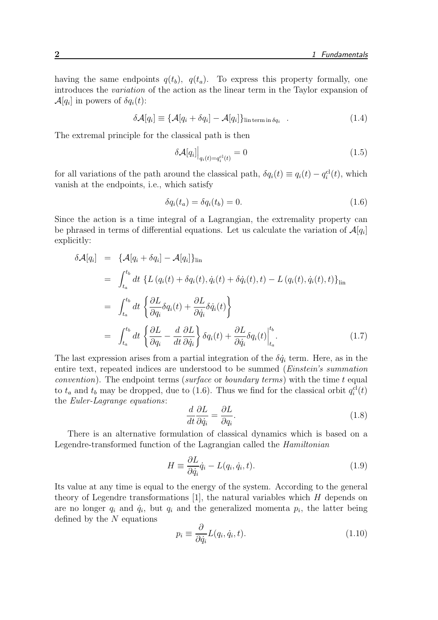having the same endpoints  $q(t_b)$ ,  $q(t_a)$ . To express this property formally, one introduces the variation of the action as the linear term in the Taylor expansion of  $\mathcal{A}[q_i]$  in powers of  $\delta q_i(t)$ :

$$
\delta \mathcal{A}[q_i] \equiv \{ \mathcal{A}[q_i + \delta q_i] - \mathcal{A}[q_i] \}_{\text{lin term in } \delta q_i} \quad . \tag{1.4}
$$

The extremal principle for the classical path is then

$$
\delta \mathcal{A}[q_i] \Big|_{q_i(t) = q_i^{\mathrm{cl}}(t)} = 0 \tag{1.5}
$$

for all variations of the path around the classical path,  $\delta q_i(t) \equiv q_i(t) - q_i^{cl}(t)$ , which vanish at the endpoints, i.e., which satisfy

$$
\delta q_i(t_a) = \delta q_i(t_b) = 0. \tag{1.6}
$$

Since the action is a time integral of a Lagrangian, the extremality property can be phrased in terms of differential equations. Let us calculate the variation of  $\mathcal{A}[q_i]$ explicitly:

$$
\delta \mathcal{A}[q_i] = \{ \mathcal{A}[q_i + \delta q_i] - \mathcal{A}[q_i] \}_{\text{lin}}
$$
  
\n
$$
= \int_{t_a}^{t_b} dt \{ L (q_i(t) + \delta q_i(t), \dot{q}_i(t) + \delta \dot{q}_i(t), t) - L (q_i(t), \dot{q}_i(t), t) \}_{\text{lin}}
$$
  
\n
$$
= \int_{t_a}^{t_b} dt \{ \frac{\partial L}{\partial q_i} \delta q_i(t) + \frac{\partial L}{\partial \dot{q}_i} \delta \dot{q}_i(t) \}
$$
  
\n
$$
= \int_{t_a}^{t_b} dt \{ \frac{\partial L}{\partial q_i} - \frac{d}{dt} \frac{\partial L}{\partial \dot{q}_i} \} \delta q_i(t) + \frac{\partial L}{\partial \dot{q}_i} \delta q_i(t) \Big|_{t_a}^{t_b}.
$$
 (1.7)

The last expression arises from a partial integration of the  $\delta \dot{q}_i$  term. Here, as in the entire text, repeated indices are understood to be summed (Einstein's summation *convention*). The endpoint terms (surface or *boundary terms*) with the time  $t$  equal to  $t_a$  and  $t_b$  may be dropped, due to (1.6). Thus we find for the classical orbit  $q_i^{\text{cl}}(t)$ the Euler-Lagrange equations:

$$
\frac{d}{dt}\frac{\partial L}{\partial \dot{q}_i} = \frac{\partial L}{\partial q_i}.\tag{1.8}
$$

There is an alternative formulation of classical dynamics which is based on a Legendre-transformed function of the Lagrangian called the Hamiltonian

$$
H \equiv \frac{\partial L}{\partial \dot{q}_i} \dot{q}_i - L(q_i, \dot{q}_i, t). \tag{1.9}
$$

Its value at any time is equal to the energy of the system. According to the general theory of Legendre transformations [1], the natural variables which  $H$  depends on are no longer  $q_i$  and  $\dot{q}_i$ , but  $q_i$  and the generalized momenta  $p_i$ , the latter being defined by the  $N$  equations

$$
p_i \equiv \frac{\partial}{\partial \dot{q}_i} L(q_i, \dot{q}_i, t). \tag{1.10}
$$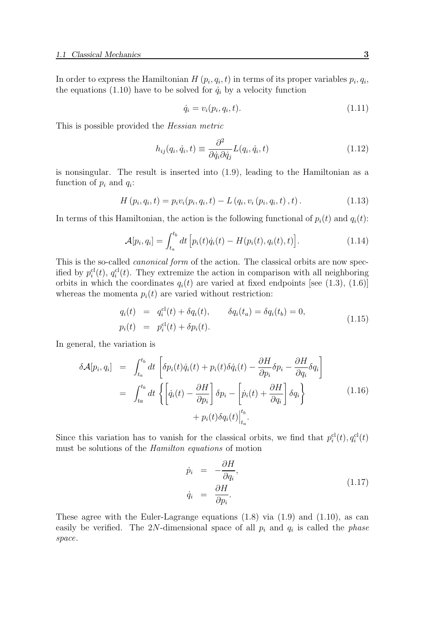In order to express the Hamiltonian  $H(p_i, q_i, t)$  in terms of its proper variables  $p_i, q_i$ , the equations (1.10) have to be solved for  $\dot{q}_i$  by a velocity function

$$
\dot{q}_i = v_i(p_i, q_i, t). \tag{1.11}
$$

This is possible provided the Hessian metric

$$
h_{ij}(q_i, \dot{q}_i, t) \equiv \frac{\partial^2}{\partial \dot{q}_i \partial \dot{q}_j} L(q_i, \dot{q}_i, t)
$$
\n(1.12)

is nonsingular. The result is inserted into (1.9), leading to the Hamiltonian as a function of  $p_i$  and  $q_i$ :

$$
H(p_i, q_i, t) = p_i v_i(p_i, q_i, t) - L(q_i, v_i(p_i, q_i, t), t).
$$
\n(1.13)

In terms of this Hamiltonian, the action is the following functional of  $p_i(t)$  and  $q_i(t)$ :

$$
\mathcal{A}[p_i, q_i] = \int_{t_a}^{t_b} dt \left[ p_i(t)\dot{q}_i(t) - H(p_i(t), q_i(t), t) \right]. \tag{1.14}
$$

This is the so-called *canonical form* of the action. The classical orbits are now specified by  $p_i^{\text{cl}}(t)$ ,  $q_i^{\text{cl}}(t)$ . They extremize the action in comparison with all neighboring orbits in which the coordinates  $q_i(t)$  are varied at fixed endpoints [see (1.3), (1.6)] whereas the momenta  $p_i(t)$  are varied without restriction:

$$
q_i(t) = q_i^{cl}(t) + \delta q_i(t), \qquad \delta q_i(t_a) = \delta q_i(t_b) = 0, p_i(t) = p_i^{cl}(t) + \delta p_i(t).
$$
 (1.15)

In general, the variation is

$$
\delta \mathcal{A}[p_i, q_i] = \int_{t_a}^{t_b} dt \left[ \delta p_i(t) \dot{q}_i(t) + p_i(t) \delta \dot{q}_i(t) - \frac{\partial H}{\partial p_i} \delta p_i - \frac{\partial H}{\partial q_i} \delta q_i \right]
$$
  

$$
= \int_{t_a}^{t_b} dt \left\{ \left[ \dot{q}_i(t) - \frac{\partial H}{\partial p_i} \right] \delta p_i - \left[ \dot{p}_i(t) + \frac{\partial H}{\partial q_i} \right] \delta q_i \right\}
$$
(1.16)  

$$
+ p_i(t) \delta q_i(t) \Big|_{t_a}^{t_b}.
$$

Since this variation has to vanish for the classical orbits, we find that  $p_i^{\text{cl}}(t), q_i^{\text{cl}}(t)$ must be solutions of the Hamilton equations of motion

$$
\dot{p}_i = -\frac{\partial H}{\partial q_i}, \n\dot{q}_i = \frac{\partial H}{\partial p_i}.
$$
\n(1.17)

These agree with the Euler-Lagrange equations (1.8) via (1.9) and (1.10), as can easily be verified. The 2N-dimensional space of all  $p_i$  and  $q_i$  is called the *phase* space.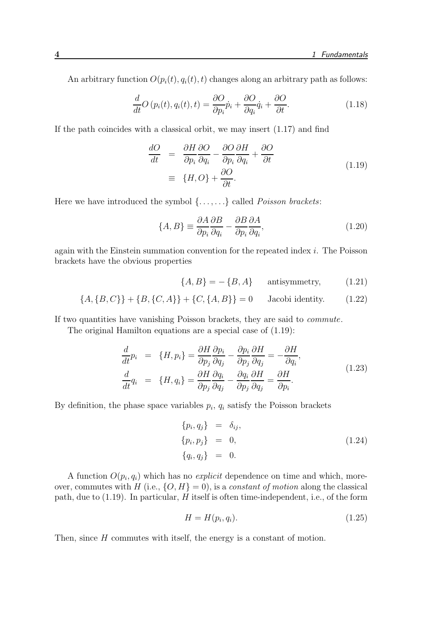An arbitrary function  $O(p_i(t), q_i(t), t)$  changes along an arbitrary path as follows:

$$
\frac{d}{dt}O(p_i(t), q_i(t), t) = \frac{\partial O}{\partial p_i}\dot{p}_i + \frac{\partial O}{\partial q_i}\dot{q}_i + \frac{\partial O}{\partial t}.
$$
\n(1.18)

If the path coincides with a classical orbit, we may insert (1.17) and find

$$
\frac{dO}{dt} = \frac{\partial H}{\partial p_i} \frac{\partial O}{\partial q_i} - \frac{\partial O}{\partial p_i} \frac{\partial H}{\partial q_i} + \frac{\partial O}{\partial t}
$$
\n
$$
\equiv \{H, O\} + \frac{\partial O}{\partial t}.
$$
\n(1.19)

Here we have introduced the symbol  $\{\ldots,\ldots\}$  called *Poisson brackets*:

$$
\{A, B\} \equiv \frac{\partial A}{\partial p_i} \frac{\partial B}{\partial q_i} - \frac{\partial B}{\partial p_i} \frac{\partial A}{\partial q_i},\tag{1.20}
$$

again with the Einstein summation convention for the repeated index i. The Poisson brackets have the obvious properties

$$
\{A, B\} = -\{B, A\} \qquad \text{antisymmetry}, \tag{1.21}
$$

$$
\{A, \{B, C\}\} + \{B, \{C, A\}\} + \{C, \{A, B\}\} = 0
$$
 Jacobi identity. (1.22)

If two quantities have vanishing Poisson brackets, they are said to commute.

The original Hamilton equations are a special case of (1.19):

$$
\frac{d}{dt}p_i = \{H, p_i\} = \frac{\partial H}{\partial p_j} \frac{\partial p_i}{\partial q_j} - \frac{\partial p_i}{\partial p_j} \frac{\partial H}{\partial q_j} = -\frac{\partial H}{\partial q_i}, \n\frac{d}{dt}q_i = \{H, q_i\} = \frac{\partial H}{\partial p_j} \frac{\partial q_i}{\partial q_j} - \frac{\partial q_i}{\partial p_j} \frac{\partial H}{\partial q_j} = \frac{\partial H}{\partial p_i}.
$$
\n(1.23)

By definition, the phase space variables  $p_i$ ,  $q_i$  satisfy the Poisson brackets

$$
\{p_i, q_j\} = \delta_{ij}, \n\{p_i, p_j\} = 0, \n\{q_i, q_j\} = 0.
$$
\n(1.24)

A function  $O(p_i, q_i)$  which has no *explicit* dependence on time and which, moreover, commutes with H (i.e.,  $\{O, H\} = 0$ ), is a *constant of motion* along the classical path, due to  $(1.19)$ . In particular, H itself is often time-independent, i.e., of the form

$$
H = H(p_i, q_i). \tag{1.25}
$$

Then, since H commutes with itself, the energy is a constant of motion.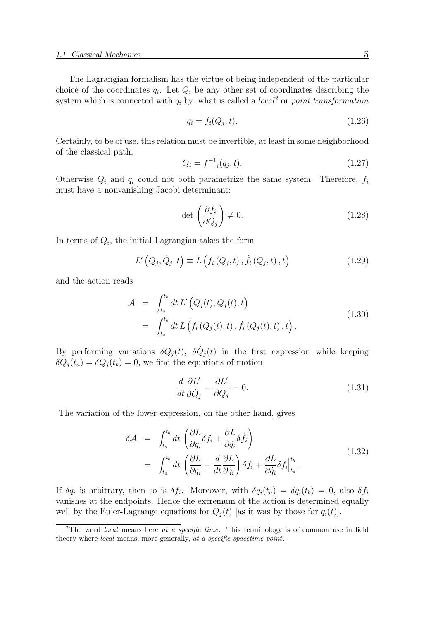The Lagrangian formalism has the virtue of being independent of the particular choice of the coordinates  $q_i$ . Let  $Q_i$  be any other set of coordinates describing the system which is connected with  $q_i$  by what is called a *local*<sup>2</sup> or *point transformation* 

$$
q_i = f_i(Q_j, t). \tag{1.26}
$$

Certainly, to be of use, this relation must be invertible, at least in some neighborhood of the classical path,

$$
Q_i = f^{-1}_i(q_j, t). \tag{1.27}
$$

Otherwise  $Q_i$  and  $q_i$  could not both parametrize the same system. Therefore,  $f_i$ must have a nonvanishing Jacobi determinant:

$$
\det\left(\frac{\partial f_i}{\partial Q_j}\right) \neq 0. \tag{1.28}
$$

In terms of  $Q_i$ , the initial Lagrangian takes the form

$$
L'\left(Q_j, \dot{Q}_j, t\right) \equiv L\left(f_i\left(Q_j, t\right), \dot{f}_i\left(Q_j, t\right), t\right) \tag{1.29}
$$

and the action reads

$$
\mathcal{A} = \int_{t_a}^{t_b} dt \, L' \left( Q_j(t), \dot{Q}_j(t), t \right) \n= \int_{t_a}^{t_b} dt \, L \left( f_i \left( Q_j(t), t \right), \dot{f}_i \left( Q_j(t), t \right), t \right).
$$
\n(1.30)

By performing variations  $\delta Q_j(t)$ ,  $\delta \dot{Q}_j(t)$  in the first expression while keeping  $\delta Q_j(t_a) = \delta Q_j(t_b) = 0$ , we find the equations of motion

$$
\frac{d}{dt}\frac{\partial L'}{\partial \dot{Q}_j} - \frac{\partial L'}{\partial Q_j} = 0.
$$
\n(1.31)

The variation of the lower expression, on the other hand, gives

$$
\delta \mathcal{A} = \int_{t_a}^{t_b} dt \left( \frac{\partial L}{\partial q_i} \delta f_i + \frac{\partial L}{\partial \dot{q}_i} \delta \dot{f}_i \right)
$$
  
= 
$$
\int_{t_a}^{t_b} dt \left( \frac{\partial L}{\partial q_i} - \frac{d}{dt} \frac{\partial L}{\partial \dot{q}_i} \right) \delta f_i + \frac{\partial L}{\partial \dot{q}_i} \delta f_i \Big|_{t_a}^{t_b}.
$$
 (1.32)

If  $\delta q_i$  is arbitrary, then so is  $\delta f_i$ . Moreover, with  $\delta q_i(t_a) = \delta q_i(t_b) = 0$ , also  $\delta f_i$ vanishes at the endpoints. Hence the extremum of the action is determined equally well by the Euler-Lagrange equations for  $Q_i(t)$  [as it was by those for  $q_i(t)$ ].

<sup>&</sup>lt;sup>2</sup>The word *local* means here at a specific time. This terminology is of common use in field theory where local means, more generally, at a specific spacetime point.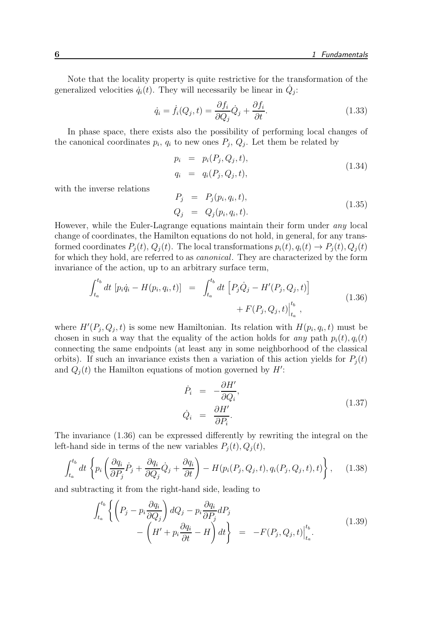Note that the locality property is quite restrictive for the transformation of the generalized velocities  $\dot{q}_i(t)$ . They will necessarily be linear in  $\dot{Q}_j$ :

$$
\dot{q}_i = \dot{f}_i(Q_j, t) = \frac{\partial f_i}{\partial Q_j} \dot{Q}_j + \frac{\partial f_i}{\partial t}.
$$
\n(1.33)

In phase space, there exists also the possibility of performing local changes of the canonical coordinates  $p_i$ ,  $q_i$  to new ones  $P_j$ ,  $Q_j$ . Let them be related by

$$
p_i = p_i(P_j, Q_j, t), q_i = q_i(P_j, Q_j, t),
$$
 (1.34)

with the inverse relations

$$
P_j = P_j(p_i, q_i, t), Q_j = Q_j(p_i, q_i, t).
$$
 (1.35)

However, while the Euler-Lagrange equations maintain their form under any local change of coordinates, the Hamilton equations do not hold, in general, for any transformed coordinates  $P_i(t)$ ,  $Q_i(t)$ . The local transformations  $p_i(t)$ ,  $q_i(t) \rightarrow P_i(t)$ ,  $Q_i(t)$ for which they hold, are referred to as canonical. They are characterized by the form invariance of the action, up to an arbitrary surface term,

$$
\int_{t_a}^{t_b} dt \, [p_i \dot{q}_i - H(p_i, q_i, t)] = \int_{t_a}^{t_b} dt \, [P_j \dot{Q}_j - H'(P_j, Q_j, t)] + F(P_j, Q_j, t)|_{t_a}^{t_b}, \qquad (1.36)
$$

where  $H'(P_j, Q_j, t)$  is some new Hamiltonian. Its relation with  $H(p_i, q_i, t)$  must be chosen in such a way that the equality of the action holds for any path  $p_i(t)$ ,  $q_i(t)$ connecting the same endpoints (at least any in some neighborhood of the classical orbits). If such an invariance exists then a variation of this action yields for  $P_i(t)$ and  $Q_j(t)$  the Hamilton equations of motion governed by  $H'$ :

$$
\dot{P}_i = -\frac{\partial H'}{\partial Q_i}, \n\dot{Q}_i = \frac{\partial H'}{\partial P_i}.
$$
\n(1.37)

The invariance (1.36) can be expressed differently by rewriting the integral on the left-hand side in terms of the new variables  $P_i(t)$ ,  $Q_i(t)$ ,

$$
\int_{t_a}^{t_b} dt \left\{ p_i \left( \frac{\partial q_i}{\partial P_j} \dot{P}_j + \frac{\partial q_i}{\partial Q_j} \dot{Q}_j + \frac{\partial q_i}{\partial t} \right) - H(p_i(P_j, Q_j, t), q_i(P_j, Q_j, t), t) \right\}, \quad (1.38)
$$

and subtracting it from the right-hand side, leading to

$$
\int_{t_a}^{t_b} \left\{ \left( P_j - p_i \frac{\partial q_i}{\partial Q_j} \right) dQ_j - p_i \frac{\partial q_i}{\partial P_j} dP_j - \left( H' + p_i \frac{\partial q_i}{\partial t} - H \right) dt \right\} = -F(P_j, Q_j, t) \Big|_{t_a}^{t_b}.
$$
\n(1.39)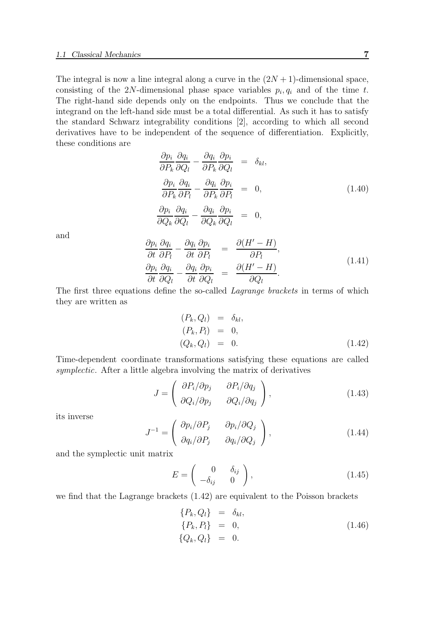The integral is now a line integral along a curve in the  $(2N+1)$ -dimensional space, consisting of the 2N-dimensional phase space variables  $p_i, q_i$  and of the time t. The right-hand side depends only on the endpoints. Thus we conclude that the integrand on the left-hand side must be a total differential. As such it has to satisfy the standard Schwarz integrability conditions [2], according to which all second derivatives have to be independent of the sequence of differentiation. Explicitly, these conditions are

$$
\frac{\partial p_i}{\partial P_k} \frac{\partial q_i}{\partial Q_l} - \frac{\partial q_i}{\partial P_k} \frac{\partial p_i}{\partial Q_l} = \delta_{kl},
$$
\n
$$
\frac{\partial p_i}{\partial P_k} \frac{\partial q_i}{\partial P_l} - \frac{\partial q_i}{\partial P_k} \frac{\partial p_i}{\partial P_l} = 0,
$$
\n
$$
\frac{\partial p_i}{\partial Q_k} \frac{\partial q_i}{\partial Q_l} - \frac{\partial q_i}{\partial Q_k} \frac{\partial p_i}{\partial Q_l} = 0,
$$
\n(1.40)

and

$$
\frac{\partial p_i}{\partial t} \frac{\partial q_i}{\partial P_l} - \frac{\partial q_i}{\partial t} \frac{\partial p_i}{\partial P_l} = \frac{\partial (H' - H)}{\partial P_l},
$$
\n
$$
\frac{\partial p_i}{\partial t} \frac{\partial q_i}{\partial Q_l} - \frac{\partial q_i}{\partial t} \frac{\partial p_i}{\partial Q_l} = \frac{\partial (H' - H)}{\partial Q_l}.
$$
\n(1.41)

The first three equations define the so-called *Lagrange brackets* in terms of which they are written as

$$
(P_k, Q_l) = \delta_{kl},
$$
  
\n
$$
(P_k, P_l) = 0,
$$
  
\n
$$
(Q_k, Q_l) = 0.
$$
\n(1.42)

Time-dependent coordinate transformations satisfying these equations are called symplectic. After a little algebra involving the matrix of derivatives

$$
J = \begin{pmatrix} \frac{\partial P_i}{\partial p_j} & \frac{\partial P_i}{\partial q_j} \\ \frac{\partial Q_i}{\partial p_j} & \frac{\partial Q_i}{\partial q_j} \end{pmatrix},\tag{1.43}
$$

its inverse

$$
J^{-1} = \begin{pmatrix} \frac{\partial p_i}{\partial P_j} & \frac{\partial p_i}{\partial Q_j} \\ \frac{\partial q_i}{\partial P_j} & \frac{\partial q_i}{\partial Q_j} \end{pmatrix},\tag{1.44}
$$

and the symplectic unit matrix

$$
E = \begin{pmatrix} 0 & \delta_{ij} \\ -\delta_{ij} & 0 \end{pmatrix}, \tag{1.45}
$$

we find that the Lagrange brackets (1.42) are equivalent to the Poisson brackets

$$
\begin{array}{rcl}\n\{P_k, Q_l\} & = & \delta_{kl}, \\
\{P_k, P_l\} & = & 0, \\
\{Q_k, Q_l\} & = & 0.\n\end{array} \tag{1.46}
$$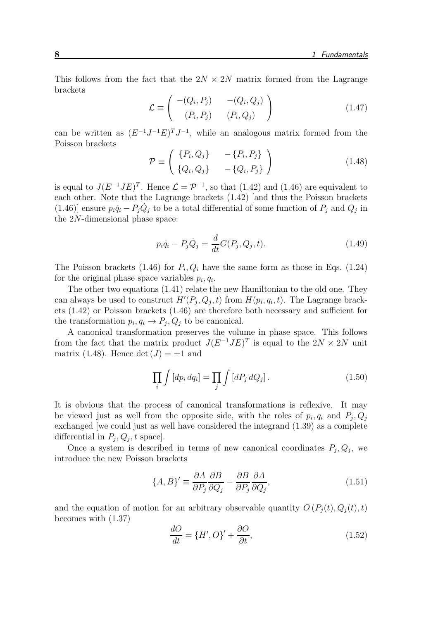This follows from the fact that the  $2N \times 2N$  matrix formed from the Lagrange brackets

$$
\mathcal{L} \equiv \begin{pmatrix} -(Q_i, P_j) & -(Q_i, Q_j) \\ (P_i, P_j) & (P_i, Q_j) \end{pmatrix}
$$
 (1.47)

can be written as  $(E^{-1}J^{-1}E)^TJ^{-1}$ , while an analogous matrix formed from the Poisson brackets

$$
\mathcal{P} \equiv \left( \begin{array}{cc} \{P_i, Q_j\} & -\{P_i, P_j\} \\ \{Q_i, Q_j\} & -\{Q_i, P_j\} \end{array} \right) \tag{1.48}
$$

is equal to  $J(E^{-1}JE)^T$ . Hence  $\mathcal{L} = \mathcal{P}^{-1}$ , so that (1.42) and (1.46) are equivalent to each other. Note that the Lagrange brackets (1.42) [and thus the Poisson brackets (1.46)] ensure  $p_i \dot{q}_i - P_j \dot{Q}_j$  to be a total differential of some function of  $P_j$  and  $Q_j$  in the 2N-dimensional phase space:

$$
p_i \dot{q}_i - P_j \dot{Q}_j = \frac{d}{dt} G(P_j, Q_j, t).
$$
 (1.49)

The Poisson brackets (1.46) for  $P_i, Q_i$  have the same form as those in Eqs. (1.24) for the original phase space variables  $p_i, q_i$ .

The other two equations (1.41) relate the new Hamiltonian to the old one. They can always be used to construct  $H'(P_j, Q_j, t)$  from  $H(p_i, q_i, t)$ . The Lagrange brackets (1.42) or Poisson brackets (1.46) are therefore both necessary and sufficient for the transformation  $p_i, q_i \rightarrow P_j, Q_j$  to be canonical.

A canonical transformation preserves the volume in phase space. This follows from the fact that the matrix product  $J(E^{-1}JE)^T$  is equal to the  $2N \times 2N$  unit matrix (1.48). Hence det  $(J) = \pm 1$  and

$$
\prod_{i} \int \left[ dp_i \, dq_i \right] = \prod_{j} \int \left[ dP_j \, dQ_j \right]. \tag{1.50}
$$

It is obvious that the process of canonical transformations is reflexive. It may be viewed just as well from the opposite side, with the roles of  $p_i, q_i$  and  $P_j, Q_j$ exchanged [we could just as well have considered the integrand (1.39) as a complete differential in  $P_j, Q_j, t$  space].

Once a system is described in terms of new canonical coordinates  $P_j, Q_j$ , we introduce the new Poisson brackets

$$
\{A, B\}' \equiv \frac{\partial A}{\partial P_j} \frac{\partial B}{\partial Q_j} - \frac{\partial B}{\partial P_j} \frac{\partial A}{\partial Q_j},\tag{1.51}
$$

and the equation of motion for an arbitrary observable quantity  $O(P_i(t), Q_i(t), t)$ becomes with (1.37)

$$
\frac{dO}{dt} = \{H', O\}' + \frac{\partial O}{\partial t},\tag{1.52}
$$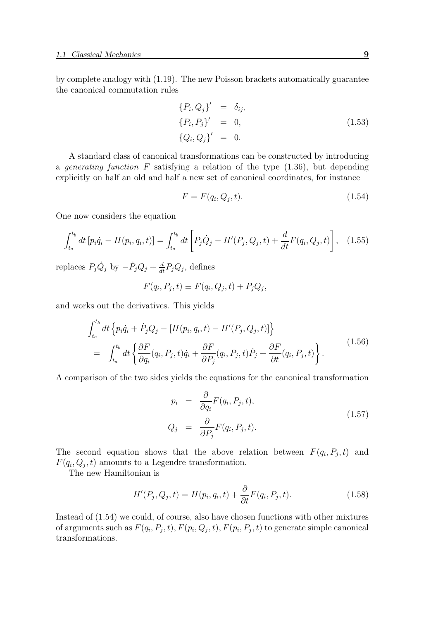by complete analogy with (1.19). The new Poisson brackets automatically guarantee the canonical commutation rules

$$
\begin{aligned}\n\{P_i, Q_j\}' &= \delta_{ij}, \\
\{P_i, P_j\}' &= 0, \\
\{Q_i, Q_j\}' &= 0.\n\end{aligned} \tag{1.53}
$$

A standard class of canonical transformations can be constructed by introducing a *generating function*  $F$  satisfying a relation of the type  $(1.36)$ , but depending explicitly on half an old and half a new set of canonical coordinates, for instance

$$
F = F(q_i, Q_j, t). \tag{1.54}
$$

One now considers the equation

$$
\int_{t_a}^{t_b} dt \left[ p_i \dot{q}_i - H(p_i, q_i, t) \right] = \int_{t_a}^{t_b} dt \left[ P_j \dot{Q}_j - H'(P_j, Q_j, t) + \frac{d}{dt} F(q_i, Q_j, t) \right], \quad (1.55)
$$

replaces  $P_j \dot{Q}_j$  by  $-\dot{P}_j Q_j + \frac{d}{dt} P_j Q_j$ , defines

$$
F(q_i, P_j, t) \equiv F(q_i, Q_j, t) + P_j Q_j,
$$

and works out the derivatives. This yields

$$
\int_{t_a}^{t_b} dt \left\{ p_i \dot{q}_i + \dot{P}_j Q_j - \left[ H(p_i, q_i, t) - H'(P_j, Q_j, t) \right] \right\}
$$
\n
$$
= \int_{t_a}^{t_b} dt \left\{ \frac{\partial F}{\partial q_i} (q_i, P_j, t) \dot{q}_i + \frac{\partial F}{\partial P_j} (q_i, P_j, t) \dot{P}_j + \frac{\partial F}{\partial t} (q_i, P_j, t) \right\}.
$$
\n(1.56)

A comparison of the two sides yields the equations for the canonical transformation

$$
p_i = \frac{\partial}{\partial q_i} F(q_i, P_j, t),
$$
  
\n
$$
Q_j = \frac{\partial}{\partial P_j} F(q_i, P_j, t).
$$
\n(1.57)

The second equation shows that the above relation between  $F(q_i, P_j, t)$  and  $F(q_i, Q_j, t)$  amounts to a Legendre transformation.

The new Hamiltonian is

$$
H'(P_j, Q_j, t) = H(p_i, q_i, t) + \frac{\partial}{\partial t} F(q_i, P_j, t). \tag{1.58}
$$

Instead of (1.54) we could, of course, also have chosen functions with other mixtures of arguments such as  $F(q_i, P_j, t), F(p_i, Q_j, t), F(p_i, P_j, t)$  to generate simple canonical transformations.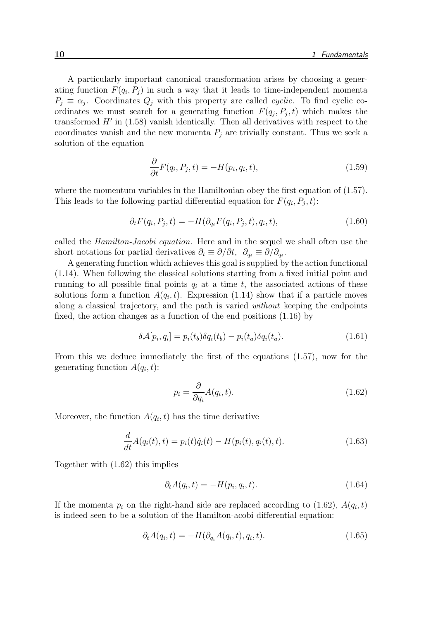A particularly important canonical transformation arises by choosing a generating function  $F(q_i, P_j)$  in such a way that it leads to time-independent momenta  $P_j \equiv \alpha_j$ . Coordinates  $Q_j$  with this property are called *cyclic*. To find cyclic coordinates we must search for a generating function  $F(q_j, P_j, t)$  which makes the transformed H′ in (1.58) vanish identically. Then all derivatives with respect to the coordinates vanish and the new momenta  $P_i$  are trivially constant. Thus we seek a solution of the equation

$$
\frac{\partial}{\partial t}F(q_i, P_j, t) = -H(p_i, q_i, t),\tag{1.59}
$$

where the momentum variables in the Hamiltonian obey the first equation of  $(1.57)$ . This leads to the following partial differential equation for  $F(q_i, P_j, t)$ :

$$
\partial_t F(q_i, P_j, t) = -H(\partial_{q_i} F(q_i, P_j, t), q_i, t),\tag{1.60}
$$

called the Hamilton-Jacobi equation. Here and in the sequel we shall often use the short notations for partial derivatives  $\partial_t \equiv \partial/\partial t$ ,  $\partial_{q_i} \equiv \partial/\partial_{q_i}$ .

A generating function which achieves this goal is supplied by the action functional (1.14). When following the classical solutions starting from a fixed initial point and running to all possible final points  $q_i$  at a time t, the associated actions of these solutions form a function  $A(q_i, t)$ . Expression (1.14) show that if a particle moves along a classical trajectory, and the path is varied without keeping the endpoints fixed, the action changes as a function of the end positions (1.16) by

$$
\delta \mathcal{A}[p_i, q_i] = p_i(t_b) \delta q_i(t_b) - p_i(t_a) \delta q_i(t_a). \tag{1.61}
$$

From this we deduce immediately the first of the equations (1.57), now for the generating function  $A(q_i, t)$ :

$$
p_i = \frac{\partial}{\partial q_i} A(q_i, t). \tag{1.62}
$$

Moreover, the function  $A(q_i, t)$  has the time derivative

$$
\frac{d}{dt}A(q_i(t),t) = p_i(t)\dot{q}_i(t) - H(p_i(t), q_i(t),t).
$$
\n(1.63)

Together with (1.62) this implies

$$
\partial_t A(q_i, t) = -H(p_i, q_i, t). \tag{1.64}
$$

If the momenta  $p_i$  on the right-hand side are replaced according to (1.62),  $A(q_i, t)$ is indeed seen to be a solution of the Hamilton-acobi differential equation:

$$
\partial_t A(q_i, t) = -H(\partial_{q_i} A(q_i, t), q_i, t). \tag{1.65}
$$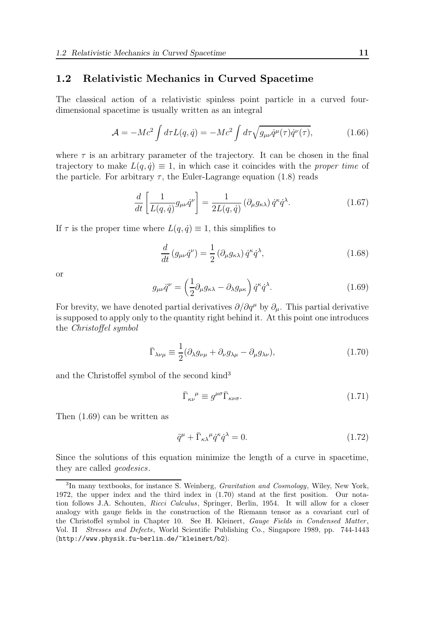# 1.2 Relativistic Mechanics in Curved Spacetime

The classical action of a relativistic spinless point particle in a curved fourdimensional spacetime is usually written as an integral

$$
\mathcal{A} = -Mc^2 \int d\tau L(q, \dot{q}) = -Mc^2 \int d\tau \sqrt{g_{\mu\nu} \dot{q}^\mu(\tau) \dot{q}^\nu(\tau)},
$$
(1.66)

where  $\tau$  is an arbitrary parameter of the trajectory. It can be chosen in the final trajectory to make  $L(q, \dot{q}) \equiv 1$ , in which case it coincides with the *proper time* of the particle. For arbitrary  $\tau$ , the Euler-Lagrange equation (1.8) reads

$$
\frac{d}{dt}\left[\frac{1}{L(q,\dot{q})}g_{\mu\nu}\dot{q}^{\nu}\right] = \frac{1}{2L(q,\dot{q})}\left(\partial_{\mu}g_{\kappa\lambda}\right)\dot{q}^{\kappa}\dot{q}^{\lambda}.\tag{1.67}
$$

If  $\tau$  is the proper time where  $L(q, \dot{q}) \equiv 1$ , this simplifies to

$$
\frac{d}{dt}\left(g_{\mu\nu}\dot{q}^{\nu}\right) = \frac{1}{2}\left(\partial_{\mu}g_{\kappa\lambda}\right)\dot{q}^{\kappa}\dot{q}^{\lambda},\tag{1.68}
$$

or

$$
g_{\mu\nu}\ddot{q}^{\nu} = \left(\frac{1}{2}\partial_{\mu}g_{\kappa\lambda} - \partial_{\lambda}g_{\mu\kappa}\right)\dot{q}^{\kappa}\dot{q}^{\lambda}.
$$
 (1.69)

For brevity, we have denoted partial derivatives  $\partial/\partial q^{\mu}$  by  $\partial_{\mu}$ . This partial derivative is supposed to apply only to the quantity right behind it. At this point one introduces the Christoffel symbol

$$
\bar{\Gamma}_{\lambda\nu\mu} \equiv \frac{1}{2} (\partial_{\lambda} g_{\nu\mu} + \partial_{\nu} g_{\lambda\mu} - \partial_{\mu} g_{\lambda\nu}), \qquad (1.70)
$$

and the Christoffel symbol of the second kind<sup>3</sup>

$$
\bar{\Gamma}_{\kappa\nu}^{\ \mu} \equiv g^{\mu\sigma} \bar{\Gamma}_{\kappa\nu\sigma}.\tag{1.71}
$$

Then (1.69) can be written as

$$
\ddot{q}^{\mu} + \bar{\Gamma}_{\kappa\lambda}{}^{\mu}\dot{q}^{\kappa}\dot{q}^{\lambda} = 0. \tag{1.72}
$$

Since the solutions of this equation minimize the length of a curve in spacetime, they are called geodesics.

<sup>&</sup>lt;sup>3</sup>In many textbooks, for instance S. Weinberg, *Gravitation and Cosmology*, Wiley, New York, 1972, the upper index and the third index in (1.70) stand at the first position. Our notation follows J.A. Schouten, Ricci Calculus, Springer, Berlin, 1954. It will allow for a closer analogy with gauge fields in the construction of the Riemann tensor as a covariant curl of the Christoffel symbol in Chapter 10. See H. Kleinert, Gauge Fields in Condensed Matter, Vol. II Stresses and Defects, World Scientific Publishing Co., Singapore 1989, pp. 744-1443 (http://www.physik.fu-berlin.de/~kleinert/b2).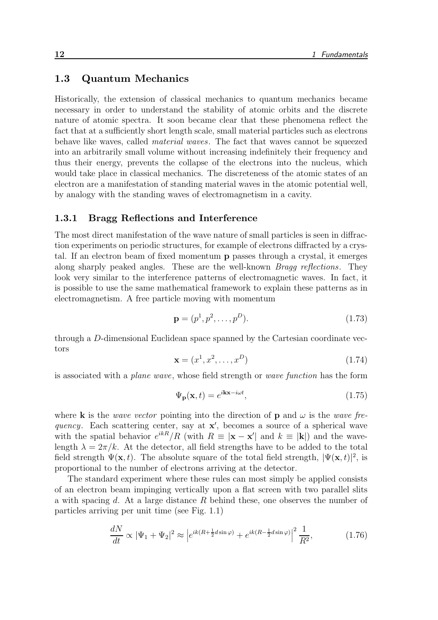# 1.3 Quantum Mechanics

Historically, the extension of classical mechanics to quantum mechanics became necessary in order to understand the stability of atomic orbits and the discrete nature of atomic spectra. It soon became clear that these phenomena reflect the fact that at a sufficiently short length scale, small material particles such as electrons behave like waves, called material waves. The fact that waves cannot be squeezed into an arbitrarily small volume without increasing indefinitely their frequency and thus their energy, prevents the collapse of the electrons into the nucleus, which would take place in classical mechanics. The discreteness of the atomic states of an electron are a manifestation of standing material waves in the atomic potential well, by analogy with the standing waves of electromagnetism in a cavity.

#### 1.3.1 Bragg Reflections and Interference

The most direct manifestation of the wave nature of small particles is seen in diffraction experiments on periodic structures, for example of electrons diffracted by a crystal. If an electron beam of fixed momentum p passes through a crystal, it emerges along sharply peaked angles. These are the well-known Bragg reflections. They look very similar to the interference patterns of electromagnetic waves. In fact, it is possible to use the same mathematical framework to explain these patterns as in electromagnetism. A free particle moving with momentum

$$
\mathbf{p} = (p^1, p^2, \dots, p^D). \tag{1.73}
$$

through a D-dimensional Euclidean space spanned by the Cartesian coordinate vectors

$$
\mathbf{x} = (x^1, x^2, \dots, x^D) \tag{1.74}
$$

is associated with a plane wave, whose field strength or wave function has the form

$$
\Psi_{\mathbf{p}}(\mathbf{x},t) = e^{i\mathbf{k}\mathbf{x}-i\omega t},\tag{1.75}
$$

where **k** is the *wave vector* pointing into the direction of **p** and  $\omega$  is the *wave fre*quency. Each scattering center, say at  $x'$ , becomes a source of a spherical wave with the spatial behavior  $e^{ikR}/R$  (with  $R \equiv |\mathbf{x} - \mathbf{x}'|$  and  $k \equiv |\mathbf{k}|$ ) and the wavelength  $\lambda = 2\pi/k$ . At the detector, all field strengths have to be added to the total field strength  $\Psi(\mathbf{x},t)$ . The absolute square of the total field strength,  $|\Psi(\mathbf{x},t)|^2$ , is proportional to the number of electrons arriving at the detector.

The standard experiment where these rules can most simply be applied consists of an electron beam impinging vertically upon a flat screen with two parallel slits a with spacing d. At a large distance  $R$  behind these, one observes the number of particles arriving per unit time (see Fig. 1.1)

$$
\frac{dN}{dt} \propto |\Psi_1 + \Psi_2|^2 \approx \left| e^{ik(R + \frac{1}{2}d\sin\varphi)} + e^{ik(R - \frac{1}{2}d\sin\varphi)} \right|^2 \frac{1}{R^2},\tag{1.76}
$$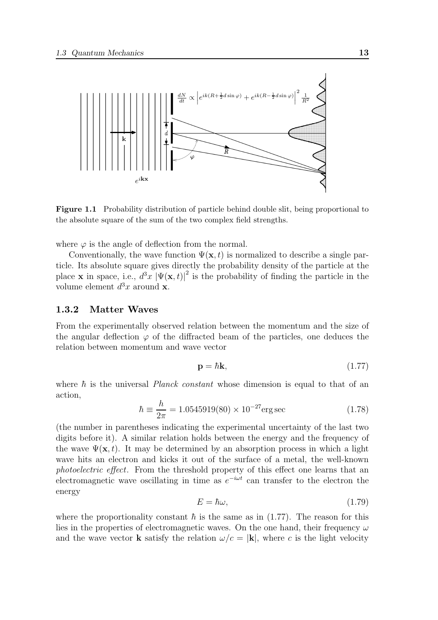

Figure 1.1 Probability distribution of particle behind double slit, being proportional to the absolute square of the sum of the two complex field strengths.

where  $\varphi$  is the angle of deflection from the normal.

Conventionally, the wave function  $\Psi(\mathbf{x},t)$  is normalized to describe a single particle. Its absolute square gives directly the probability density of the particle at the place **x** in space, i.e.,  $d^3x |\Psi(\mathbf{x}, t)|^2$  is the probability of finding the particle in the volume element  $d^3x$  around **x**.

#### 1.3.2 Matter Waves

From the experimentally observed relation between the momentum and the size of the angular deflection  $\varphi$  of the diffracted beam of the particles, one deduces the relation between momentum and wave vector

$$
\mathbf{p} = \hbar \mathbf{k},\tag{1.77}
$$

where  $\hbar$  is the universal *Planck constant* whose dimension is equal to that of an action,

$$
\hbar \equiv \frac{h}{2\pi} = 1.0545919(80) \times 10^{-27} \text{erg} \sec \tag{1.78}
$$

(the number in parentheses indicating the experimental uncertainty of the last two digits before it). A similar relation holds between the energy and the frequency of the wave  $\Psi(\mathbf{x}, t)$ . It may be determined by an absorption process in which a light wave hits an electron and kicks it out of the surface of a metal, the well-known photoelectric effect. From the threshold property of this effect one learns that an electromagnetic wave oscillating in time as  $e^{-i\omega t}$  can transfer to the electron the energy

$$
E = \hbar\omega,\tag{1.79}
$$

where the proportionality constant  $\hbar$  is the same as in (1.77). The reason for this lies in the properties of electromagnetic waves. On the one hand, their frequency  $\omega$ and the wave vector **k** satisfy the relation  $\omega/c = |\mathbf{k}|$ , where c is the light velocity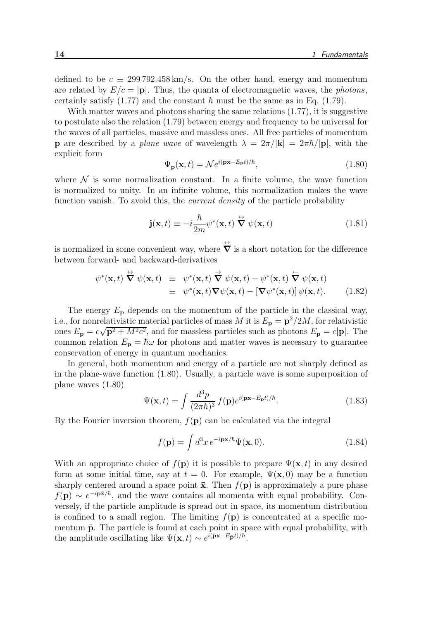defined to be  $c \equiv 299\,792.458 \,\mathrm{km/s}$ . On the other hand, energy and momentum are related by  $E/c = |\mathbf{p}|$ . Thus, the quanta of electromagnetic waves, the photons, certainly satisfy (1.77) and the constant  $\hbar$  must be the same as in Eq. (1.79).

With matter waves and photons sharing the same relations  $(1.77)$ , it is suggestive to postulate also the relation (1.79) between energy and frequency to be universal for the waves of all particles, massive and massless ones. All free particles of momentum **p** are described by a plane wave of wavelength  $\lambda = 2\pi/|\mathbf{k}| = 2\pi\hbar/|\mathbf{p}|$ , with the explicit form

$$
\Psi_{\mathbf{p}}(\mathbf{x},t) = \mathcal{N}e^{i(\mathbf{p}\mathbf{x} - E_{\mathbf{p}}t)/\hbar},\tag{1.80}
$$

where  $\mathcal N$  is some normalization constant. In a finite volume, the wave function is normalized to unity. In an infinite volume, this normalization makes the wave function vanish. To avoid this, the *current density* of the particle probability

$$
\mathbf{j}(\mathbf{x},t) \equiv -i\frac{\hbar}{2m}\psi^*(\mathbf{x},t) \stackrel{\leftrightarrow}{\nabla} \psi(\mathbf{x},t)
$$
 (1.81)

is normalized in some convenient way, where  $\overleftrightarrow{\mathbf{V}}$  is a short notation for the difference between forward- and backward-derivatives

$$
\psi^*(\mathbf{x},t) \stackrel{\leftrightarrow}{\nabla} \psi(\mathbf{x},t) \equiv \psi^*(\mathbf{x},t) \stackrel{\rightarrow}{\nabla} \psi(\mathbf{x},t) - \psi^*(\mathbf{x},t) \stackrel{\leftarrow}{\nabla} \psi(\mathbf{x},t) \equiv \psi^*(\mathbf{x},t) \nabla \psi(\mathbf{x},t) - [\nabla \psi^*(\mathbf{x},t)] \psi(\mathbf{x},t).
$$
 (1.82)

The energy  $E_p$  depends on the momentum of the particle in the classical way, i.e., for nonrelativistic material particles of mass M it is  $E_{\bf p}={\bf p}^2/2M$ , for relativistic ones  $E_{\mathbf{p}} = c\sqrt{\mathbf{p}^2 + M^2c^2}$ , and for massless particles such as photons  $E_{\mathbf{p}} = c|\mathbf{p}|$ . The common relation  $E_p = \hbar \omega$  for photons and matter waves is necessary to guarantee conservation of energy in quantum mechanics.

In general, both momentum and energy of a particle are not sharply defined as in the plane-wave function (1.80). Usually, a particle wave is some superposition of plane waves (1.80)

$$
\Psi(\mathbf{x},t) = \int \frac{d^3p}{(2\pi\hbar)^3} f(\mathbf{p}) e^{i(\mathbf{p}\mathbf{x} - E_{\mathbf{p}}t)/\hbar}.
$$
\n(1.83)

By the Fourier inversion theorem,  $f(\mathbf{p})$  can be calculated via the integral

$$
f(\mathbf{p}) = \int d^3x \, e^{-i\mathbf{p}\mathbf{x}/\hbar} \Psi(\mathbf{x}, 0). \tag{1.84}
$$

With an appropriate choice of  $f(\mathbf{p})$  it is possible to prepare  $\Psi(\mathbf{x}, t)$  in any desired form at some initial time, say at  $t = 0$ . For example,  $\Psi(\mathbf{x},0)$  may be a function sharply centered around a space point  $\bar{x}$ . Then  $f(\bf{p})$  is approximately a pure phase  $f(\mathbf{p}) \sim e^{-i\mathbf{p}\bar{\mathbf{x}}/\hbar}$ , and the wave contains all momenta with equal probability. Conversely, if the particle amplitude is spread out in space, its momentum distribution is confined to a small region. The limiting  $f(\mathbf{p})$  is concentrated at a specific momentum  $\bar{p}$ . The particle is found at each point in space with equal probability, with the amplitude oscillating like  $\Psi(\mathbf{x},t) \sim e^{i(\bar{\mathbf{p}}\mathbf{x} - E_{\bar{\mathbf{p}}}t)/\hbar}$ .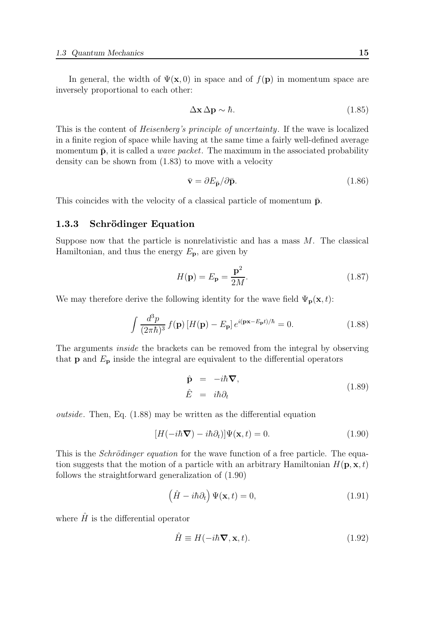In general, the width of  $\Psi(\mathbf{x},0)$  in space and of  $f(\mathbf{p})$  in momentum space are inversely proportional to each other:

$$
\Delta \mathbf{x} \, \Delta \mathbf{p} \sim \hbar. \tag{1.85}
$$

This is the content of Heisenberg's principle of uncertainty. If the wave is localized in a finite region of space while having at the same time a fairly well-defined average momentum  $\bar{p}$ , it is called a *wave packet*. The maximum in the associated probability density can be shown from (1.83) to move with a velocity

$$
\bar{\mathbf{v}} = \partial E_{\bar{\mathbf{p}}}/\partial \bar{\mathbf{p}}.\tag{1.86}
$$

This coincides with the velocity of a classical particle of momentum  $\bar{p}$ .

# 1.3.3 Schrödinger Equation

Suppose now that the particle is nonrelativistic and has a mass  $M$ . The classical Hamiltonian, and thus the energy  $E_{\mathbf{p}}$ , are given by

$$
H(\mathbf{p}) = E_{\mathbf{p}} = \frac{\mathbf{p}^2}{2M}.
$$
\n(1.87)

We may therefore derive the following identity for the wave field  $\Psi_{\bf p}({\bf x}, t)$ :

$$
\int \frac{d^3 p}{(2\pi\hbar)^3} f(\mathbf{p}) \left[ H(\mathbf{p}) - E_{\mathbf{p}} \right] e^{i(\mathbf{p}\mathbf{x} - E_{\mathbf{p}}t)/\hbar} = 0.
$$
 (1.88)

The arguments inside the brackets can be removed from the integral by observing that **p** and  $E_p$  inside the integral are equivalent to the differential operators

$$
\hat{\mathbf{p}} = -i\hbar \nabla, \n\hat{E} = i\hbar \partial_t
$$
\n(1.89)

outside. Then, Eq. (1.88) may be written as the differential equation

$$
[H(-i\hbar \nabla) - i\hbar \partial_t)]\Psi(\mathbf{x}, t) = 0.
$$
\n(1.90)

This is the *Schrödinger equation* for the wave function of a free particle. The equation suggests that the motion of a particle with an arbitrary Hamiltonian  $H(\mathbf{p}, \mathbf{x}, t)$ follows the straightforward generalization of (1.90)

$$
\left(\hat{H} - i\hbar\partial_t\right)\Psi(\mathbf{x}, t) = 0,\tag{1.91}
$$

where  $\hat{H}$  is the differential operator

$$
\hat{H} \equiv H(-i\hbar \nabla, \mathbf{x}, t). \tag{1.92}
$$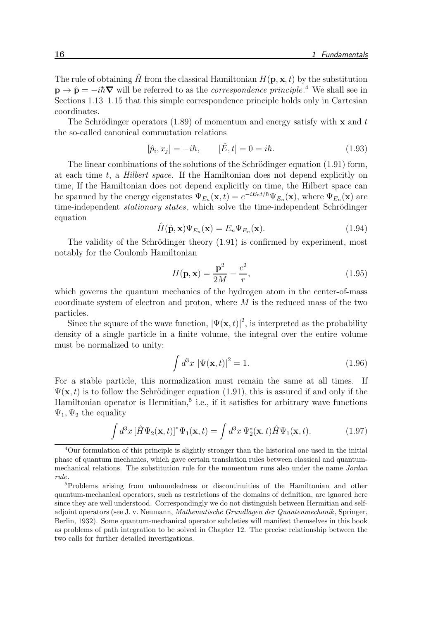The rule of obtaining  $\hat{H}$  from the classical Hamiltonian  $H(\mathbf{p}, \mathbf{x}, t)$  by the substitution  $\mathbf{p} \to \hat{\mathbf{p}} = -i\hbar \nabla$  will be referred to as the *correspondence principle*.<sup>4</sup> We shall see in Sections 1.13–1.15 that this simple correspondence principle holds only in Cartesian coordinates.

The Schrödinger operators (1.89) of momentum and energy satisfy with  $x$  and t the so-called canonical commutation relations

$$
[\hat{p}_i, x_j] = -i\hbar, \qquad [\hat{E}, t] = 0 = i\hbar. \tag{1.93}
$$

The linear combinations of the solutions of the Schrödinger equation  $(1.91)$  form, at each time t, a Hilbert space. If the Hamiltonian does not depend explicitly on time, If the Hamiltonian does not depend explicitly on time, the Hilbert space can be spanned by the energy eigenstates  $\Psi_{E_n}(\mathbf{x},t) = e^{-iE_n t/\hbar} \Psi_{E_n}(\mathbf{x})$ , where  $\Psi_{E_n}(\mathbf{x})$  are time-independent *stationary states*, which solve the time-independent Schrödinger equation

$$
\hat{H}(\hat{\mathbf{p}}, \mathbf{x})\Psi_{E_n}(\mathbf{x}) = E_n \Psi_{E_n}(\mathbf{x}).\tag{1.94}
$$

The validity of the Schrödinger theory  $(1.91)$  is confirmed by experiment, most notably for the Coulomb Hamiltonian

$$
H(\mathbf{p}, \mathbf{x}) = \frac{\mathbf{p}^2}{2M} - \frac{e^2}{r},\tag{1.95}
$$

which governs the quantum mechanics of the hydrogen atom in the center-of-mass coordinate system of electron and proton, where  $M$  is the reduced mass of the two particles.

Since the square of the wave function,  $|\Psi(\mathbf{x},t)|^2$ , is interpreted as the probability density of a single particle in a finite volume, the integral over the entire volume must be normalized to unity:

$$
\int d^3x \, |\Psi(\mathbf{x},t)|^2 = 1. \tag{1.96}
$$

For a stable particle, this normalization must remain the same at all times. If  $\Psi(\mathbf{x}, t)$  is to follow the Schrödinger equation (1.91), this is assured if and only if the Hamiltonian operator is Hermitian, $5$  i.e., if it satisfies for arbitrary wave functions  $\Psi_1, \Psi_2$  the equality

$$
\int d^3x \left[\hat{H}\Psi_2(\mathbf{x},t)\right]^* \Psi_1(\mathbf{x},t) = \int d^3x \,\Psi_2^*(\mathbf{x},t) \hat{H}\Psi_1(\mathbf{x},t). \tag{1.97}
$$

<sup>&</sup>lt;sup>4</sup>Our formulation of this principle is slightly stronger than the historical one used in the initial phase of quantum mechanics, which gave certain translation rules between classical and quantummechanical relations. The substitution rule for the momentum runs also under the name Jordan rule.

<sup>5</sup>Problems arising from unboundedness or discontinuities of the Hamiltonian and other quantum-mechanical operators, such as restrictions of the domains of definition, are ignored here since they are well understood. Correspondingly we do not distinguish between Hermitian and selfadjoint operators (see J. v. Neumann, Mathematische Grundlagen der Quantenmechanik, Springer, Berlin, 1932). Some quantum-mechanical operator subtleties will manifest themselves in this book as problems of path integration to be solved in Chapter 12. The precise relationship between the two calls for further detailed investigations.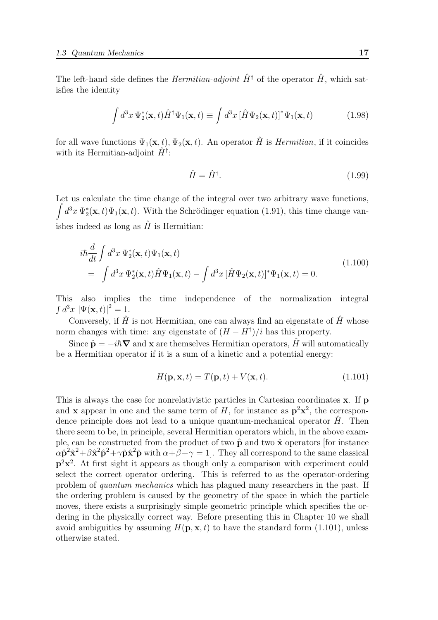The left-hand side defines the *Hermitian-adjoint*  $\hat{H}^{\dagger}$  of the operator  $\hat{H}$ , which satisfies the identity

$$
\int d^3x \, \Psi_2^*(\mathbf{x},t) \hat{H}^\dagger \Psi_1(\mathbf{x},t) \equiv \int d^3x \, [\hat{H}\Psi_2(\mathbf{x},t)]^* \Psi_1(\mathbf{x},t) \tag{1.98}
$$

for all wave functions  $\Psi_1(\mathbf{x}, t)$ ,  $\Psi_2(\mathbf{x}, t)$ . An operator  $\hat{H}$  is *Hermitian*, if it coincides with its Hermitian-adjoint  $\hat{H}^{\dagger}$ :

$$
\hat{H} = \hat{H}^{\dagger}.
$$
\n(1.99)

Let us calculate the time change of the integral over two arbitrary wave functions,  $\int d^3x \Psi_2^*(\mathbf{x},t) \Psi_1(\mathbf{x},t)$ . With the Schrödinger equation (1.91), this time change vanishes indeed as long as  $\hat{H}$  is Hermitian:

$$
i\hbar \frac{d}{dt} \int d^3x \Psi_2^*(\mathbf{x},t) \Psi_1(\mathbf{x},t)
$$
  
= 
$$
\int d^3x \Psi_2^*(\mathbf{x},t) \hat{H} \Psi_1(\mathbf{x},t) - \int d^3x \left[ \hat{H} \Psi_2(\mathbf{x},t) \right]^* \Psi_1(\mathbf{x},t) = 0.
$$
 (1.100)

This also implies the time independence of the normalization integral  $\int d^3x \, |\Psi(\mathbf{x},t)|^2 = 1.$ 

Conversely, if  $\hat{H}$  is not Hermitian, one can always find an eigenstate of  $\hat{H}$  whose norm changes with time: any eigenstate of  $(H - H^{\dagger})/i$  has this property.

Since  $\hat{\mathbf{p}} = -i\hbar \nabla$  and **x** are themselves Hermitian operators, H will automatically be a Hermitian operator if it is a sum of a kinetic and a potential energy:

$$
H(\mathbf{p}, \mathbf{x}, t) = T(\mathbf{p}, t) + V(\mathbf{x}, t). \tag{1.101}
$$

This is always the case for nonrelativistic particles in Cartesian coordinates x. If p and **x** appear in one and the same term of H, for instance as  $p^2x^2$ , the correspondence principle does not lead to a unique quantum-mechanical operator  $H$ . Then there seem to be, in principle, several Hermitian operators which, in the above example, can be constructed from the product of two  $\hat{\mathbf{p}}$  and two  $\hat{\mathbf{x}}$  operators [for instance  $\alpha \hat{\mathbf{p}}^2 \hat{\mathbf{x}}^2 + \beta \hat{\mathbf{x}}^2 \hat{\mathbf{p}}^2 + \gamma \hat{\mathbf{p}} \hat{\mathbf{x}}^2 \hat{\mathbf{p}}$  with  $\alpha + \beta + \gamma = 1$ . They all correspond to the same classical p 2x 2 . At first sight it appears as though only a comparison with experiment could select the correct operator ordering. This is referred to as the operator-ordering problem of quantum mechanics which has plagued many researchers in the past. If the ordering problem is caused by the geometry of the space in which the particle moves, there exists a surprisingly simple geometric principle which specifies the ordering in the physically correct way. Before presenting this in Chapter 10 we shall avoid ambiguities by assuming  $H(\mathbf{p}, \mathbf{x}, t)$  to have the standard form (1.101), unless otherwise stated.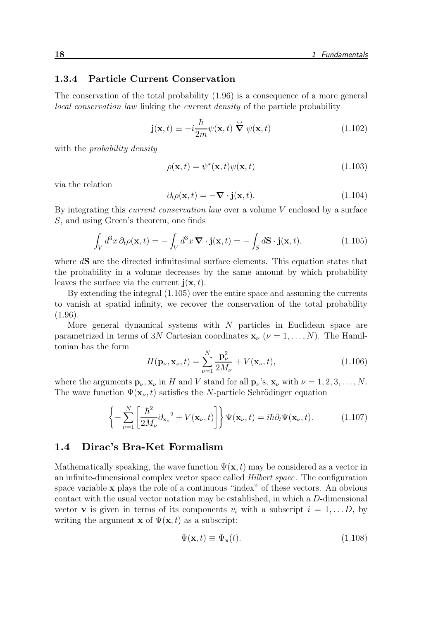# 1.3.4 Particle Current Conservation

The conservation of the total probability (1.96) is a consequence of a more general local conservation law linking the current density of the particle probability

$$
\mathbf{j}(\mathbf{x},t) \equiv -i\frac{\hbar}{2m}\psi(\mathbf{x},t) \stackrel{\leftrightarrow}{\nabla} \psi(\mathbf{x},t)
$$
 (1.102)

with the *probability density* 

$$
\rho(\mathbf{x},t) = \psi^*(\mathbf{x},t)\psi(\mathbf{x},t) \tag{1.103}
$$

via the relation

$$
\partial_t \rho(\mathbf{x}, t) = -\nabla \cdot \mathbf{j}(\mathbf{x}, t). \tag{1.104}
$$

By integrating this current conservation law over a volume V enclosed by a surface S, and using Green's theorem, one finds

$$
\int_{V} d^{3}x \, \partial_{t} \rho(\mathbf{x}, t) = -\int_{V} d^{3}x \, \mathbf{\nabla} \cdot \mathbf{j}(\mathbf{x}, t) = -\int_{S} d\mathbf{S} \cdot \mathbf{j}(\mathbf{x}, t), \tag{1.105}
$$

where dS are the directed infinitesimal surface elements. This equation states that the probability in a volume decreases by the same amount by which probability leaves the surface via the current  $\mathbf{j}(\mathbf{x}, t)$ .

By extending the integral (1.105) over the entire space and assuming the currents to vanish at spatial infinity, we recover the conservation of the total probability  $(1.96).$ 

More general dynamical systems with  $N$  particles in Euclidean space are parametrized in terms of 3N Cartesian coordinates  $\mathbf{x}_{\nu}$  ( $\nu = 1, \dots, N$ ). The Hamiltonian has the form

$$
H(\mathbf{p}_{\nu}, \mathbf{x}_{\nu}, t) = \sum_{\nu=1}^{N} \frac{\mathbf{p}_{\nu}^{2}}{2M_{\nu}} + V(\mathbf{x}_{\nu}, t), \qquad (1.106)
$$

where the arguments  $\mathbf{p}_{\nu}$ ,  $\mathbf{x}_{\nu}$  in H and V stand for all  $\mathbf{p}_{\nu}$ 's,  $\mathbf{x}_{\nu}$  with  $\nu = 1, 2, 3, ..., N$ . The wave function  $\Psi(\mathbf{x}_{\nu},t)$  satisfies the N-particle Schrödinger equation

$$
\left\{-\sum_{\nu=1}^{N}\left[\frac{\hbar^2}{2M_{\nu}}\partial_{\mathbf{x}_{\nu}}^2 + V(\mathbf{x}_{\nu},t)\right]\right\}\Psi(\mathbf{x}_{\nu},t) = i\hbar\partial_t\Psi(\mathbf{x}_{\nu},t). \tag{1.107}
$$

# 1.4 Dirac's Bra-Ket Formalism

Mathematically speaking, the wave function  $\Psi(\mathbf{x}, t)$  may be considered as a vector in an infinite-dimensional complex vector space called Hilbert space. The configuration space variable  $x$  plays the role of a continuous "index" of these vectors. An obvious contact with the usual vector notation may be established, in which a D-dimensional vector **v** is given in terms of its components  $v_i$  with a subscript  $i = 1, \ldots, D$ , by writing the argument **x** of  $\Psi(\mathbf{x}, t)$  as a subscript:

$$
\Psi(\mathbf{x},t) \equiv \Psi_{\mathbf{x}}(t). \tag{1.108}
$$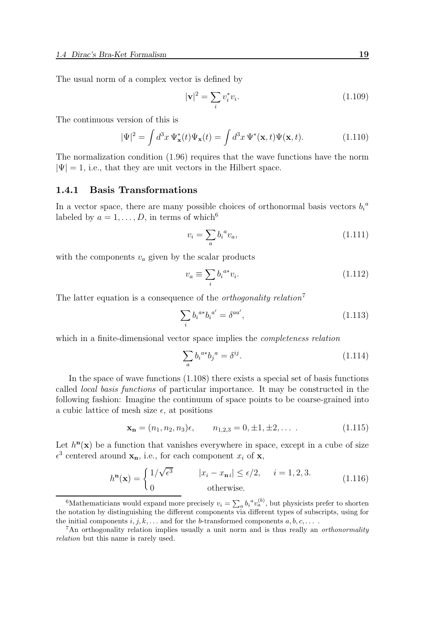The usual norm of a complex vector is defined by

$$
|\mathbf{v}|^2 = \sum_i v_i^* v_i. \tag{1.109}
$$

The continuous version of this is

$$
|\Psi|^2 = \int d^3x \, \Psi_{\mathbf{x}}^*(t) \Psi_{\mathbf{x}}(t) = \int d^3x \, \Psi^*(\mathbf{x}, t) \Psi(\mathbf{x}, t). \tag{1.110}
$$

The normalization condition (1.96) requires that the wave functions have the norm  $|\Psi| = 1$ , i.e., that they are unit vectors in the Hilbert space.

#### 1.4.1 Basis Transformations

In a vector space, there are many possible choices of orthonormal basis vectors  $b_i^a$ labeled by  $a = 1, \ldots, D$ , in terms of which<sup>6</sup>

$$
v_i = \sum_a b_i^a v_a,\tag{1.111}
$$

with the components  $v_a$  given by the scalar products

$$
v_a \equiv \sum_i b_i^{a*} v_i. \tag{1.112}
$$

The latter equation is a consequence of the *orthogonality relation*<sup>7</sup>

$$
\sum_{i} b_i^{a*} b_i^{a'} = \delta^{aa'}, \tag{1.113}
$$

which in a finite-dimensional vector space implies the *completeness relation* 

$$
\sum_{a} b_i^{a*} b_j^{a} = \delta^{ij}.
$$
\n(1.114)

In the space of wave functions (1.108) there exists a special set of basis functions called local basis functions of particular importance. It may be constructed in the following fashion: Imagine the continuum of space points to be coarse-grained into a cubic lattice of mesh size  $\epsilon$ , at positions

$$
\mathbf{x_n} = (n_1, n_2, n_3)\epsilon, \qquad n_{1,2,3} = 0, \pm 1, \pm 2, \dots \tag{1.115}
$$

Let  $h<sup>n</sup>(x)$  be a function that vanishes everywhere in space, except in a cube of size  $\epsilon^3$  centered around  $\mathbf{x}_n$ , i.e., for each component  $x_i$  of  $\mathbf{x}_i$ ,

$$
hn(\mathbf{x}) = \begin{cases} 1/\sqrt{\epsilon^3} & |x_i - x_{n\,i}| \le \epsilon/2, \quad i = 1, 2, 3. \\ 0 & \text{otherwise.} \end{cases}
$$
(1.116)

<sup>&</sup>lt;sup>6</sup>Mathematicians would expand more precisely  $v_i = \sum_a b_i^a v_a^{(b)}$ , but physicists prefer to shorten the notation by distinguishing the different components via different types of subscripts, using for the initial components  $i, j, k, \ldots$  and for the b-transformed components  $a, b, c, \ldots$ .

<sup>&</sup>lt;sup>7</sup>An orthogonality relation implies usually a unit norm and is thus really an *orthonormality* relation but this name is rarely used.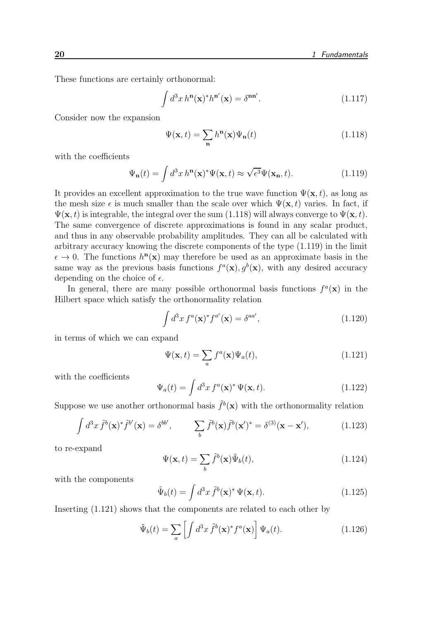These functions are certainly orthonormal:

$$
\int d^3x \, h^{\mathbf{n}}(\mathbf{x})^* h^{\mathbf{n}'}(\mathbf{x}) = \delta^{\mathbf{n}\mathbf{n}'}.
$$
\n(1.117)

Consider now the expansion

$$
\Psi(\mathbf{x},t) = \sum_{\mathbf{n}} h^{\mathbf{n}}(\mathbf{x}) \Psi_{\mathbf{n}}(t)
$$
\n(1.118)

with the coefficients

$$
\Psi_{\mathbf{n}}(t) = \int d^3x \, h^{\mathbf{n}}(\mathbf{x})^* \Psi(\mathbf{x}, t) \approx \sqrt{\epsilon^3} \Psi(\mathbf{x}_\mathbf{n}, t). \tag{1.119}
$$

It provides an excellent approximation to the true wave function  $\Psi(\mathbf{x}, t)$ , as long as the mesh size  $\epsilon$  is much smaller than the scale over which  $\Psi(\mathbf{x}, t)$  varies. In fact, if  $\Psi(\mathbf{x}, t)$  is integrable, the integral over the sum (1.118) will always converge to  $\Psi(\mathbf{x}, t)$ . The same convergence of discrete approximations is found in any scalar product, and thus in any observable probability amplitudes. They can all be calculated with arbitrary accuracy knowing the discrete components of the type (1.119) in the limit  $\epsilon \to 0$ . The functions  $h^{\mathbf{n}}(\mathbf{x})$  may therefore be used as an approximate basis in the same way as the previous basis functions  $f^a(\mathbf{x}), g^b(\mathbf{x})$ , with any desired accuracy depending on the choice of  $\epsilon$ .

In general, there are many possible orthonormal basis functions  $f^a(\mathbf{x})$  in the Hilbert space which satisfy the orthonormality relation

$$
\int d^3x f^a(\mathbf{x})^* f^{a'}(\mathbf{x}) = \delta^{aa'}, \qquad (1.120)
$$

in terms of which we can expand

$$
\Psi(\mathbf{x},t) = \sum_{a} f^{a}(\mathbf{x}) \Psi_{a}(t), \qquad (1.121)
$$

with the coefficients

$$
\Psi_a(t) = \int d^3x f^a(\mathbf{x})^* \Psi(\mathbf{x}, t). \tag{1.122}
$$

Suppose we use another orthonormal basis  $\tilde{f}^b(\mathbf{x})$  with the orthonormality relation

$$
\int d^3x \,\tilde{f}^b(\mathbf{x})^* \tilde{f}^{b'}(\mathbf{x}) = \delta^{bb'}, \qquad \sum_b \tilde{f}^b(\mathbf{x}) \tilde{f}^b(\mathbf{x}')^* = \delta^{(3)}(\mathbf{x} - \mathbf{x}'), \tag{1.123}
$$

to re-expand

$$
\Psi(\mathbf{x},t) = \sum_{b} \tilde{f}^{b}(\mathbf{x}) \tilde{\Psi}_{b}(t), \qquad (1.124)
$$

with the components

$$
\tilde{\Psi}_b(t) = \int d^3x \, \tilde{f}^b(\mathbf{x})^* \, \Psi(\mathbf{x}, t). \tag{1.125}
$$

Inserting (1.121) shows that the components are related to each other by

$$
\tilde{\Psi}_b(t) = \sum_a \left[ \int d^3x \, \tilde{f}^b(\mathbf{x})^* f^a(\mathbf{x}) \right] \Psi_a(t). \tag{1.126}
$$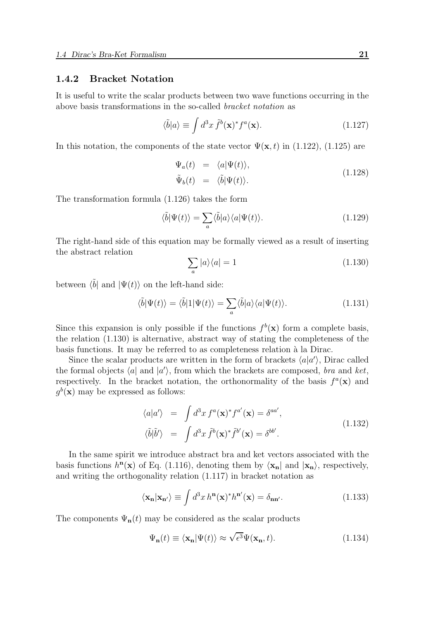#### 1.4.2 Bracket Notation

It is useful to write the scalar products between two wave functions occurring in the above basis transformations in the so-called bracket notation as

$$
\langle \tilde{b} | a \rangle \equiv \int d^3x \, \tilde{f}^b(\mathbf{x})^* f^a(\mathbf{x}). \tag{1.127}
$$

In this notation, the components of the state vector  $\Psi(\mathbf{x},t)$  in (1.122), (1.125) are

$$
\Psi_a(t) = \langle a|\Psi(t)\rangle, \n\tilde{\Psi}_b(t) = \langle \tilde{b}|\Psi(t)\rangle.
$$
\n(1.128)

The transformation formula (1.126) takes the form

$$
\langle \tilde{b} | \Psi(t) \rangle = \sum_{a} \langle \tilde{b} | a \rangle \langle a | \Psi(t) \rangle. \tag{1.129}
$$

The right-hand side of this equation may be formally viewed as a result of inserting the abstract relation

$$
\sum_{a} |a\rangle\langle a| = 1\tag{1.130}
$$

between  $\langle \tilde{b} |$  and  $| \Psi(t) \rangle$  on the left-hand side:

$$
\langle \tilde{b} | \Psi(t) \rangle = \langle \tilde{b} | 1 | \Psi(t) \rangle = \sum_{a} \langle \tilde{b} | a \rangle \langle a | \Psi(t) \rangle.
$$
 (1.131)

Since this expansion is only possible if the functions  $f^b(\mathbf{x})$  form a complete basis, the relation (1.130) is alternative, abstract way of stating the completeness of the basis functions. It may be referred to as completeness relation à la Dirac.

Since the scalar products are written in the form of brackets  $\langle a|a'\rangle$ , Dirac called the formal objects  $\langle a|$  and  $|a'\rangle$ , from which the brackets are composed, *bra* and *ket*, respectively. In the bracket notation, the orthonormality of the basis  $f^a(\mathbf{x})$  and  $g^b(\mathbf{x})$  may be expressed as follows:

$$
\langle a|a'\rangle = \int d^3x f^a(\mathbf{x})^* f^{a'}(\mathbf{x}) = \delta^{aa'},
$$
  

$$
\langle \tilde{b}|\tilde{b}'\rangle = \int d^3x \ \tilde{f}^b(\mathbf{x})^* \tilde{f}^{b'}(\mathbf{x}) = \delta^{bb'}.
$$
 (1.132)

In the same spirit we introduce abstract bra and ket vectors associated with the basis functions  $h^n(\mathbf{x})$  of Eq. (1.116), denoting them by  $\langle \mathbf{x}_n |$  and  $|\mathbf{x}_n \rangle$ , respectively, and writing the orthogonality relation (1.117) in bracket notation as

$$
\langle \mathbf{x_n} | \mathbf{x}_{n'} \rangle \equiv \int d^3x \, h^{\mathbf{n}}(\mathbf{x})^* h^{\mathbf{n'}}(\mathbf{x}) = \delta_{\mathbf{n}\mathbf{n'}}.\tag{1.133}
$$

The components  $\Psi_{n}(t)$  may be considered as the scalar products

$$
\Psi_{\mathbf{n}}(t) \equiv \langle \mathbf{x}_{\mathbf{n}} | \Psi(t) \rangle \approx \sqrt{\epsilon^3} \Psi(\mathbf{x}_{\mathbf{n}}, t). \tag{1.134}
$$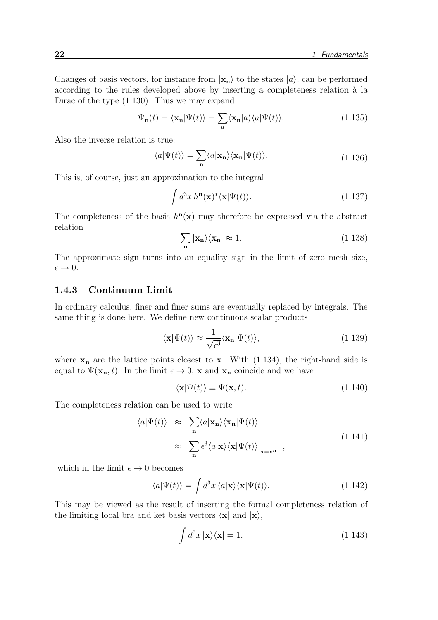Changes of basis vectors, for instance from  $|\mathbf{x}_n\rangle$  to the states  $|a\rangle$ , can be performed according to the rules developed above by inserting a completeness relation à la Dirac of the type (1.130). Thus we may expand

$$
\Psi_{\mathbf{n}}(t) = \langle \mathbf{x}_{\mathbf{n}} | \Psi(t) \rangle = \sum_{a} \langle \mathbf{x}_{\mathbf{n}} | a \rangle \langle a | \Psi(t) \rangle.
$$
 (1.135)

Also the inverse relation is true:

$$
\langle a|\Psi(t)\rangle = \sum_{\mathbf{n}} \langle a|\mathbf{x}_{\mathbf{n}}\rangle \langle \mathbf{x}_{\mathbf{n}}|\Psi(t)\rangle.
$$
 (1.136)

This is, of course, just an approximation to the integral

$$
\int d^3x \, h^{\mathbf{n}}(\mathbf{x})^* \langle \mathbf{x} | \Psi(t) \rangle. \tag{1.137}
$$

The completeness of the basis  $h^n(x)$  may therefore be expressed via the abstract relation

$$
\sum_{\mathbf{n}} |\mathbf{x}_{\mathbf{n}}\rangle\langle\mathbf{x}_{\mathbf{n}}| \approx 1. \tag{1.138}
$$

The approximate sign turns into an equality sign in the limit of zero mesh size,  $\epsilon \rightarrow 0.$ 

# 1.4.3 Continuum Limit

In ordinary calculus, finer and finer sums are eventually replaced by integrals. The same thing is done here. We define new continuous scalar products

$$
\langle \mathbf{x} | \Psi(t) \rangle \approx \frac{1}{\sqrt{\epsilon^3}} \langle \mathbf{x}_n | \Psi(t) \rangle, \tag{1.139}
$$

where  $x_n$  are the lattice points closest to x. With (1.134), the right-hand side is equal to  $\Psi(\mathbf{x_n}, t)$ . In the limit  $\epsilon \to 0$ , x and  $\mathbf{x_n}$  coincide and we have

$$
\langle \mathbf{x} | \Psi(t) \rangle \equiv \Psi(\mathbf{x}, t). \tag{1.140}
$$

The completeness relation can be used to write

$$
\langle a|\Psi(t)\rangle \approx \sum_{\mathbf{n}} \langle a|\mathbf{x}_{\mathbf{n}}\rangle \langle \mathbf{x}_{\mathbf{n}}|\Psi(t)\rangle
$$
  

$$
\approx \sum_{\mathbf{n}} \epsilon^3 \langle a|\mathbf{x}\rangle \langle \mathbf{x}|\Psi(t)\rangle \Big|_{\mathbf{x}=\mathbf{x}^{\mathbf{n}}}, \qquad (1.141)
$$

which in the limit  $\epsilon \to 0$  becomes

$$
\langle a|\Psi(t)\rangle = \int d^3x \,\langle a|\mathbf{x}\rangle\langle\mathbf{x}|\Psi(t)\rangle.
$$
 (1.142)

This may be viewed as the result of inserting the formal completeness relation of the limiting local bra and ket basis vectors  $\langle x |$  and  $|x \rangle$ ,

$$
\int d^3x \, |\mathbf{x}\rangle\langle\mathbf{x}| = 1,\tag{1.143}
$$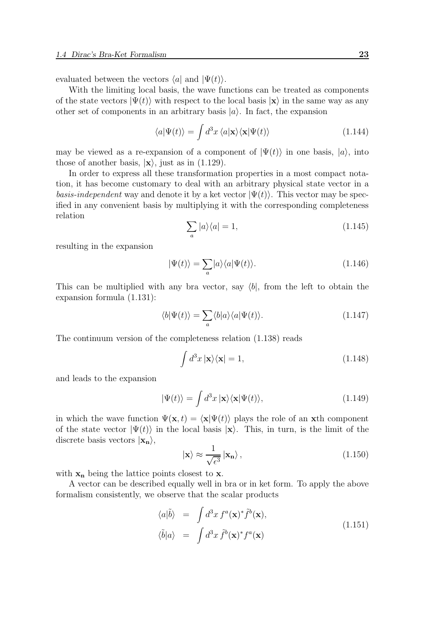evaluated between the vectors  $\langle a|$  and  $|\Psi(t)\rangle$ .

With the limiting local basis, the wave functions can be treated as components of the state vectors  $|\Psi(t)\rangle$  with respect to the local basis  $|\mathbf{x}\rangle$  in the same way as any other set of components in an arbitrary basis  $|a\rangle$ . In fact, the expansion

$$
\langle a|\Psi(t)\rangle = \int d^3x \,\langle a|\mathbf{x}\rangle\langle\mathbf{x}|\Psi(t)\rangle \tag{1.144}
$$

may be viewed as a re-expansion of a component of  $|\Psi(t)\rangle$  in one basis,  $|a\rangle$ , into those of another basis,  $|x\rangle$ , just as in (1.129).

In order to express all these transformation properties in a most compact notation, it has become customary to deal with an arbitrary physical state vector in a *basis-independent* way and denote it by a ket vector  $|\Psi(t)\rangle$ . This vector may be specified in any convenient basis by multiplying it with the corresponding completeness relation

$$
\sum_{a} |a\rangle\langle a| = 1,\tag{1.145}
$$

resulting in the expansion

$$
|\Psi(t)\rangle = \sum_{a} |a\rangle\langle a|\Psi(t)\rangle.
$$
 (1.146)

This can be multiplied with any bra vector, say  $\langle b|$ , from the left to obtain the expansion formula (1.131):

$$
\langle b|\Psi(t)\rangle = \sum_{a} \langle b|a\rangle \langle a|\Psi(t)\rangle.
$$
 (1.147)

The continuum version of the completeness relation (1.138) reads

$$
\int d^3x \, |\mathbf{x}\rangle\langle\mathbf{x}| = 1,\tag{1.148}
$$

and leads to the expansion

$$
|\Psi(t)\rangle = \int d^3x \, |\mathbf{x}\rangle\langle\mathbf{x}|\Psi(t)\rangle,\tag{1.149}
$$

in which the wave function  $\Psi(\mathbf{x}, t) = \langle \mathbf{x} | \Psi(t) \rangle$  plays the role of an xth component of the state vector  $|\Psi(t)\rangle$  in the local basis  $|\mathbf{x}\rangle$ . This, in turn, is the limit of the discrete basis vectors  $|\mathbf{x}_n\rangle$ ,

$$
|\mathbf{x}\rangle \approx \frac{1}{\sqrt{\epsilon^3}} |\mathbf{x}_n\rangle, \qquad (1.150)
$$

with  $x_n$  being the lattice points closest to x.

A vector can be described equally well in bra or in ket form. To apply the above formalism consistently, we observe that the scalar products

$$
\langle a|\tilde{b}\rangle = \int d^3x f^a(\mathbf{x})^* \tilde{f}^b(\mathbf{x}),
$$
  

$$
\langle \tilde{b}|a\rangle = \int d^3x \, \tilde{f}^b(\mathbf{x})^* f^a(\mathbf{x})
$$
\n(1.151)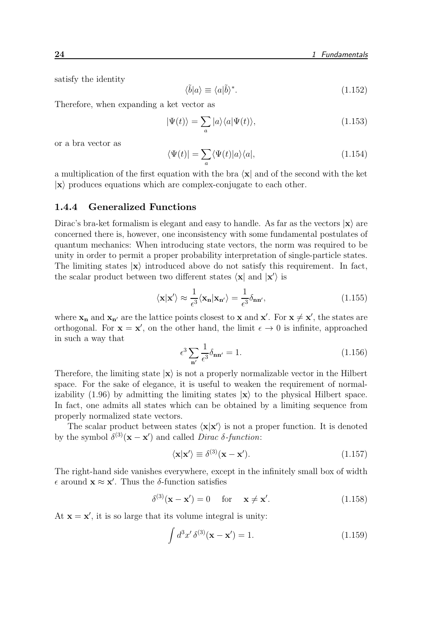satisfy the identity

$$
\langle \tilde{b} | a \rangle \equiv \langle a | \tilde{b} \rangle^*.
$$
\n(1.152)

Therefore, when expanding a ket vector as

$$
|\Psi(t)\rangle = \sum_{a} |a\rangle\langle a|\Psi(t)\rangle, \qquad (1.153)
$$

or a bra vector as

$$
\langle \Psi(t) | = \sum_{a} \langle \Psi(t) | a \rangle \langle a |, \tag{1.154}
$$

a multiplication of the first equation with the bra  $\langle x |$  and of the second with the ket  $|x\rangle$  produces equations which are complex-conjugate to each other.

#### 1.4.4 Generalized Functions

Dirac's bra-ket formalism is elegant and easy to handle. As far as the vectors  $|\mathbf{x}\rangle$  are concerned there is, however, one inconsistency with some fundamental postulates of quantum mechanics: When introducing state vectors, the norm was required to be unity in order to permit a proper probability interpretation of single-particle states. The limiting states  $|x\rangle$  introduced above do not satisfy this requirement. In fact, the scalar product between two different states  $\langle \mathbf{x} |$  and  $| \mathbf{x}' \rangle$  is

$$
\langle \mathbf{x} | \mathbf{x}' \rangle \approx \frac{1}{\epsilon^3} \langle \mathbf{x}_n | \mathbf{x}_{n'} \rangle = \frac{1}{\epsilon^3} \delta_{nn'}, \qquad (1.155)
$$

where  $\mathbf{x}_n$  and  $\mathbf{x}_n'$  are the lattice points closest to  $\mathbf{x}$  and  $\mathbf{x}'$ . For  $\mathbf{x} \neq \mathbf{x}'$ , the states are orthogonal. For  $\mathbf{x} = \mathbf{x}'$ , on the other hand, the limit  $\epsilon \to 0$  is infinite, approached in such a way that

$$
\epsilon^3 \sum_{\mathbf{n}'} \frac{1}{\epsilon^3} \delta_{\mathbf{n} \mathbf{n}'} = 1. \tag{1.156}
$$

Therefore, the limiting state  $|x\rangle$  is not a properly normalizable vector in the Hilbert space. For the sake of elegance, it is useful to weaken the requirement of normalizability (1.96) by admitting the limiting states  $|x\rangle$  to the physical Hilbert space. In fact, one admits all states which can be obtained by a limiting sequence from properly normalized state vectors.

The scalar product between states  $\langle \mathbf{x} | \mathbf{x}' \rangle$  is not a proper function. It is denoted by the symbol  $\delta^{(3)}(\mathbf{x} - \mathbf{x}')$  and called *Dirac*  $\delta$ -function:

$$
\langle \mathbf{x} | \mathbf{x}' \rangle \equiv \delta^{(3)}(\mathbf{x} - \mathbf{x}'). \tag{1.157}
$$

The right-hand side vanishes everywhere, except in the infinitely small box of width  $\epsilon$  around  $\mathbf{x} \approx \mathbf{x}'$ . Thus the  $\delta$ -function satisfies

$$
\delta^{(3)}(\mathbf{x} - \mathbf{x}') = 0 \quad \text{for} \quad \mathbf{x} \neq \mathbf{x}'. \tag{1.158}
$$

At  $\mathbf{x} = \mathbf{x}'$ , it is so large that its volume integral is unity:

$$
\int d^3x' \,\delta^{(3)}(\mathbf{x} - \mathbf{x}') = 1. \tag{1.159}
$$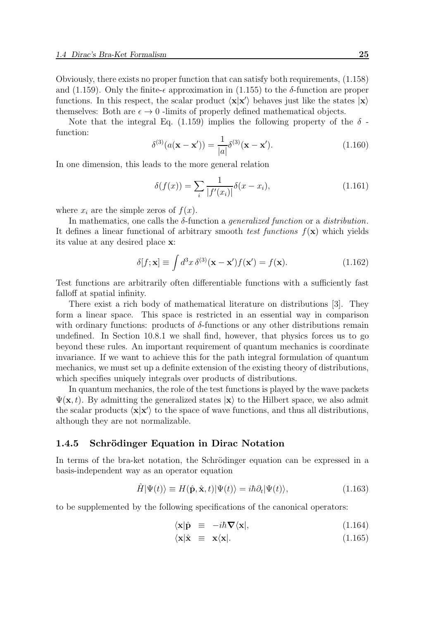Obviously, there exists no proper function that can satisfy both requirements, (1.158) and (1.159). Only the finite- $\epsilon$  approximation in (1.155) to the  $\delta$ -function are proper functions. In this respect, the scalar product  $\langle x|x'\rangle$  behaves just like the states  $|x\rangle$ themselves: Both are  $\epsilon \to 0$  -limits of properly defined mathematical objects.

Note that the integral Eq. (1.159) implies the following property of the  $\delta$ function:

$$
\delta^{(3)}(a(\mathbf{x} - \mathbf{x}')) = \frac{1}{|a|} \delta^{(3)}(\mathbf{x} - \mathbf{x}').
$$
 (1.160)

In one dimension, this leads to the more general relation

$$
\delta(f(x)) = \sum_{i} \frac{1}{|f'(x_i)|} \delta(x - x_i),
$$
\n(1.161)

where  $x_i$  are the simple zeros of  $f(x)$ .

In mathematics, one calls the  $\delta$ -function a *generalized function* or a *distribution*. It defines a linear functional of arbitrary smooth test functions  $f(\mathbf{x})$  which yields its value at any desired place x:

$$
\delta[f; \mathbf{x}] \equiv \int d^3x \, \delta^{(3)}(\mathbf{x} - \mathbf{x}') f(\mathbf{x}') = f(\mathbf{x}). \tag{1.162}
$$

Test functions are arbitrarily often differentiable functions with a sufficiently fast falloff at spatial infinity.

There exist a rich body of mathematical literature on distributions [3]. They form a linear space. This space is restricted in an essential way in comparison with ordinary functions: products of  $\delta$ -functions or any other distributions remain undefined. In Section 10.8.1 we shall find, however, that physics forces us to go beyond these rules. An important requirement of quantum mechanics is coordinate invariance. If we want to achieve this for the path integral formulation of quantum mechanics, we must set up a definite extension of the existing theory of distributions, which specifies uniquely integrals over products of distributions.

In quantum mechanics, the role of the test functions is played by the wave packets  $\Psi(\mathbf{x}, t)$ . By admitting the generalized states  $|\mathbf{x}\rangle$  to the Hilbert space, we also admit the scalar products  $\langle \mathbf{x} | \mathbf{x'} \rangle$  to the space of wave functions, and thus all distributions, although they are not normalizable.

#### 1.4.5 Schrödinger Equation in Dirac Notation

In terms of the bra-ket notation, the Schrödinger equation can be expressed in a basis-independent way as an operator equation

$$
\hat{H}|\Psi(t)\rangle \equiv H(\hat{\mathbf{p}}, \hat{\mathbf{x}}, t)|\Psi(t)\rangle = i\hbar \partial_t|\Psi(t)\rangle, \tag{1.163}
$$

to be supplemented by the following specifications of the canonical operators:

$$
\langle \mathbf{x} | \hat{\mathbf{p}} \equiv -i\hbar \nabla \langle \mathbf{x} |, \tag{1.164}
$$

$$
\langle \mathbf{x} | \hat{\mathbf{x}} \equiv \mathbf{x} \langle \mathbf{x} |. \tag{1.165}
$$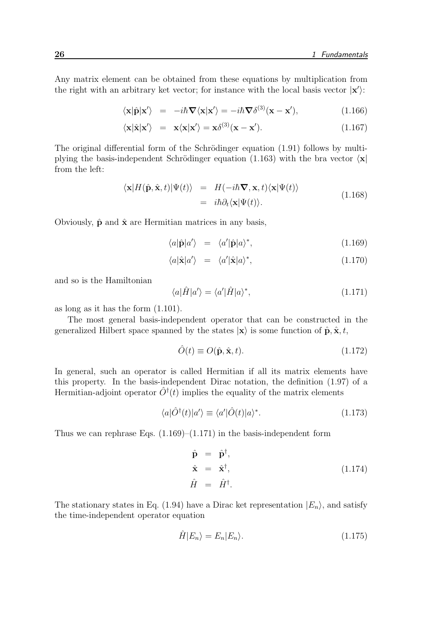Any matrix element can be obtained from these equations by multiplication from the right with an arbitrary ket vector; for instance with the local basis vector  $|\mathbf{x}'\rangle$ :

$$
\langle \mathbf{x} | \hat{\mathbf{p}} | \mathbf{x}' \rangle = -i\hbar \nabla \langle \mathbf{x} | \mathbf{x}' \rangle = -i\hbar \nabla \delta^{(3)} (\mathbf{x} - \mathbf{x}'), \qquad (1.166)
$$

$$
\langle \mathbf{x} | \hat{\mathbf{x}} | \mathbf{x'} \rangle = \mathbf{x} \langle \mathbf{x} | \mathbf{x'} \rangle = \mathbf{x} \delta^{(3)} (\mathbf{x} - \mathbf{x'}).
$$
 (1.167)

The original differential form of the Schrödinger equation  $(1.91)$  follows by multiplying the basis-independent Schrödinger equation (1.163) with the bra vector  $\langle \mathbf{x} |$ from the left:

$$
\langle \mathbf{x} | H(\hat{\mathbf{p}}, \hat{\mathbf{x}}, t) | \Psi(t) \rangle = H(-i\hbar \nabla, \mathbf{x}, t) \langle \mathbf{x} | \Psi(t) \rangle = i\hbar \partial_t \langle \mathbf{x} | \Psi(t) \rangle.
$$
 (1.168)

Obviously,  $\hat{\mathbf{p}}$  and  $\hat{\mathbf{x}}$  are Hermitian matrices in any basis,

$$
\langle a|\hat{\mathbf{p}}|a'\rangle = \langle a'|\hat{\mathbf{p}}|a\rangle^*,\tag{1.169}
$$

$$
\langle a|\hat{\mathbf{x}}|a'\rangle = \langle a'|\hat{\mathbf{x}}|a\rangle^*,\tag{1.170}
$$

and so is the Hamiltonian

$$
\langle a|\hat{H}|a'\rangle = \langle a'|\hat{H}|a\rangle^*,\tag{1.171}
$$

as long as it has the form (1.101).

The most general basis-independent operator that can be constructed in the generalized Hilbert space spanned by the states  $|\mathbf{x}\rangle$  is some function of  $\hat{\mathbf{p}}, \hat{\mathbf{x}}, t$ ,

$$
\hat{O}(t) \equiv O(\hat{\mathbf{p}}, \hat{\mathbf{x}}, t). \tag{1.172}
$$

In general, such an operator is called Hermitian if all its matrix elements have this property. In the basis-independent Dirac notation, the definition (1.97) of a Hermitian-adjoint operator  $\hat{O}^{\dagger}(t)$  implies the equality of the matrix elements

$$
\langle a|\hat{O}^{\dagger}(t)|a'\rangle \equiv \langle a'|\hat{O}(t)|a\rangle^*.
$$
 (1.173)

Thus we can rephrase Eqs.  $(1.169)$ – $(1.171)$  in the basis-independent form

$$
\hat{\mathbf{p}} = \hat{\mathbf{p}}^{\dagger}, \n\hat{\mathbf{x}} = \hat{\mathbf{x}}^{\dagger}, \n\hat{H} = \hat{H}^{\dagger}.
$$
\n(1.174)

The stationary states in Eq. (1.94) have a Dirac ket representation  $|E_n\rangle$ , and satisfy the time-independent operator equation

$$
\hat{H}|E_n\rangle = E_n|E_n\rangle. \tag{1.175}
$$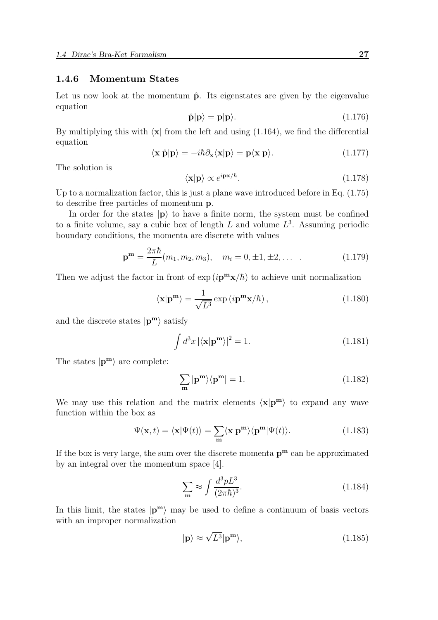#### 1.4.6 Momentum States

Let us now look at the momentum  $\hat{p}$ . Its eigenstates are given by the eigenvalue equation

$$
\hat{\mathbf{p}}|\mathbf{p}\rangle = \mathbf{p}|\mathbf{p}\rangle. \tag{1.176}
$$

By multiplying this with  $\langle x |$  from the left and using (1.164), we find the differential equation

$$
\langle \mathbf{x} | \hat{\mathbf{p}} | \mathbf{p} \rangle = -i\hbar \partial_{\mathbf{x}} \langle \mathbf{x} | \mathbf{p} \rangle = \mathbf{p} \langle \mathbf{x} | \mathbf{p} \rangle. \tag{1.177}
$$

The solution is

$$
\langle \mathbf{x} | \mathbf{p} \rangle \propto e^{i \mathbf{p} \mathbf{x}/\hbar}.
$$
 (1.178)

Up to a normalization factor, this is just a plane wave introduced before in Eq.  $(1.75)$ to describe free particles of momentum p.

In order for the states  $|p\rangle$  to have a finite norm, the system must be confined to a finite volume, say a cubic box of length  $L$  and volume  $L^3$ . Assuming periodic boundary conditions, the momenta are discrete with values

$$
\mathbf{p}^{\mathbf{m}} = \frac{2\pi\hbar}{L}(m_1, m_2, m_3), \quad m_i = 0, \pm 1, \pm 2, \dots \tag{1.179}
$$

Then we adjust the factor in front of  $\exp(i\mathbf{p}^{\mathbf{m}}\mathbf{x}/\hbar)$  to achieve unit normalization

$$
\langle \mathbf{x} | \mathbf{p}^{\mathbf{m}} \rangle = \frac{1}{\sqrt{L^3}} \exp(i \mathbf{p}^{\mathbf{m}} \mathbf{x} / \hbar), \qquad (1.180)
$$

and the discrete states  $|\mathbf{p}^{\mathbf{m}}\rangle$  satisfy

$$
\int d^3x \left| \langle \mathbf{x} | \mathbf{p}^{\mathbf{m}} \rangle \right|^2 = 1. \tag{1.181}
$$

The states  $|\mathbf{p}^{\mathbf{m}}\rangle$  are complete:

$$
\sum_{\mathbf{m}} |\mathbf{p}^{\mathbf{m}}\rangle\langle\mathbf{p}^{\mathbf{m}}| = 1.
$$
 (1.182)

We may use this relation and the matrix elements  $\langle x|p^m\rangle$  to expand any wave function within the box as

$$
\Psi(\mathbf{x},t) = \langle \mathbf{x} | \Psi(t) \rangle = \sum_{\mathbf{m}} \langle \mathbf{x} | \mathbf{p}^{\mathbf{m}} \rangle \langle \mathbf{p}^{\mathbf{m}} | \Psi(t) \rangle.
$$
 (1.183)

If the box is very large, the sum over the discrete momenta  $p^m$  can be approximated by an integral over the momentum space [4].

$$
\sum_{\mathbf{m}} \approx \int \frac{d^3 p L^3}{(2\pi\hbar)^3}.\tag{1.184}
$$

In this limit, the states  $|\mathbf{p}^{\mathbf{m}}\rangle$  may be used to define a continuum of basis vectors with an improper normalization

$$
|\mathbf{p}\rangle \approx \sqrt{L^3}|\mathbf{p}^{\mathbf{m}}\rangle,\tag{1.185}
$$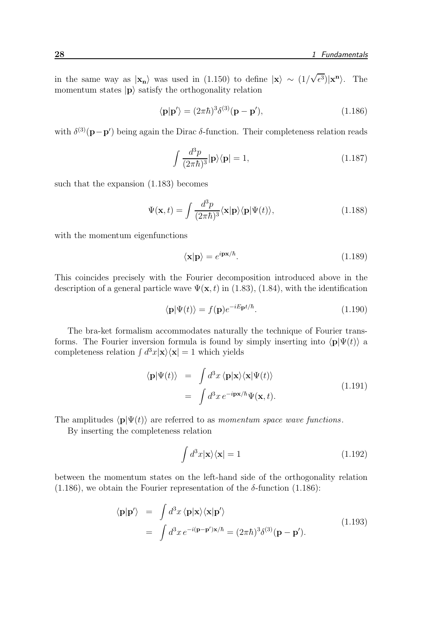in the same way as  $|x_n\rangle$  was used in (1.150) to define  $|x\rangle \sim (1/\sqrt{\epsilon^3})|x^n\rangle$ . The momentum states  $|p\rangle$  satisfy the orthogonality relation

$$
\langle \mathbf{p} | \mathbf{p}' \rangle = (2\pi \hbar)^3 \delta^{(3)} (\mathbf{p} - \mathbf{p}'), \tag{1.186}
$$

with  $\delta^{(3)}(\mathbf{p}-\mathbf{p}')$  being again the Dirac  $\delta$ -function. Their completeness relation reads

$$
\int \frac{d^3p}{(2\pi\hbar)^3} |\mathbf{p}\rangle \langle \mathbf{p}| = 1,
$$
\n(1.187)

such that the expansion (1.183) becomes

$$
\Psi(\mathbf{x},t) = \int \frac{d^3p}{(2\pi\hbar)^3} \langle \mathbf{x} | \mathbf{p} \rangle \langle \mathbf{p} | \Psi(t) \rangle, \tag{1.188}
$$

with the momentum eigenfunctions

$$
\langle \mathbf{x} | \mathbf{p} \rangle = e^{i \mathbf{p} \mathbf{x}/\hbar}.
$$
 (1.189)

This coincides precisely with the Fourier decomposition introduced above in the description of a general particle wave  $\Psi(\mathbf{x}, t)$  in (1.83), (1.84), with the identification

$$
\langle \mathbf{p} | \Psi(t) \rangle = f(\mathbf{p}) e^{-iE_{\mathbf{p}}t/\hbar}.
$$
\n(1.190)

The bra-ket formalism accommodates naturally the technique of Fourier transforms. The Fourier inversion formula is found by simply inserting into  $\langle \mathbf{p} | \Psi(t) \rangle$  a completeness relation  $\int d^3x |\mathbf{x}\rangle\langle\mathbf{x}| = 1$  which yields

$$
\langle \mathbf{p} | \Psi(t) \rangle = \int d^3x \, \langle \mathbf{p} | \mathbf{x} \rangle \langle \mathbf{x} | \Psi(t) \rangle = \int d^3x \, e^{-i\mathbf{p}\mathbf{x}/\hbar} \Psi(\mathbf{x}, t).
$$
 (1.191)

The amplitudes  $\langle \mathbf{p} | \Psi(t) \rangle$  are referred to as momentum space wave functions.

By inserting the completeness relation

$$
\int d^3x |\mathbf{x}\rangle\langle\mathbf{x}| = 1\tag{1.192}
$$

between the momentum states on the left-hand side of the orthogonality relation (1.186), we obtain the Fourier representation of the  $\delta$ -function (1.186):

$$
\langle \mathbf{p} | \mathbf{p}' \rangle = \int d^3x \, \langle \mathbf{p} | \mathbf{x} \rangle \langle \mathbf{x} | \mathbf{p}' \rangle
$$
\n
$$
= \int d^3x \, e^{-i(\mathbf{p} - \mathbf{p}') \mathbf{x}/\hbar} = (2\pi \hbar)^3 \delta^{(3)}(\mathbf{p} - \mathbf{p}'). \tag{1.193}
$$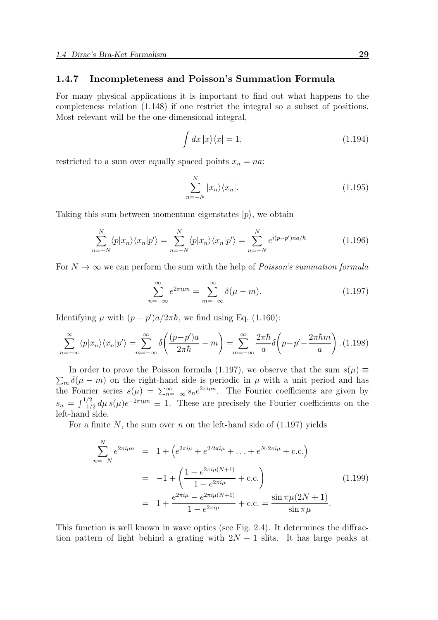# 1.4.7 Incompleteness and Poisson's Summation Formula

For many physical applications it is important to find out what happens to the completeness relation (1.148) if one restrict the integral so a subset of positions. Most relevant will be the one-dimensional integral,

$$
\int dx \, |x\rangle\langle x| = 1,\tag{1.194}
$$

restricted to a sum over equally spaced points  $x_n = na$ :

$$
\sum_{n=-N}^{N} |x_n\rangle \langle x_n|.
$$
\n(1.195)

Taking this sum between momentum eigenstates  $|p\rangle$ , we obtain

$$
\sum_{n=-N}^{N} \langle p|x_n\rangle \langle x_n|p'\rangle = \sum_{n=-N}^{N} \langle p|x_n\rangle \langle x_n|p'\rangle = \sum_{n=-N}^{N} e^{i(p-p')na/\hbar}
$$
(1.196)

For  $N \to \infty$  we can perform the sum with the help of *Poisson's summation formula* 

$$
\sum_{n=-\infty}^{\infty} e^{2\pi i \mu n} = \sum_{m=-\infty}^{\infty} \delta(\mu - m). \tag{1.197}
$$

Identifying  $\mu$  with  $(p - p')a/2\pi\hbar$ , we find using Eq. (1.160):

$$
\sum_{n=-\infty}^{\infty} \langle p | x_n \rangle \langle x_n | p' \rangle = \sum_{m=-\infty}^{\infty} \delta \left( \frac{(p-p')a}{2\pi\hbar} - m \right) = \sum_{m=-\infty}^{\infty} \frac{2\pi\hbar}{a} \delta \left( p - p' - \frac{2\pi\hbar m}{a} \right). (1.198)
$$

In order to prove the Poisson formula (1.197), we observe that the sum  $s(\mu) \equiv$  $\sum_{m} \delta(\mu - m)$  on the right-hand side is periodic in  $\mu$  with a unit period and has the Fourier series  $s(\mu) = \sum_{n=-\infty}^{\infty} s_n e^{2\pi i \mu n}$ . The Fourier coefficients are given by  $s_n = \int_{-\frac{1}{2}}^{\frac{1}{2}} d\mu s(\mu) e^{-2\pi i \mu n} \equiv 1$ . These are precisely the Fourier coefficients on the left-hand side.

For a finite N, the sum over n on the left-hand side of  $(1.197)$  yields

$$
\sum_{n=-N}^{N} e^{2\pi i \mu n} = 1 + \left( e^{2\pi i \mu} + e^{2\cdot 2\pi i \mu} + \dots + e^{N\cdot 2\pi i \mu} + \text{c.c.} \right)
$$
  
= 
$$
-1 + \left( \frac{1 - e^{2\pi i \mu (N+1)}}{1 - e^{2\pi i \mu}} + \text{c.c.} \right)
$$
  
= 
$$
1 + \frac{e^{2\pi i \mu} - e^{2\pi i \mu (N+1)}}{1 - e^{2\pi i \mu}} + \text{c.c.} = \frac{\sin \pi \mu (2N+1)}{\sin \pi \mu}.
$$
 (1.199)

This function is well known in wave optics (see Fig. 2.4). It determines the diffraction pattern of light behind a grating with  $2N + 1$  slits. It has large peaks at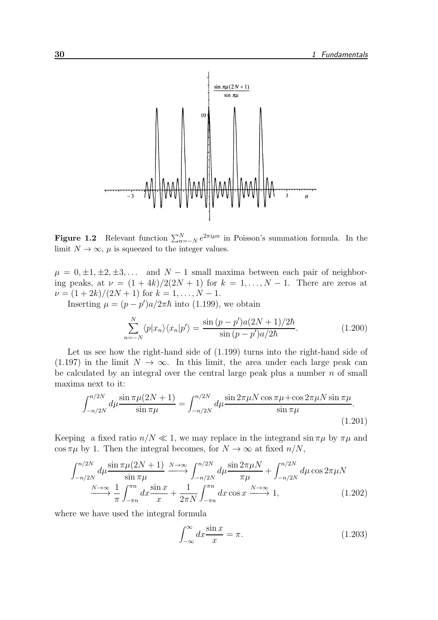

**Figure 1.2** Relevant function  $\sum_{n=-N}^{N} e^{2\pi i \mu n}$  in Poisson's summation formula. In the limit  $N \to \infty$ ,  $\mu$  is squeezed to the integer values.

 $\mu = 0, \pm 1, \pm 2, \pm 3, \ldots$  and  $N - 1$  small maxima between each pair of neighboring peaks, at  $\nu = (1+4k)/2(2N+1)$  for  $k = 1, ..., N-1$ . There are zeros at  $\nu = (1 + 2k)/(2N + 1)$  for  $k = 1, ..., N - 1$ .

Inserting  $\mu = (p - p')a/2\pi\hbar$  into (1.199), we obtain

$$
\sum_{n=-N}^{N} \langle p|x_n \rangle \langle x_n | p' \rangle = \frac{\sin (p-p')a(2N+1)/2\hbar}{\sin (p-p')a/2\hbar}.
$$
 (1.200)

Let us see how the right-hand side of (1.199) turns into the right-hand side of (1.197) in the limit  $N \to \infty$ . In this limit, the area under each large peak can be calculated by an integral over the central large peak plus a number  $n$  of small maxima next to it:

$$
\int_{-n/2N}^{n/2N} d\mu \frac{\sin \pi \mu (2N+1)}{\sin \pi \mu} = \int_{-n/2N}^{n/2N} d\mu \frac{\sin 2\pi \mu N \cos \pi \mu + \cos 2\pi \mu N \sin \pi \mu}{\sin \pi \mu}.
$$
\n(1.201)

Keeping a fixed ratio  $n/N \ll 1$ , we may replace in the integrand sin  $\pi\mu$  by  $\pi\mu$  and  $\cos \pi \mu$  by 1. Then the integral becomes, for  $N \to \infty$  at fixed  $n/N$ ,

$$
\int_{-n/2N}^{n/2N} d\mu \frac{\sin \pi \mu (2N+1)}{\sin \pi \mu} \xrightarrow{N \to \infty} \int_{-n/2N}^{n/2N} d\mu \frac{\sin 2\pi \mu N}{\pi \mu} + \int_{-n/2N}^{n/2N} d\mu \cos 2\pi \mu N
$$
  

$$
\xrightarrow{N \to \infty} \frac{1}{\pi} \int_{-\pi n}^{\pi n} dx \frac{\sin x}{x} + \frac{1}{2\pi N} \int_{-\pi n}^{\pi n} dx \cos x \xrightarrow{N \to \infty} 1,
$$
 (1.202)

where we have used the integral formula

$$
\int_{-\infty}^{\infty} dx \frac{\sin x}{x} = \pi.
$$
 (1.203)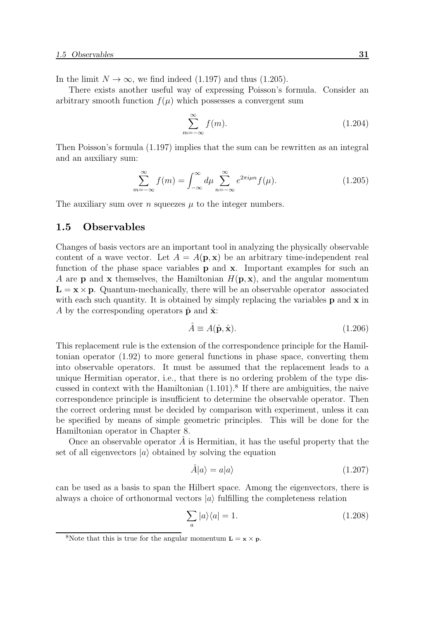In the limit  $N \to \infty$ , we find indeed (1.197) and thus (1.205).

There exists another useful way of expressing Poisson's formula. Consider an arbitrary smooth function  $f(\mu)$  which possesses a convergent sum

$$
\sum_{m=-\infty}^{\infty} f(m). \tag{1.204}
$$

Then Poisson's formula (1.197) implies that the sum can be rewritten as an integral and an auxiliary sum:

$$
\sum_{m=-\infty}^{\infty} f(m) = \int_{-\infty}^{\infty} d\mu \sum_{n=-\infty}^{\infty} e^{2\pi i \mu n} f(\mu).
$$
 (1.205)

The auxiliary sum over *n* squeezes  $\mu$  to the integer numbers.

# 1.5 Observables

Changes of basis vectors are an important tool in analyzing the physically observable content of a wave vector. Let  $A = A(\mathbf{p}, \mathbf{x})$  be an arbitrary time-independent real function of the phase space variables p and x. Important examples for such an A are **p** and **x** themselves, the Hamiltonian  $H(\mathbf{p}, \mathbf{x})$ , and the angular momentum  $\mathbf{L} = \mathbf{x} \times \mathbf{p}$ . Quantum-mechanically, there will be an observable operator associated with each such quantity. It is obtained by simply replacing the variables **p** and **x** in A by the corresponding operators  $\hat{\mathbf{p}}$  and  $\hat{\mathbf{x}}$ :

$$
\hat{A} \equiv A(\hat{\mathbf{p}}, \hat{\mathbf{x}}). \tag{1.206}
$$

This replacement rule is the extension of the correspondence principle for the Hamiltonian operator (1.92) to more general functions in phase space, converting them into observable operators. It must be assumed that the replacement leads to a unique Hermitian operator, i.e., that there is no ordering problem of the type discussed in context with the Hamiltonian  $(1.101)^8$  If there are ambiguities, the naive correspondence principle is insufficient to determine the observable operator. Then the correct ordering must be decided by comparison with experiment, unless it can be specified by means of simple geometric principles. This will be done for the Hamiltonian operator in Chapter 8.

Once an observable operator  $A$  is Hermitian, it has the useful property that the set of all eigenvectors  $|a\rangle$  obtained by solving the equation

$$
\hat{A}|a\rangle = a|a\rangle \tag{1.207}
$$

can be used as a basis to span the Hilbert space. Among the eigenvectors, there is always a choice of orthonormal vectors  $|a\rangle$  fulfilling the completeness relation

$$
\sum_{a} |a\rangle\langle a| = 1. \tag{1.208}
$$

<sup>&</sup>lt;sup>8</sup>Note that this is true for the angular momentum  $\mathbf{L} = \mathbf{x} \times \mathbf{p}$ .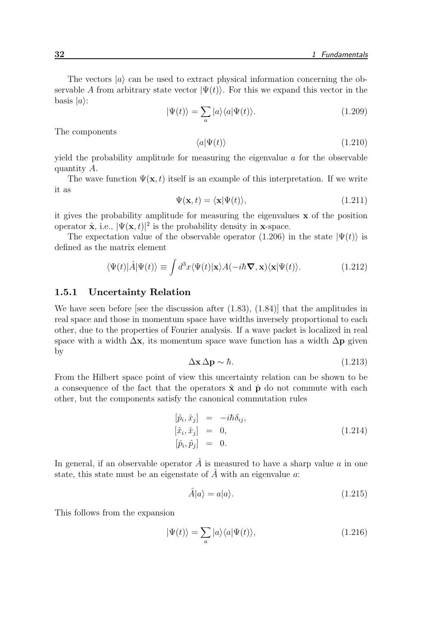The vectors  $|a\rangle$  can be used to extract physical information concerning the observable A from arbitrary state vector  $|\Psi(t)\rangle$ . For this we expand this vector in the basis  $|a\rangle$ :

$$
|\Psi(t)\rangle = \sum_{a} |a\rangle\langle a|\Psi(t)\rangle.
$$
 (1.209)

The components

$$
\langle a|\Psi(t)\rangle\tag{1.210}
$$

yield the probability amplitude for measuring the eigenvalue  $\alpha$  for the observable quantity A.

The wave function  $\Psi(\mathbf{x},t)$  itself is an example of this interpretation. If we write it as

$$
\Psi(\mathbf{x},t) = \langle \mathbf{x} | \Psi(t) \rangle, \tag{1.211}
$$

it gives the probability amplitude for measuring the eigenvalues x of the position operator  $\hat{\mathbf{x}}$ , i.e.,  $|\Psi(\mathbf{x},t)|^2$  is the probability density in **x**-space.

The expectation value of the observable operator (1.206) in the state  $|\Psi(t)\rangle$  is defined as the matrix element

$$
\langle \Psi(t) | \hat{A} | \Psi(t) \rangle \equiv \int d^3x \langle \Psi(t) | \mathbf{x} \rangle A(-i\hbar \mathbf{\nabla}, \mathbf{x}) \langle \mathbf{x} | \Psi(t) \rangle.
$$
 (1.212)

#### 1.5.1 Uncertainty Relation

We have seen before [see the discussion after  $(1.83)$ ,  $(1.84)$ ] that the amplitudes in real space and those in momentum space have widths inversely proportional to each other, due to the properties of Fourier analysis. If a wave packet is localized in real space with a width  $\Delta x$ , its momentum space wave function has a width  $\Delta p$  given by

$$
\Delta \mathbf{x} \, \Delta \mathbf{p} \sim \hbar. \tag{1.213}
$$

From the Hilbert space point of view this uncertainty relation can be shown to be a consequence of the fact that the operators  $\hat{\mathbf{x}}$  and  $\hat{\mathbf{p}}$  do not commute with each other, but the components satisfy the canonical commutation rules

$$
\begin{array}{rcl}\n[\hat{p}_i, \hat{x}_j] & = & -i\hbar \delta_{ij}, \\
[\hat{x}_i, \hat{x}_j] & = & 0, \\
[\hat{p}_i, \hat{p}_j] & = & 0.\n\end{array}\n\tag{1.214}
$$

In general, if an observable operator  $\hat{A}$  is measured to have a sharp value a in one state, this state must be an eigenstate of  $\hat{A}$  with an eigenvalue a:

$$
\hat{A}|a\rangle = a|a\rangle. \tag{1.215}
$$

This follows from the expansion

$$
|\Psi(t)\rangle = \sum_{a} |a\rangle\langle a|\Psi(t)\rangle, \qquad (1.216)
$$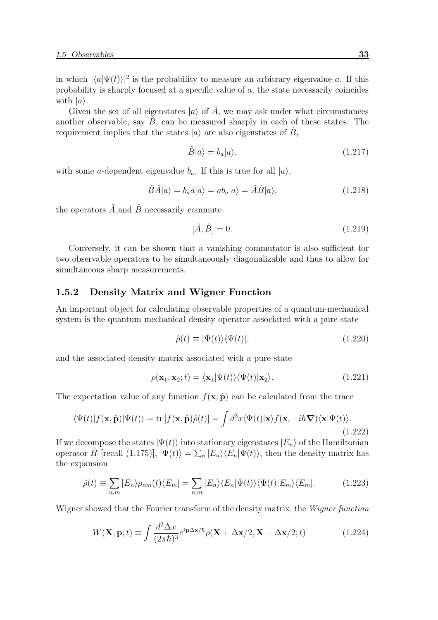in which  $|\langle a|\Psi(t)\rangle|^2$  is the probability to measure an arbitrary eigenvalue a. If this probability is sharply focused at a specific value of a, the state necessarily coincides with  $|a\rangle$ .

Given the set of all eigenstates  $|a\rangle$  of  $\hat{A}$ , we may ask under what circumstances another observable, say  $\hat{B}$ , can be measured sharply in each of these states. The requirement implies that the states  $|a\rangle$  are also eigenstates of  $\hat{B}$ ,

$$
\hat{B}|a\rangle = b_a|a\rangle,\tag{1.217}
$$

with some *a*-dependent eigenvalue  $b_a$ . If this is true for all  $|a\rangle$ ,

$$
\hat{B}\hat{A}|a\rangle = b_a a|a\rangle = ab_a|a\rangle = \hat{A}\hat{B}|a\rangle, \qquad (1.218)
$$

the operators  $\hat{A}$  and  $\hat{B}$  necessarily commute:

$$
[\hat{A}, \hat{B}] = 0.
$$
\n(1.219)

Conversely, it can be shown that a vanishing commutator is also sufficient for two observable operators to be simultaneously diagonalizable and thus to allow for simultaneous sharp measurements.

# 1.5.2 Density Matrix and Wigner Function

An important object for calculating observable properties of a quantum-mechanical system is the quantum mechanical density operator associated with a pure state

$$
\hat{\rho}(t) \equiv |\Psi(t)\rangle\langle\Psi(t)|,\tag{1.220}
$$

and the associated density matrix associated with a pure state

$$
\rho(\mathbf{x}_1, \mathbf{x}_2; t) = \langle \mathbf{x}_1 | \Psi(t) \rangle \langle \Psi(t) | \mathbf{x}_2 \rangle.
$$
 (1.221)

The expectation value of any function  $f(\mathbf{x}, \hat{\mathbf{p}})$  can be calculated from the trace

$$
\langle \Psi(t) | f(\mathbf{x}, \hat{\mathbf{p}}) | \Psi(t) \rangle = \text{tr} \left[ f(\mathbf{x}, \hat{\mathbf{p}}) \hat{\rho}(t) \right] = \int d^3x \langle \Psi(t) | \mathbf{x} \rangle f(\mathbf{x}, -i\hbar \boldsymbol{\nabla}) \langle \mathbf{x} | \Psi(t) \rangle. \tag{1.222}
$$

If we decompose the states  $|\Psi(t)\rangle$  into stationary eigenstates  $|E_n\rangle$  of the Hamiltonian operator  $\hat{H}$  [recall (1.175)],  $|\Psi(t)\rangle = \sum_{n}|E_n\rangle\langle E_n|\Psi(t)\rangle$ , then the density matrix has the expansion

$$
\hat{\rho}(t) \equiv \sum_{n,m} |E_n\rangle \rho_{nm}(t) \langle E_m| = \sum_{n,m} |E_n\rangle \langle E_n| \Psi(t) \rangle \langle \Psi(t) | E_m \rangle \langle E_m|.
$$
\n(1.223)

Wigner showed that the Fourier transform of the density matrix, the Wigner function

$$
W(\mathbf{X}, \mathbf{p}; t) \equiv \int \frac{d^3 \Delta x}{(2\pi \hbar)^3} e^{i\mathbf{p}\Delta \mathbf{x}/\hbar} \rho(\mathbf{X} + \Delta \mathbf{x}/2, \mathbf{X} - \Delta \mathbf{x}/2; t)
$$
 (1.224)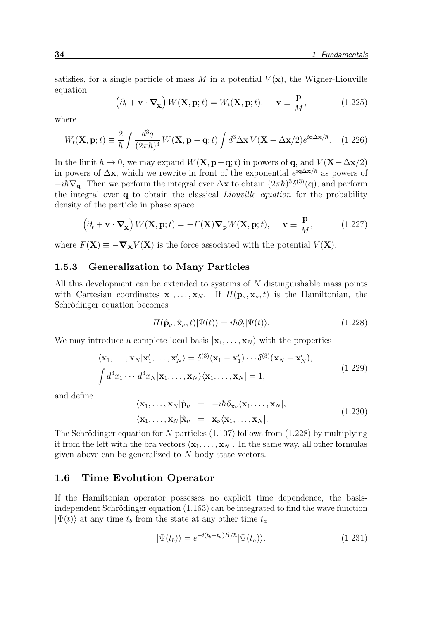satisfies, for a single particle of mass M in a potential  $V(\mathbf{x})$ , the Wigner-Liouville equation

$$
\left(\partial_t + \mathbf{v} \cdot \nabla_{\mathbf{X}}\right) W(\mathbf{X}, \mathbf{p}; t) = W_t(\mathbf{X}, \mathbf{p}; t), \quad \mathbf{v} \equiv \frac{\mathbf{p}}{M}, \quad (1.225)
$$

where

$$
W_t(\mathbf{X}, \mathbf{p}; t) \equiv \frac{2}{\hbar} \int \frac{d^3q}{(2\pi\hbar)^3} W(\mathbf{X}, \mathbf{p} - \mathbf{q}; t) \int d^3\Delta \mathbf{x} V(\mathbf{X} - \Delta \mathbf{x}/2) e^{i\mathbf{q}\Delta \mathbf{x}/\hbar}.
$$
 (1.226)

In the limit  $\hbar \to 0$ , we may expand  $W(\mathbf{X}, \mathbf{p}-\mathbf{q};t)$  in powers of q, and  $V(\mathbf{X}-\Delta \mathbf{x}/2)$ in powers of  $\Delta x$ , which we rewrite in front of the exponential  $e^{i\mathbf{q}\Delta x/\hbar}$  as powers of  $-i\hbar\nabla_{\bf q}$ . Then we perform the integral over  $\Delta {\bf x}$  to obtain  $(2\pi\hbar)^3 \delta^{(3)}({\bf q})$ , and perform the integral over  $q$  to obtain the classical *Liouville equation* for the probability density of the particle in phase space

$$
\left(\partial_t + \mathbf{v} \cdot \nabla_{\mathbf{X}}\right) W(\mathbf{X}, \mathbf{p}; t) = -F(\mathbf{X}) \nabla_{\mathbf{p}} W(\mathbf{X}, \mathbf{p}; t), \quad \mathbf{v} \equiv \frac{\mathbf{p}}{M},\tag{1.227}
$$

where  $F(\mathbf{X}) \equiv -\nabla_{\mathbf{X}} V(\mathbf{X})$  is the force associated with the potential  $V(\mathbf{X})$ .

#### 1.5.3 Generalization to Many Particles

All this development can be extended to systems of  $N$  distinguishable mass points with Cartesian coordinates  $x_1, \ldots, x_N$ . If  $H(\mathbf{p}_{\nu}, \mathbf{x}_{\nu}, t)$  is the Hamiltonian, the Schrödinger equation becomes

$$
H(\hat{\mathbf{p}}_{\nu}, \hat{\mathbf{x}}_{\nu}, t) | \Psi(t) \rangle = i\hbar \partial_t | \Psi(t) \rangle.
$$
 (1.228)

We may introduce a complete local basis  $|\mathbf{x}_1, \dots, \mathbf{x}_N\rangle$  with the properties

$$
\langle \mathbf{x}_1, \dots, \mathbf{x}_N | \mathbf{x}'_1, \dots, \mathbf{x}'_N \rangle = \delta^{(3)}(\mathbf{x}_1 - \mathbf{x}'_1) \cdots \delta^{(3)}(\mathbf{x}_N - \mathbf{x}'_N),
$$
  

$$
\int d^3 x_1 \cdots d^3 x_N | \mathbf{x}_1, \dots, \mathbf{x}_N \rangle \langle \mathbf{x}_1, \dots, \mathbf{x}_N | = 1,
$$
 (1.229)

and define

$$
\langle \mathbf{x}_1, \dots, \mathbf{x}_N | \hat{\mathbf{p}}_\nu = -i\hbar \partial_{\mathbf{x}_\nu} \langle \mathbf{x}_1, \dots, \mathbf{x}_N |,
$$
  
\n
$$
\langle \mathbf{x}_1, \dots, \mathbf{x}_N | \hat{\mathbf{x}}_\nu = \mathbf{x}_\nu \langle \mathbf{x}_1, \dots, \mathbf{x}_N |.
$$
\n(1.230)

The Schrödinger equation for N particles  $(1.107)$  follows from  $(1.228)$  by multiplying it from the left with the bra vectors  $\langle \mathbf{x}_1, \ldots, \mathbf{x}_N |$ . In the same way, all other formulas given above can be generalized to N-body state vectors.

#### 1.6 Time Evolution Operator

If the Hamiltonian operator possesses no explicit time dependence, the basisindependent Schrödinger equation  $(1.163)$  can be integrated to find the wave function  $|\Psi(t)\rangle$  at any time  $t_b$  from the state at any other time  $t_a$ 

$$
|\Psi(t_b)\rangle = e^{-i(t_b - t_a)\hat{H}/\hbar}|\Psi(t_a)\rangle.
$$
 (1.231)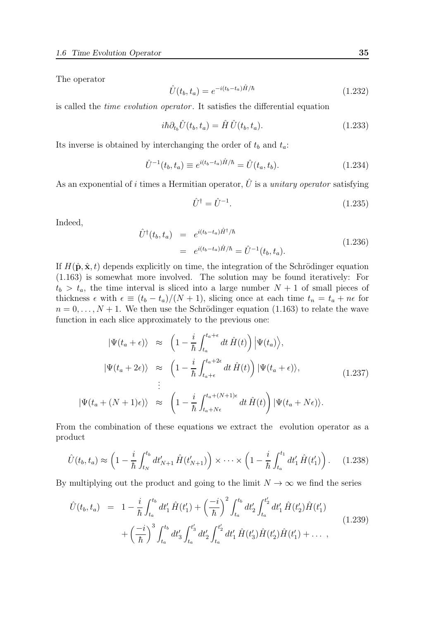The operator

$$
\hat{U}(t_b, t_a) = e^{-i(t_b - t_a)\hat{H}/\hbar} \tag{1.232}
$$

is called the time evolution operator . It satisfies the differential equation

$$
i\hbar \partial_{t_b} \hat{U}(t_b, t_a) = \hat{H} \hat{U}(t_b, t_a). \tag{1.233}
$$

Its inverse is obtained by interchanging the order of  $t_b$  and  $t_a$ :

$$
\hat{U}^{-1}(t_b, t_a) \equiv e^{i(t_b - t_a)\hat{H}/\hbar} = \hat{U}(t_a, t_b).
$$
\n(1.234)

As an exponential of i times a Hermitian operator,  $\hat{U}$  is a *unitary operator* satisfying

$$
\hat{U}^{\dagger} = \hat{U}^{-1}.\tag{1.235}
$$

Indeed,

$$
\hat{U}^{\dagger}(t_b, t_a) = e^{i(t_b - t_a)\hat{H}^{\dagger}/\hbar} \n= e^{i(t_b - t_a)\hat{H}/\hbar} = \hat{U}^{-1}(t_b, t_a).
$$
\n(1.236)

If  $H(\hat{\mathbf{p}}, \hat{\mathbf{x}}, t)$  depends explicitly on time, the integration of the Schrödinger equation (1.163) is somewhat more involved. The solution may be found iteratively: For  $t_b > t_a$ , the time interval is sliced into a large number  $N + 1$  of small pieces of thickness  $\epsilon$  with  $\epsilon \equiv (t_b - t_a)/(N + 1)$ , slicing once at each time  $t_n = t_a + n\epsilon$  for  $n = 0, \ldots, N + 1$ . We then use the Schrödinger equation (1.163) to relate the wave function in each slice approximately to the previous one:

$$
|\Psi(t_a + \epsilon)\rangle \approx \left(1 - \frac{i}{\hbar} \int_{t_a}^{t_a + \epsilon} dt \hat{H}(t)\right) |\Psi(t_a)\rangle,
$$
  
\n
$$
|\Psi(t_a + 2\epsilon)\rangle \approx \left(1 - \frac{i}{\hbar} \int_{t_a + \epsilon}^{t_a + 2\epsilon} dt \hat{H}(t)\right) |\Psi(t_a + \epsilon)\rangle,
$$
  
\n
$$
\vdots
$$
  
\n
$$
|\Psi(t_a + (N+1)\epsilon)\rangle \approx \left(1 - \frac{i}{\hbar} \int_{t_a + N\epsilon}^{t_a + (N+1)\epsilon} dt \hat{H}(t)\right) |\Psi(t_a + N\epsilon)\rangle.
$$
 (1.237)

From the combination of these equations we extract the evolution operator as a product

$$
\hat{U}(t_b, t_a) \approx \left(1 - \frac{i}{\hbar} \int_{t_N}^{t_b} dt'_{N+1} \hat{H}(t'_{N+1})\right) \times \cdots \times \left(1 - \frac{i}{\hbar} \int_{t_a}^{t_1} dt'_1 \hat{H}(t'_1)\right). \tag{1.238}
$$

By multiplying out the product and going to the limit  $N \to \infty$  we find the series

$$
\hat{U}(t_b, t_a) = 1 - \frac{i}{\hbar} \int_{t_a}^{t_b} dt'_1 \hat{H}(t'_1) + \left(\frac{-i}{\hbar}\right)^2 \int_{t_a}^{t_b} dt'_2 \int_{t_a}^{t'_2} dt'_1 \hat{H}(t'_2) \hat{H}(t'_1) \n+ \left(\frac{-i}{\hbar}\right)^3 \int_{t_a}^{t_b} dt'_3 \int_{t_a}^{t'_3} dt'_2 \int_{t_a}^{t'_2} dt'_1 \hat{H}(t'_3) \hat{H}(t'_2) \hat{H}(t'_1) + \dots ,
$$
\n(1.239)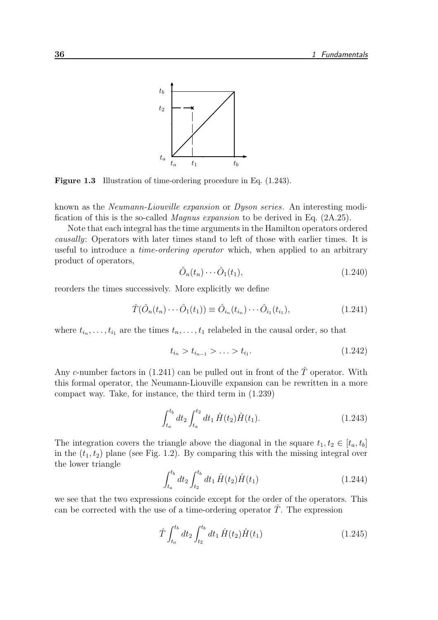

Figure 1.3 Illustration of time-ordering procedure in Eq. (1.243).

known as the Neumann-Liouville expansion or Dyson series. An interesting modification of this is the so-called Magnus expansion to be derived in Eq. (2A.25).

Note that each integral has the time arguments in the Hamilton operators ordered causally: Operators with later times stand to left of those with earlier times. It is useful to introduce a time-ordering operator which, when applied to an arbitrary product of operators,

$$
\hat{O}_n(t_n)\cdots\hat{O}_1(t_1),\tag{1.240}
$$

reorders the times successively. More explicitly we define

$$
\hat{T}(\hat{O}_n(t_n)\cdots\hat{O}_1(t_1)) \equiv \hat{O}_{i_n}(t_{i_n})\cdots\hat{O}_{i_1}(t_{i_1}),
$$
\n(1.241)

where  $t_{i_n}, \ldots, t_{i_1}$  are the times  $t_n, \ldots, t_1$  relabeled in the causal order, so that

$$
t_{i_n} > t_{i_{n-1}} > \ldots > t_{i_1}.\tag{1.242}
$$

Any c-number factors in (1.241) can be pulled out in front of the  $\hat{T}$  operator. With this formal operator, the Neumann-Liouville expansion can be rewritten in a more compact way. Take, for instance, the third term in (1.239)

$$
\int_{t_a}^{t_b} dt_2 \int_{t_a}^{t_2} dt_1 \hat{H}(t_2) \hat{H}(t_1).
$$
 (1.243)

The integration covers the triangle above the diagonal in the square  $t_1, t_2 \in [t_a, t_b]$ in the  $(t_1, t_2)$  plane (see Fig. 1.2). By comparing this with the missing integral over the lower triangle

$$
\int_{t_a}^{t_b} dt_2 \int_{t_2}^{t_b} dt_1 \hat{H}(t_2) \hat{H}(t_1) \tag{1.244}
$$

we see that the two expressions coincide except for the order of the operators. This can be corrected with the use of a time-ordering operator  $T$ . The expression

$$
\hat{T} \int_{t_a}^{t_b} dt_2 \int_{t_2}^{t_b} dt_1 \hat{H}(t_2) \hat{H}(t_1) \tag{1.245}
$$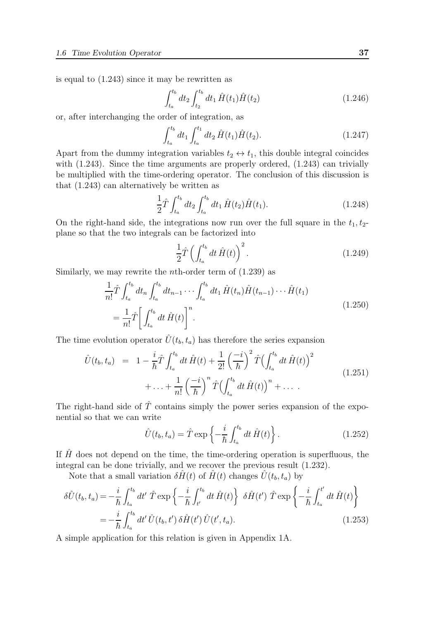is equal to (1.243) since it may be rewritten as

$$
\int_{t_a}^{t_b} dt_2 \int_{t_2}^{t_b} dt_1 \hat{H}(t_1) \hat{H}(t_2)
$$
\n(1.246)

or, after interchanging the order of integration, as

$$
\int_{t_a}^{t_b} dt_1 \int_{t_a}^{t_1} dt_2 \hat{H}(t_1) \hat{H}(t_2).
$$
 (1.247)

Apart from the dummy integration variables  $t_2 \leftrightarrow t_1$ , this double integral coincides with  $(1.243)$ . Since the time arguments are properly ordered,  $(1.243)$  can trivially be multiplied with the time-ordering operator. The conclusion of this discussion is that (1.243) can alternatively be written as

$$
\frac{1}{2}\hat{T}\int_{t_a}^{t_b} dt_2 \int_{t_a}^{t_b} dt_1 \hat{H}(t_2)\hat{H}(t_1).
$$
\n(1.248)

On the right-hand side, the integrations now run over the full square in the  $t_1, t_2$ plane so that the two integrals can be factorized into

$$
\frac{1}{2}\hat{T}\left(\int_{t_a}^{t_b} dt \,\hat{H}(t)\right)^2.
$$
\n(1.249)

Similarly, we may rewrite the *n*th-order term of  $(1.239)$  as

$$
\frac{1}{n!}\hat{T}\int_{t_a}^{t_b} dt_n \int_{t_a}^{t_b} dt_{n-1} \cdots \int_{t_a}^{t_b} dt_1 \hat{H}(t_n) \hat{H}(t_{n-1}) \cdots \hat{H}(t_1) \n= \frac{1}{n!}\hat{T}\bigg[\int_{t_a}^{t_b} dt \hat{H}(t)\bigg]^n.
$$
\n(1.250)

The time evolution operator  $\hat{U}(t_b, t_a)$  has therefore the series expansion

$$
\hat{U}(t_b, t_a) = 1 - \frac{i}{\hbar} \hat{T} \int_{t_a}^{t_b} dt \,\hat{H}(t) + \frac{1}{2!} \left(\frac{-i}{\hbar}\right)^2 \hat{T} \Bigl(\int_{t_a}^{t_b} dt \,\hat{H}(t)\Bigr)^2 \n+ \dots + \frac{1}{n!} \left(\frac{-i}{\hbar}\right)^n \hat{T} \Bigl(\int_{t_a}^{t_b} dt \,\hat{H}(t)\Bigr)^n + \dots
$$
\n(1.251)

The right-hand side of  $\hat{T}$  contains simply the power series expansion of the exponential so that we can write

$$
\hat{U}(t_b, t_a) = \hat{T} \exp\left\{-\frac{i}{\hbar} \int_{t_a}^{t_b} dt \,\hat{H}(t)\right\}.
$$
\n(1.252)

If  $\hat{H}$  does not depend on the time, the time-ordering operation is superfluous, the integral can be done trivially, and we recover the previous result (1.232).

Note that a small variation  $\delta \hat{H}(t)$  of  $\hat{H}(t)$  changes  $\hat{U}(t_b, t_a)$  by

$$
\delta\hat{U}(t_b, t_a) = -\frac{i}{\hbar} \int_{t_a}^{t_b} dt' \hat{T} \exp\left\{-\frac{i}{\hbar} \int_{t'}^{t_b} dt \hat{H}(t)\right\} \delta\hat{H}(t') \hat{T} \exp\left\{-\frac{i}{\hbar} \int_{t_a}^{t'} dt \hat{H}(t)\right\}
$$

$$
= -\frac{i}{\hbar} \int_{t_a}^{t_b} dt' \hat{U}(t_b, t') \delta\hat{H}(t') \hat{U}(t', t_a). \tag{1.253}
$$

A simple application for this relation is given in Appendix 1A.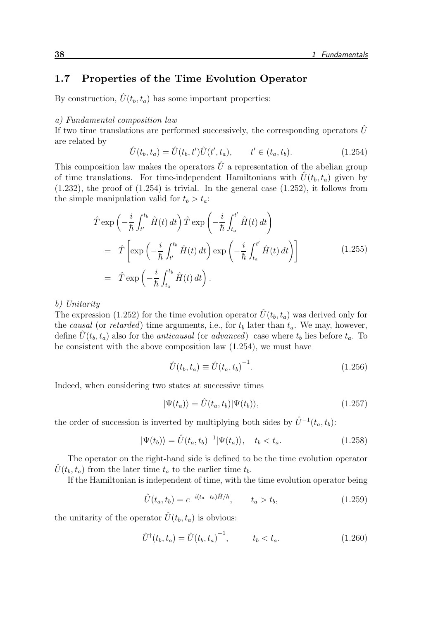# 1.7 Properties of the Time Evolution Operator

By construction,  $\hat{U}(t_b, t_a)$  has some important properties:

#### a) Fundamental composition law

If two time translations are performed successively, the corresponding operators  $\hat{U}$ are related by

$$
\hat{U}(t_b, t_a) = \hat{U}(t_b, t')\hat{U}(t', t_a), \qquad t' \in (t_a, t_b).
$$
\n(1.254)

This composition law makes the operators  $\hat{U}$  a representation of the abelian group of time translations. For time-independent Hamiltonians with  $\hat{U}(t_b, t_a)$  given by  $(1.232)$ , the proof of  $(1.254)$  is trivial. In the general case  $(1.252)$ , it follows from the simple manipulation valid for  $t_b > t_a$ :

$$
\hat{T} \exp\left(-\frac{i}{\hbar} \int_{t'}^{t_b} \hat{H}(t) dt\right) \hat{T} \exp\left(-\frac{i}{\hbar} \int_{t_a}^{t'} \hat{H}(t) dt\right)
$$
\n
$$
= \hat{T} \left[ \exp\left(-\frac{i}{\hbar} \int_{t'}^{t_b} \hat{H}(t) dt\right) \exp\left(-\frac{i}{\hbar} \int_{t_a}^{t'} \hat{H}(t) dt\right) \right]
$$
\n
$$
= \hat{T} \exp\left(-\frac{i}{\hbar} \int_{t_a}^{t_b} \hat{H}(t) dt\right).
$$
\n(1.255)

b) Unitarity

The expression (1.252) for the time evolution operator  $\hat{U}(t_b, t_a)$  was derived only for the causal (or retarded) time arguments, i.e., for  $t_b$  later than  $t_a$ . We may, however, define  $\hat{U}(t_b, t_a)$  also for the *anticausal* (or *advanced*) case where  $t_b$  lies before  $t_a$ . To be consistent with the above composition law (1.254), we must have

$$
\hat{U}(t_b, t_a) \equiv \hat{U}(t_a, t_b)^{-1}.
$$
\n(1.256)

Indeed, when considering two states at successive times

$$
|\Psi(t_a)\rangle = \hat{U}(t_a, t_b)|\Psi(t_b)\rangle,
$$
\n(1.257)

the order of succession is inverted by multiplying both sides by  $\hat{U}^{-1}(t_a, t_b)$ :

$$
|\Psi(t_b)\rangle = \hat{U}(t_a, t_b)^{-1} |\Psi(t_a)\rangle, \quad t_b < t_a. \tag{1.258}
$$

The operator on the right-hand side is defined to be the time evolution operator  $\hat{U}(t_b, t_a)$  from the later time  $t_a$  to the earlier time  $t_b$ .

If the Hamiltonian is independent of time, with the time evolution operator being

$$
\hat{U}(t_a, t_b) = e^{-i(t_a - t_b)\hat{H}/\hbar}, \qquad t_a > t_b,
$$
\n(1.259)

the unitarity of the operator  $\hat{U}(t_b, t_a)$  is obvious:

$$
\hat{U}^{\dagger}(t_b, t_a) = \hat{U}(t_b, t_a)^{-1}, \qquad t_b < t_a.
$$
\n(1.260)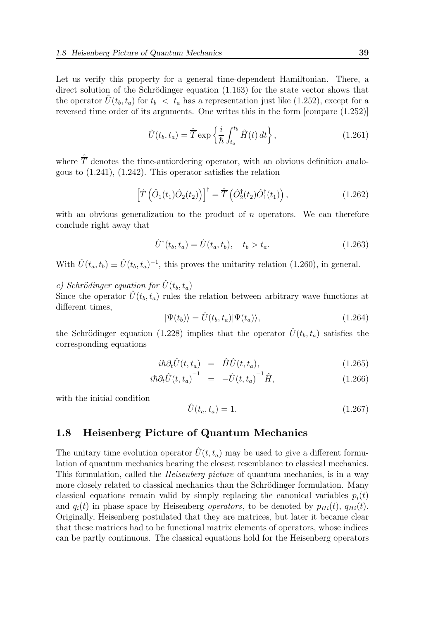Let us verify this property for a general time-dependent Hamiltonian. There, a direct solution of the Schrödinger equation  $(1.163)$  for the state vector shows that the operator  $\hat{U}(t_b, t_a)$  for  $t_b < t_a$  has a representation just like (1.252), except for a reversed time order of its arguments. One writes this in the form [compare (1.252)]

$$
\hat{U}(t_b, t_a) = \hat{T} \exp\left\{\frac{i}{\hbar} \int_{t_a}^{t_b} \hat{H}(t) dt\right\},\qquad(1.261)
$$

where  $\hat{\overline{T}}$  denotes the time-antiordering operator, with an obvious definition analogous to (1.241), (1.242). This operator satisfies the relation

$$
\left[\hat{T}\left(\hat{O}_1(t_1)\hat{O}_2(t_2)\right)\right]^{\dagger} = \hat{\overline{T}}\left(\hat{O}_2^{\dagger}(t_2)\hat{O}_1^{\dagger}(t_1)\right),\tag{1.262}
$$

with an obvious generalization to the product of  $n$  operators. We can therefore conclude right away that

$$
\hat{U}^{\dagger}(t_b, t_a) = \hat{U}(t_a, t_b), \quad t_b > t_a.
$$
\n(1.263)

With  $\hat{U}(t_a, t_b) \equiv \hat{U}(t_b, t_a)^{-1}$ , this proves the unitarity relation (1.260), in general.

c) Schrödinger equation for  $\hat{U}(t_b, t_a)$ 

Since the operator  $\hat{U}(t_b, t_a)$  rules the relation between arbitrary wave functions at different times,

$$
|\Psi(t_b)\rangle = \hat{U}(t_b, t_a)|\Psi(t_a)\rangle, \qquad (1.264)
$$

the Schrödinger equation (1.228) implies that the operator  $\hat{U}(t_b, t_a)$  satisfies the corresponding equations

$$
i\hbar \partial_t \hat{U}(t, t_a) = \hat{H}\hat{U}(t, t_a), \qquad (1.265)
$$

$$
i\hbar \partial_t \hat{U}(t, t_a)^{-1} = -\hat{U}(t, t_a)^{-1} \hat{H}, \qquad (1.266)
$$

with the initial condition

$$
\hat{U}(t_a, t_a) = 1.
$$
\n(1.267)

# 1.8 Heisenberg Picture of Quantum Mechanics

The unitary time evolution operator  $\hat{U}(t, t_a)$  may be used to give a different formulation of quantum mechanics bearing the closest resemblance to classical mechanics. This formulation, called the *Heisenberg picture* of quantum mechanics, is in a way more closely related to classical mechanics than the Schrödinger formulation. Many classical equations remain valid by simply replacing the canonical variables  $p_i(t)$ and  $q_i(t)$  in phase space by Heisenberg *operators*, to be denoted by  $p_{Hi}(t)$ ,  $q_{Hi}(t)$ . Originally, Heisenberg postulated that they are matrices, but later it became clear that these matrices had to be functional matrix elements of operators, whose indices can be partly continuous. The classical equations hold for the Heisenberg operators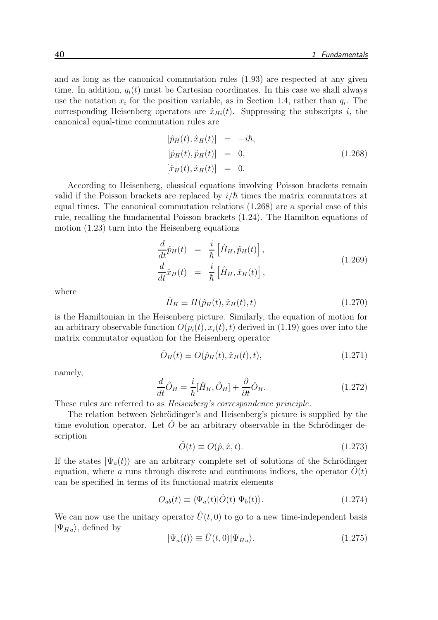and as long as the canonical commutation rules (1.93) are respected at any given time. In addition,  $q_i(t)$  must be Cartesian coordinates. In this case we shall always use the notation  $x_i$  for the position variable, as in Section 1.4, rather than  $q_i$ . The corresponding Heisenberg operators are  $\hat{x}_{Hi}(t)$ . Suppressing the subscripts i, the canonical equal-time commutation rules are

$$
[\hat{p}_H(t), \hat{x}_H(t)] = -i\hbar,
$$
  
\n
$$
[\hat{p}_H(t), \hat{p}_H(t)] = 0,
$$
  
\n
$$
[\hat{x}_H(t), \hat{x}_H(t)] = 0.
$$
\n(1.268)

According to Heisenberg, classical equations involving Poisson brackets remain valid if the Poisson brackets are replaced by  $i/\hbar$  times the matrix commutators at equal times. The canonical commutation relations (1.268) are a special case of this rule, recalling the fundamental Poisson brackets (1.24). The Hamilton equations of motion (1.23) turn into the Heisenberg equations

$$
\frac{d}{dt}\hat{p}_H(t) = \frac{i}{\hbar} \left[ \hat{H}_H, \hat{p}_H(t) \right],
$$
\n
$$
\frac{d}{dt}\hat{x}_H(t) = \frac{i}{\hbar} \left[ \hat{H}_H, \hat{x}_H(t) \right],
$$
\n(1.269)

where

$$
\hat{H}_H \equiv H(\hat{p}_H(t), \hat{x}_H(t), t) \tag{1.270}
$$

is the Hamiltonian in the Heisenberg picture. Similarly, the equation of motion for an arbitrary observable function  $O(p_i(t), x_i(t), t)$  derived in (1.19) goes over into the matrix commutator equation for the Heisenberg operator

$$
\hat{O}_H(t) \equiv O(\hat{p}_H(t), \hat{x}_H(t), t), \qquad (1.271)
$$

namely,

$$
\frac{d}{dt}\hat{O}_H = \frac{i}{\hbar}[\hat{H}_H, \hat{O}_H] + \frac{\partial}{\partial t}\hat{O}_H.
$$
\n(1.272)

These rules are referred to as Heisenberg's correspondence principle.

The relation between Schrödinger's and Heisenberg's picture is supplied by the time evolution operator. Let  $\hat{O}$  be an arbitrary observable in the Schrödinger description

$$
\hat{O}(t) \equiv O(\hat{p}, \hat{x}, t). \tag{1.273}
$$

If the states  $|\Psi_a(t)\rangle$  are an arbitrary complete set of solutions of the Schrödinger equation, where a runs through discrete and continuous indices, the operator  $O(t)$ can be specified in terms of its functional matrix elements

$$
O_{ab}(t) \equiv \langle \Psi_a(t) | \hat{O}(t) | \Psi_b(t) \rangle.
$$
 (1.274)

We can now use the unitary operator  $\hat{U}(t, 0)$  to go to a new time-independent basis  $|\Psi_{Ha}\rangle$ , defined by

$$
|\Psi_a(t)\rangle \equiv \hat{U}(t,0)|\Psi_{Ha}\rangle. \tag{1.275}
$$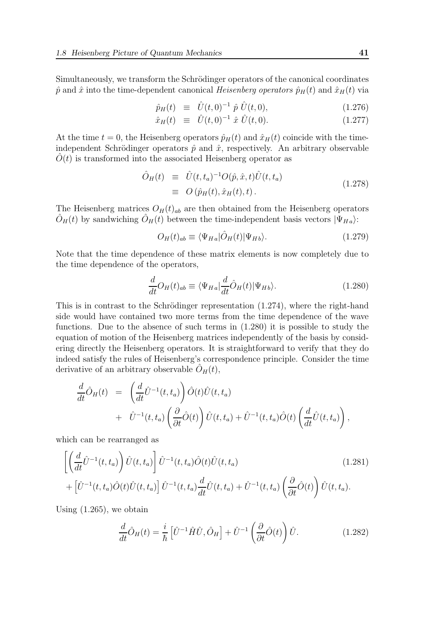Simultaneously, we transform the Schrödinger operators of the canonical coordinates  $\hat{p}$  and  $\hat{x}$  into the time-dependent canonical Heisenberg operators  $\hat{p}_H(t)$  and  $\hat{x}_H(t)$  via

$$
\hat{p}_H(t) \equiv \hat{U}(t,0)^{-1} \hat{p} \hat{U}(t,0), \qquad (1.276)
$$

$$
\hat{x}_H(t) \equiv \hat{U}(t,0)^{-1} \hat{x} \hat{U}(t,0). \qquad (1.277)
$$

At the time  $t = 0$ , the Heisenberg operators  $\hat{p}_H(t)$  and  $\hat{x}_H(t)$  coincide with the timeindependent Schrödinger operators  $\hat{p}$  and  $\hat{x}$ , respectively. An arbitrary observable  $\tilde{O}(t)$  is transformed into the associated Heisenberg operator as

$$
\hat{O}_H(t) \equiv \hat{U}(t, t_a)^{-1} O(\hat{p}, \hat{x}, t) \hat{U}(t, t_a)
$$
\n
$$
\equiv O(\hat{p}_H(t), \hat{x}_H(t), t).
$$
\n(1.278)

The Heisenberg matrices  $O_H(t)_{ab}$  are then obtained from the Heisenberg operators  $\hat{O}_H(t)$  by sandwiching  $\hat{O}_H(t)$  between the time-independent basis vectors  $|\Psi_{Ha}\rangle$ :

$$
O_H(t)_{ab} \equiv \langle \Psi_{Ha} | \hat{O}_H(t) | \Psi_{Hb} \rangle.
$$
 (1.279)

Note that the time dependence of these matrix elements is now completely due to the time dependence of the operators,

$$
\frac{d}{dt}O_H(t)_{ab} \equiv \langle \Psi_{Ha} | \frac{d}{dt}\hat{O}_H(t) | \Psi_{Hb} \rangle.
$$
\n(1.280)

This is in contrast to the Schrödinger representation  $(1.274)$ , where the right-hand side would have contained two more terms from the time dependence of the wave functions. Due to the absence of such terms in (1.280) it is possible to study the equation of motion of the Heisenberg matrices independently of the basis by considering directly the Heisenberg operators. It is straightforward to verify that they do indeed satisfy the rules of Heisenberg's correspondence principle. Consider the time derivative of an arbitrary observable  $\hat{O}_H(t)$ ,

$$
\frac{d}{dt}\hat{O}_H(t) = \left(\frac{d}{dt}\hat{U}^{-1}(t,t_a)\right)\hat{O}(t)\hat{U}(t,t_a) \n+ \hat{U}^{-1}(t,t_a)\left(\frac{\partial}{\partial t}\hat{O}(t)\right)\hat{U}(t,t_a) + \hat{U}^{-1}(t,t_a)\hat{O}(t)\left(\frac{d}{dt}\hat{U}(t,t_a)\right),
$$

which can be rearranged as

$$
\left[ \left( \frac{d}{dt} \hat{U}^{-1}(t, t_a) \right) \hat{U}(t, t_a) \right] \hat{U}^{-1}(t, t_a) \hat{O}(t) \hat{U}(t, t_a)
$$
\n
$$
+ \left[ \hat{U}^{-1}(t, t_a) \hat{O}(t) \hat{U}(t, t_a) \right] \hat{U}^{-1}(t, t_a) \frac{d}{dt} \hat{U}(t, t_a) + \hat{U}^{-1}(t, t_a) \left( \frac{\partial}{\partial t} \hat{O}(t) \right) \hat{U}(t, t_a).
$$
\n(1.281)

Using (1.265), we obtain

$$
\frac{d}{dt}\hat{O}_H(t) = \frac{i}{\hbar} \left[ \hat{U}^{-1} \hat{H} \hat{U}, \hat{O}_H \right] + \hat{U}^{-1} \left( \frac{\partial}{\partial t} \hat{O}(t) \right) \hat{U}.
$$
\n(1.282)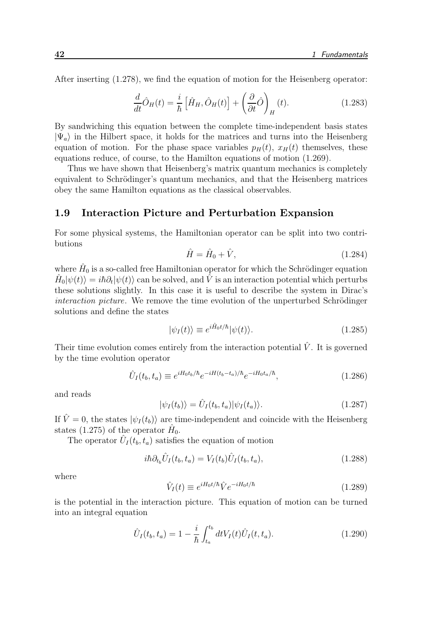After inserting (1.278), we find the equation of motion for the Heisenberg operator:

$$
\frac{d}{dt}\hat{O}_H(t) = \frac{i}{\hbar} \left[ \hat{H}_H, \hat{O}_H(t) \right] + \left( \frac{\partial}{\partial t} \hat{O} \right)_H(t). \tag{1.283}
$$

By sandwiching this equation between the complete time-independent basis states  $|\Psi_a\rangle$  in the Hilbert space, it holds for the matrices and turns into the Heisenberg equation of motion. For the phase space variables  $p_H(t)$ ,  $x_H(t)$  themselves, these equations reduce, of course, to the Hamilton equations of motion (1.269).

Thus we have shown that Heisenberg's matrix quantum mechanics is completely equivalent to Schrödinger's quantum mechanics, and that the Heisenberg matrices obey the same Hamilton equations as the classical observables.

#### 1.9 Interaction Picture and Perturbation Expansion

For some physical systems, the Hamiltonian operator can be split into two contributions

$$
\hat{H} = \hat{H}_0 + \hat{V},\tag{1.284}
$$

where  $\hat{H}_0$  is a so-called free Hamiltonian operator for which the Schrödinger equation  $\hat{H}_0|\psi(t)\rangle = i\hbar\partial_t|\psi(t)\rangle$  can be solved, and  $\hat{V}$  is an interaction potential which perturbs these solutions slightly. In this case it is useful to describe the system in Dirac's interaction picture. We remove the time evolution of the unperturbed Schrödinger solutions and define the states

$$
|\psi_I(t)\rangle \equiv e^{i\hat{H}_0 t/\hbar}|\psi(t)\rangle.
$$
 (1.285)

Their time evolution comes entirely from the interaction potential  $\hat{V}$ . It is governed by the time evolution operator

$$
\hat{U}_I(t_b, t_a) \equiv e^{iH_0t_b/\hbar} e^{-iH(t_b - t_a)/\hbar} e^{-iH_0t_a/\hbar}, \tag{1.286}
$$

and reads

$$
|\psi_I(t_b)\rangle = \hat{U}_I(t_b, t_a)|\psi_I(t_a)\rangle.
$$
 (1.287)

If  $\hat{V} = 0$ , the states  $|\psi_I(t_b)\rangle$  are time-independent and coincide with the Heisenberg states (1.275) of the operator  $\hat{H}_0$ .

The operator  $\hat{U}_I(t_b, t_a)$  satisfies the equation of motion

$$
i\hbar \partial_{t_b} \hat{U}_I(t_b, t_a) = V_I(t_b) \hat{U}_I(t_b, t_a), \qquad (1.288)
$$

where

$$
\hat{V}_I(t) \equiv e^{iH_0 t/\hbar} \hat{V} e^{-iH_0 t/\hbar} \tag{1.289}
$$

is the potential in the interaction picture. This equation of motion can be turned into an integral equation

$$
\hat{U}_I(t_b, t_a) = 1 - \frac{i}{\hbar} \int_{t_a}^{t_b} dt V_I(t) \hat{U}_I(t, t_a).
$$
\n(1.290)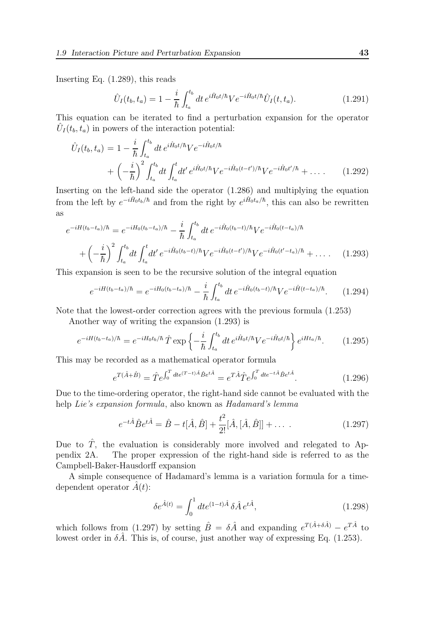Inserting Eq. (1.289), this reads

$$
\hat{U}_I(t_b, t_a) = 1 - \frac{i}{\hbar} \int_{t_a}^{t_b} dt \, e^{i\hat{H}_0 t/\hbar} V e^{-i\hat{H}_0 t/\hbar} \hat{U}_I(t, t_a).
$$
\n(1.291)

This equation can be iterated to find a perturbation expansion for the operator  $\hat{U}_I(t_b, t_a)$  in powers of the interaction potential:

$$
\hat{U}_I(t_b, t_a) = 1 - \frac{i}{\hbar} \int_{t_a}^{t_b} dt \, e^{i\hat{H}_0 t/\hbar} V e^{-i\hat{H}_0 t/\hbar} \n+ \left( -\frac{i}{\hbar} \right)^2 \int_{t_a}^{t_b} dt \int_{t_a}^t dt' \, e^{i\hat{H}_0 t/\hbar} V e^{-i\hat{H}_0 (t-t')/\hbar} V e^{-i\hat{H}_0 t'/\hbar} + \dots
$$
\n(1.292)

Inserting on the left-hand side the operator (1.286) and multiplying the equation from the left by  $e^{-i\hat{H}_0t_b/\hbar}$  and from the right by  $e^{i\hat{H}_0t_a/\hbar}$ , this can also be rewritten as

$$
e^{-iH(t_b-t_a)/\hbar} = e^{-iH_0(t_b-t_a)/\hbar} - \frac{i}{\hbar} \int_{t_a}^{t_b} dt \, e^{-i\hat{H}_0(t_b-t)/\hbar} V e^{-i\hat{H}_0(t-t_a)/\hbar} + \left(-\frac{i}{\hbar}\right)^2 \int_{t_a}^{t_b} dt \int_{t_a}^t dt' \, e^{-i\hat{H}_0(t_b-t)/\hbar} V e^{-i\hat{H}_0(t-t')/\hbar} V e^{-i\hat{H}_0(t'-t_a)/\hbar} + \dots \qquad (1.293)
$$

This expansion is seen to be the recursive solution of the integral equation

$$
e^{-iH(t_b-t_a)/\hbar} = e^{-iH_0(t_b-t_a)/\hbar} - \frac{i}{\hbar} \int_{t_a}^{t_b} dt \, e^{-i\hat{H}_0(t_b-t)/\hbar} V e^{-i\hat{H}(t-t_a)/\hbar}.\tag{1.294}
$$

Note that the lowest-order correction agrees with the previous formula (1.253)

Another way of writing the expansion (1.293) is

$$
e^{-iH(t_b - t_a)/\hbar} = e^{-iH_0t_b/\hbar} \hat{T} \exp\left\{-\frac{i}{\hbar} \int_{t_a}^{t_b} dt \, e^{i\hat{H}_0 t/\hbar} V e^{-i\hat{H}_0 t/\hbar}\right\} e^{iHt_a/\hbar}.\tag{1.295}
$$

This may be recorded as a mathematical operator formula

$$
e^{T(\hat{A}+\hat{B})} = \hat{T}e^{\int_0^T dt e^{(T-t)\hat{A}}\hat{B}e^{t\hat{A}}} = e^{T\hat{A}}\hat{T}e^{\int_0^T dt e^{-t\hat{A}}\hat{B}e^{t\hat{A}}}.
$$
(1.296)

Due to the time-ordering operator, the right-hand side cannot be evaluated with the help Lie's expansion formula, also known as Hadamard's lemma

$$
e^{-t\hat{A}}\hat{B}e^{t\hat{A}} = \hat{B} - t[\hat{A}, \hat{B}] + \frac{t^2}{2!}[\hat{A}, [\hat{A}, \hat{B}]] + \dots
$$
 (1.297)

Due to  $\hat{T}$ , the evaluation is considerably more involved and relegated to Appendix 2A. The proper expression of the right-hand side is referred to as the Campbell-Baker-Hausdorff expansion

A simple consequence of Hadamard's lemma is a variation formula for a timedependent operator  $\hat{A}(t)$ :

$$
\delta e^{\hat{A}(t)} = \int_0^1 dt e^{(1-t)\hat{A}} \,\delta \hat{A} \, e^{t\hat{A}},\tag{1.298}
$$

which follows from (1.297) by setting  $\hat{B} = \delta \hat{A}$  and expanding  $e^{T(\hat{A} + \delta \hat{A})} - e^{T\hat{A}}$  to lowest order in  $\delta \hat{A}$ . This is, of course, just another way of expressing Eq. (1.253).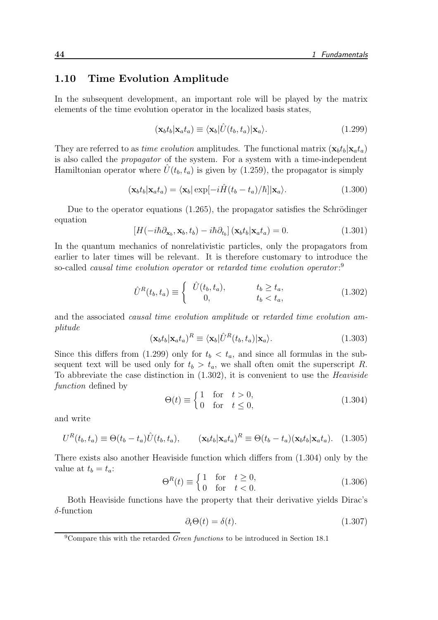#### 1.10 Time Evolution Amplitude

In the subsequent development, an important role will be played by the matrix elements of the time evolution operator in the localized basis states,

$$
(\mathbf{x}_b t_b | \mathbf{x}_a t_a) \equiv \langle \mathbf{x}_b | \hat{U}(t_b, t_a) | \mathbf{x}_a \rangle.
$$
 (1.299)

They are referred to as *time evolution* amplitudes. The functional matrix  $(\mathbf{x}_b t_b | \mathbf{x}_a t_a)$ is also called the propagator of the system. For a system with a time-independent Hamiltonian operator where  $\hat{U}(t_b, t_a)$  is given by (1.259), the propagator is simply

$$
(\mathbf{x}_b t_b | \mathbf{x}_a t_a) = \langle \mathbf{x}_b | \exp[-i\hat{H}(t_b - t_a)/\hbar] | \mathbf{x}_a \rangle.
$$
 (1.300)

Due to the operator equations  $(1.265)$ , the propagator satisfies the Schrödinger equation

$$
\left[H(-i\hbar\partial_{\mathbf{x}_b}, \mathbf{x}_b, t_b) - i\hbar\partial_{t_b}\right](\mathbf{x}_b t_b | \mathbf{x}_a t_a) = 0. \tag{1.301}
$$

In the quantum mechanics of nonrelativistic particles, only the propagators from earlier to later times will be relevant. It is therefore customary to introduce the so-called *causal time evolution operator* or *retarded time evolution operator*:<sup>9</sup>

$$
\hat{U}^R(t_b, t_a) \equiv \begin{cases}\n\hat{U}(t_b, t_a), & t_b \ge t_a, \\
0, & t_b < t_a,\n\end{cases}
$$
\n(1.302)

and the associated causal time evolution amplitude or retarded time evolution amplitude

$$
(\mathbf{x}_b t_b | \mathbf{x}_a t_a)^R \equiv \langle \mathbf{x}_b | \hat{U}^R(t_b, t_a) | \mathbf{x}_a \rangle.
$$
 (1.303)

Since this differs from (1.299) only for  $t<sub>b</sub> < t<sub>a</sub>$ , and since all formulas in the subsequent text will be used only for  $t_b > t_a$ , we shall often omit the superscript R. To abbreviate the case distinction in  $(1.302)$ , it is convenient to use the *Heaviside* function defined by

$$
\Theta(t) \equiv \begin{cases} 1 & \text{for } t > 0, \\ 0 & \text{for } t \le 0, \end{cases} \tag{1.304}
$$

and write

$$
U^{R}(t_{b},t_{a}) \equiv \Theta(t_{b}-t_{a})\hat{U}(t_{b},t_{a}), \qquad (\mathbf{x}_{b}t_{b}|\mathbf{x}_{a}t_{a})^{R} \equiv \Theta(t_{b}-t_{a})(\mathbf{x}_{b}t_{b}|\mathbf{x}_{a}t_{a}). \quad (1.305)
$$

There exists also another Heaviside function which differs from (1.304) only by the value at  $t_b = t_a$ :

$$
\Theta^R(t) \equiv \begin{cases} 1 & \text{for} \quad t \ge 0, \\ 0 & \text{for} \quad t < 0. \end{cases} \tag{1.306}
$$

Both Heaviside functions have the property that their derivative yields Dirac's  $\delta$ -function

$$
\partial_t \Theta(t) = \delta(t). \tag{1.307}
$$

 $9^9$ Compare this with the retarded *Green functions* to be introduced in Section 18.1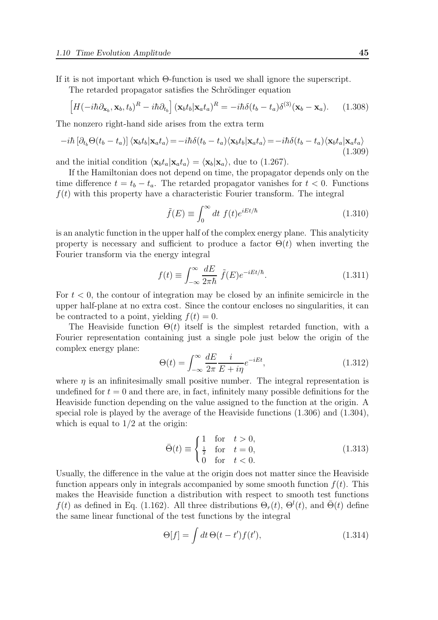If it is not important which Θ-function is used we shall ignore the superscript.

The retarded propagator satisfies the Schrödinger equation

$$
\left[H(-i\hbar\partial_{\mathbf{x}_b},\mathbf{x}_b,t_b)^R - i\hbar\partial_{t_b}\right](\mathbf{x}_b t_b|\mathbf{x}_a t_a)^R = -i\hbar\delta(t_b-t_a)\delta^{(3)}(\mathbf{x}_b-\mathbf{x}_a). \tag{1.308}
$$

The nonzero right-hand side arises from the extra term

$$
-i\hbar \left[\partial_{t_b} \Theta(t_b - t_a)\right] \langle \mathbf{x}_b t_b | \mathbf{x}_a t_a \rangle = -i\hbar \delta(t_b - t_a) \langle \mathbf{x}_b t_b | \mathbf{x}_a t_a \rangle = -i\hbar \delta(t_b - t_a) \langle \mathbf{x}_b t_a | \mathbf{x}_a t_a \rangle
$$
\n(1.309)

and the initial condition  $\langle \mathbf{x}_b t_a | \mathbf{x}_a t_a \rangle = \langle \mathbf{x}_b | \mathbf{x}_a \rangle$ , due to (1.267).

If the Hamiltonian does not depend on time, the propagator depends only on the time difference  $t = t_b - t_a$ . The retarded propagator vanishes for  $t < 0$ . Functions  $f(t)$  with this property have a characteristic Fourier transform. The integral

$$
\tilde{f}(E) \equiv \int_0^\infty dt \ f(t)e^{iEt/\hbar} \tag{1.310}
$$

is an analytic function in the upper half of the complex energy plane. This analyticity property is necessary and sufficient to produce a factor  $\Theta(t)$  when inverting the Fourier transform via the energy integral

$$
f(t) \equiv \int_{-\infty}^{\infty} \frac{dE}{2\pi\hbar} \,\tilde{f}(E) e^{-iEt/\hbar}.\tag{1.311}
$$

For  $t < 0$ , the contour of integration may be closed by an infinite semicircle in the upper half-plane at no extra cost. Since the contour encloses no singularities, it can be contracted to a point, yielding  $f(t) = 0$ .

The Heaviside function  $\Theta(t)$  itself is the simplest retarded function, with a Fourier representation containing just a single pole just below the origin of the complex energy plane:

$$
\Theta(t) = \int_{-\infty}^{\infty} \frac{dE}{2\pi} \frac{i}{E + i\eta} e^{-iEt},
$$
\n(1.312)

where  $\eta$  is an infinitesimally small positive number. The integral representation is undefined for  $t = 0$  and there are, in fact, infinitely many possible definitions for the Heaviside function depending on the value assigned to the function at the origin. A special role is played by the average of the Heaviside functions (1.306) and (1.304), which is equal to  $1/2$  at the origin:

$$
\bar{\Theta}(t) \equiv \begin{cases} 1 & \text{for } t > 0, \\ \frac{1}{2} & \text{for } t = 0, \\ 0 & \text{for } t < 0. \end{cases}
$$
 (1.313)

Usually, the difference in the value at the origin does not matter since the Heaviside function appears only in integrals accompanied by some smooth function  $f(t)$ . This makes the Heaviside function a distribution with respect to smooth test functions  $f(t)$  as defined in Eq. (1.162). All three distributions  $\Theta_r(t)$ ,  $\Theta^l(t)$ , and  $\bar{\Theta}(t)$  define the same linear functional of the test functions by the integral

$$
\Theta[f] = \int dt \,\Theta(t - t') f(t'),\tag{1.314}
$$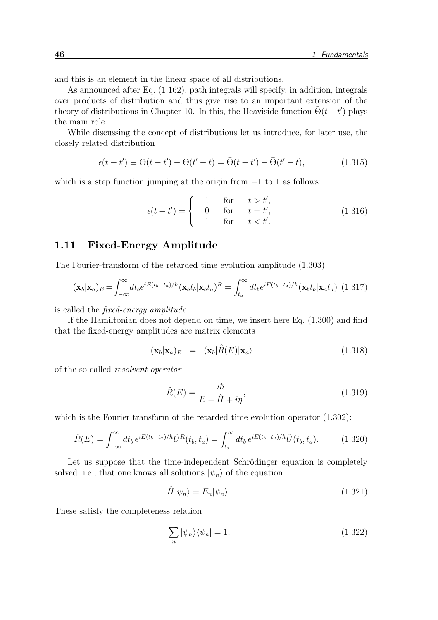and this is an element in the linear space of all distributions.

As announced after Eq. (1.162), path integrals will specify, in addition, integrals over products of distribution and thus give rise to an important extension of the theory of distributions in Chapter 10. In this, the Heaviside function  $\bar{\Theta}(t-t')$  plays the main role.

While discussing the concept of distributions let us introduce, for later use, the closely related distribution

$$
\epsilon(t - t') \equiv \Theta(t - t') - \Theta(t' - t) = \bar{\Theta}(t - t') - \bar{\Theta}(t' - t),
$$
\n(1.315)

which is a step function jumping at the origin from  $-1$  to 1 as follows:

$$
\epsilon(t - t') = \begin{cases}\n1 & \text{for} \quad t > t', \\
0 & \text{for} \quad t = t', \\
-1 & \text{for} \quad t < t'.\n\end{cases}\n\tag{1.316}
$$

## 1.11 Fixed-Energy Amplitude

The Fourier-transform of the retarded time evolution amplitude (1.303)

$$
(\mathbf{x}_b|\mathbf{x}_a)_E = \int_{-\infty}^{\infty} dt_b e^{iE(t_b - t_a)/\hbar} (\mathbf{x}_b t_b|\mathbf{x}_b t_a)^R = \int_{t_a}^{\infty} dt_b e^{iE(t_b - t_a)/\hbar} (\mathbf{x}_b t_b|\mathbf{x}_a t_a)
$$
(1.317)

is called the fixed-energy amplitude.

If the Hamiltonian does not depend on time, we insert here Eq. (1.300) and find that the fixed-energy amplitudes are matrix elements

$$
(\mathbf{x}_b|\mathbf{x}_a)_E = \langle \mathbf{x}_b|\hat{R}(E)|\mathbf{x}_a\rangle \tag{1.318}
$$

of the so-called resolvent operator

$$
\hat{R}(E) = \frac{i\hbar}{E - \hat{H} + i\eta},\tag{1.319}
$$

which is the Fourier transform of the retarded time evolution operator  $(1.302)$ :

$$
\hat{R}(E) = \int_{-\infty}^{\infty} dt_b e^{iE(t_b - t_a)/\hbar} \hat{U}^R(t_b, t_a) = \int_{t_a}^{\infty} dt_b e^{iE(t_b - t_a)/\hbar} \hat{U}(t_b, t_a).
$$
(1.320)

Let us suppose that the time-independent Schrödinger equation is completely solved, i.e., that one knows all solutions  $|\psi_n\rangle$  of the equation

$$
\hat{H}|\psi_n\rangle = E_n|\psi_n\rangle. \tag{1.321}
$$

These satisfy the completeness relation

$$
\sum_{n} |\psi_n\rangle\langle\psi_n| = 1,\tag{1.322}
$$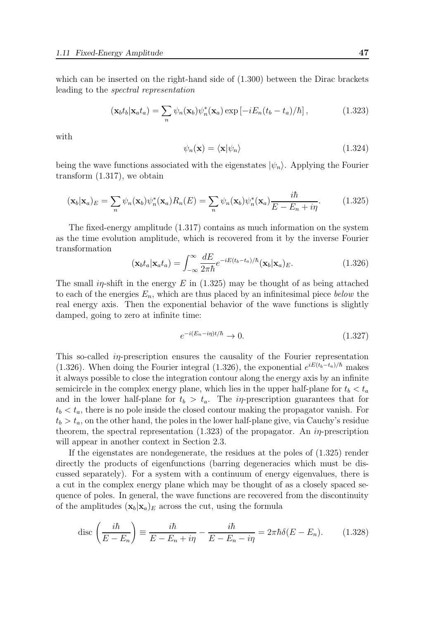which can be inserted on the right-hand side of (1.300) between the Dirac brackets leading to the spectral representation

$$
(\mathbf{x}_b t_b | \mathbf{x}_a t_a) = \sum_n \psi_n(\mathbf{x}_b) \psi_n^*(\mathbf{x}_a) \exp\left[-iE_n(t_b - t_a)/\hbar\right],\tag{1.323}
$$

with

$$
\psi_n(\mathbf{x}) = \langle \mathbf{x} | \psi_n \rangle \tag{1.324}
$$

being the wave functions associated with the eigenstates  $|\psi_n\rangle$ . Applying the Fourier transform (1.317), we obtain

$$
(\mathbf{x}_b|\mathbf{x}_a)_E = \sum_n \psi_n(\mathbf{x}_b)\psi_n^*(\mathbf{x}_a)R_n(E) = \sum_n \psi_n(\mathbf{x}_b)\psi_n^*(\mathbf{x}_a)\frac{i\hbar}{E - E_n + i\eta}.\tag{1.325}
$$

The fixed-energy amplitude (1.317) contains as much information on the system as the time evolution amplitude, which is recovered from it by the inverse Fourier transformation

$$
(\mathbf{x}_b t_a | \mathbf{x}_a t_a) = \int_{-\infty}^{\infty} \frac{dE}{2\pi\hbar} e^{-iE(t_b - t_a)/\hbar} (\mathbf{x}_b | \mathbf{x}_a)_{E}.
$$
 (1.326)

The small in-shift in the energy E in  $(1.325)$  may be thought of as being attached to each of the energies  $E_n$ , which are thus placed by an infinitesimal piece below the real energy axis. Then the exponential behavior of the wave functions is slightly damped, going to zero at infinite time:

$$
e^{-i(E_n - i\eta)t/\hbar} \to 0. \tag{1.327}
$$

This so-called *in*-prescription ensures the causality of the Fourier representation (1.326). When doing the Fourier integral (1.326), the exponential  $e^{iE(t_b-t_a)/\hbar}$  makes it always possible to close the integration contour along the energy axis by an infinite semicircle in the complex energy plane, which lies in the upper half-plane for  $t_b < t_a$ and in the lower half-plane for  $t_b > t_a$ . The *in*-prescription guarantees that for  $t_b < t_a$ , there is no pole inside the closed contour making the propagator vanish. For  $t_b > t_a$ , on the other hand, the poles in the lower half-plane give, via Cauchy's residue theorem, the spectral representation  $(1.323)$  of the propagator. An *in*-prescription will appear in another context in Section 2.3.

If the eigenstates are nondegenerate, the residues at the poles of (1.325) render directly the products of eigenfunctions (barring degeneracies which must be discussed separately). For a system with a continuum of energy eigenvalues, there is a cut in the complex energy plane which may be thought of as a closely spaced sequence of poles. In general, the wave functions are recovered from the discontinuity of the amplitudes  $(\mathbf{x}_b|\mathbf{x}_a)_{E}$  across the cut, using the formula

$$
\operatorname{disc}\left(\frac{i\hbar}{E - E_n}\right) \equiv \frac{i\hbar}{E - E_n + i\eta} - \frac{i\hbar}{E - E_n - i\eta} = 2\pi\hbar\delta(E - E_n). \tag{1.328}
$$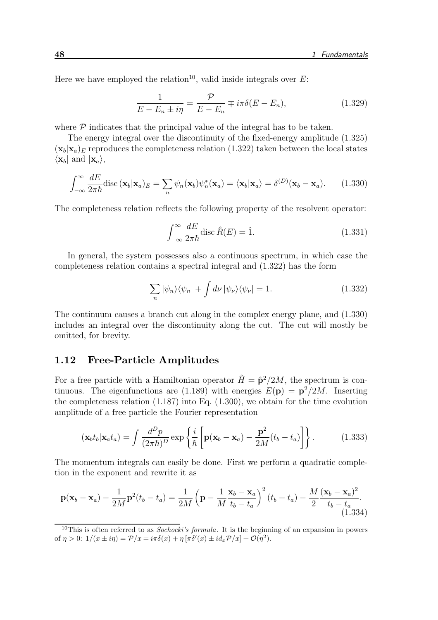Here we have employed the relation<sup>10</sup>, valid inside integrals over  $E$ :

$$
\frac{1}{E - E_n \pm i\eta} = \frac{\mathcal{P}}{E - E_n} \mp i\pi \delta(E - E_n),\tag{1.329}
$$

where  $\mathcal P$  indicates that the principal value of the integral has to be taken.

The energy integral over the discontinuity of the fixed-energy amplitude (1.325)  $(\mathbf{x}_b|\mathbf{x}_a)_E$  reproduces the completeness relation (1.322) taken between the local states  $\langle \mathbf{x}_b |$  and  $| \mathbf{x}_a \rangle$ ,

$$
\int_{-\infty}^{\infty} \frac{dE}{2\pi\hbar} \text{disc}(\mathbf{x}_b|\mathbf{x}_a)_E = \sum_n \psi_n(\mathbf{x}_b) \psi_n^*(\mathbf{x}_a) = \langle \mathbf{x}_b|\mathbf{x}_a \rangle = \delta^{(D)}(\mathbf{x}_b - \mathbf{x}_a). \tag{1.330}
$$

The completeness relation reflects the following property of the resolvent operator:

$$
\int_{-\infty}^{\infty} \frac{dE}{2\pi\hbar} \text{disc}\,\hat{R}(E) = \hat{1}.\tag{1.331}
$$

In general, the system possesses also a continuous spectrum, in which case the completeness relation contains a spectral integral and (1.322) has the form

$$
\sum_{n} |\psi_{n}\rangle\langle\psi_{n}| + \int d\nu |\psi_{\nu}\rangle\langle\psi_{\nu}| = 1.
$$
 (1.332)

The continuum causes a branch cut along in the complex energy plane, and (1.330) includes an integral over the discontinuity along the cut. The cut will mostly be omitted, for brevity.

## 1.12 Free-Particle Amplitudes

For a free particle with a Hamiltonian operator  $\hat{H} = \hat{\mathbf{p}}^2/2M$ , the spectrum is continuous. The eigenfunctions are (1.189) with energies  $E(\mathbf{p}) = \mathbf{p}^2/2M$ . Inserting the completeness relation (1.187) into Eq. (1.300), we obtain for the time evolution amplitude of a free particle the Fourier representation

$$
(\mathbf{x}_b t_b | \mathbf{x}_a t_a) = \int \frac{d^D p}{(2\pi \hbar)^D} \exp\left\{ \frac{i}{\hbar} \left[ \mathbf{p}(\mathbf{x}_b - \mathbf{x}_a) - \frac{\mathbf{p}^2}{2M} (t_b - t_a) \right] \right\}.
$$
 (1.333)

The momentum integrals can easily be done. First we perform a quadratic completion in the exponent and rewrite it as

$$
\mathbf{p}(\mathbf{x}_b - \mathbf{x}_a) - \frac{1}{2M}\mathbf{p}^2(t_b - t_a) = \frac{1}{2M} \left( \mathbf{p} - \frac{1}{M} \frac{\mathbf{x}_b - \mathbf{x}_a}{t_b - t_a} \right)^2 (t_b - t_a) - \frac{M}{2} \frac{(\mathbf{x}_b - \mathbf{x}_a)^2}{t_b - t_a}.
$$
\n(1.334)

<sup>&</sup>lt;sup>10</sup>This is often referred to as *Sochocki's formula*. It is the beginning of an expansion in powers of  $\eta > 0$ :  $1/(x \pm i\eta) = \mathcal{P}/x \mp i\pi\delta(x) + \eta [\pi\delta'(x) \pm i\frac{d_x \mathcal{P}}{x}] + \mathcal{O}(\eta^2)$ .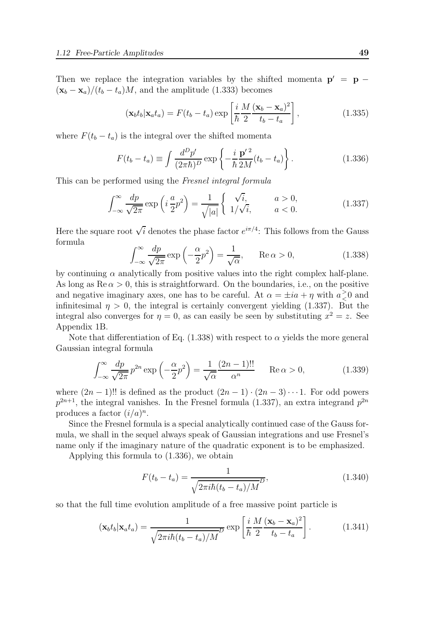Then we replace the integration variables by the shifted momenta  $p' = p (\mathbf{x}_b - \mathbf{x}_a) / (t_b - t_a) M$ , and the amplitude (1.333) becomes

$$
(\mathbf{x}_b t_b | \mathbf{x}_a t_a) = F(t_b - t_a) \exp\left[\frac{i}{\hbar} \frac{M}{2} \frac{(\mathbf{x}_b - \mathbf{x}_a)^2}{t_b - t_a}\right],
$$
\n(1.335)

where  $F(t_b - t_a)$  is the integral over the shifted momenta

$$
F(t_b - t_a) \equiv \int \frac{d^D p'}{(2\pi\hbar)^D} \exp\left\{-\frac{i}{\hbar} \frac{\mathbf{p'}^2}{2M}(t_b - t_a)\right\}.
$$
 (1.336)

This can be performed using the Fresnel integral formula

$$
\int_{-\infty}^{\infty} \frac{dp}{\sqrt{2\pi}} \exp\left(i\frac{a}{2}p^2\right) = \frac{1}{\sqrt{|a|}} \begin{cases} \sqrt{i}, & a > 0, \\ 1/\sqrt{i}, & a < 0. \end{cases}
$$
(1.337)

Here the square root  $\sqrt{i}$  denotes the phase factor  $e^{i\pi/4}$ : This follows from the Gauss formula

$$
\int_{-\infty}^{\infty} \frac{dp}{\sqrt{2\pi}} \exp\left(-\frac{\alpha}{2}p^2\right) = \frac{1}{\sqrt{\alpha}}, \quad \text{Re}\,\alpha > 0,\tag{1.338}
$$

by continuing  $\alpha$  analytically from positive values into the right complex half-plane. As long as  $\text{Re}\,\alpha > 0$ , this is straightforward. On the boundaries, i.e., on the positive and negative imaginary axes, one has to be careful. At  $\alpha = \pm ia + \eta$  with  $a \geq$  $\frac{1}{6}$  and infinitesimal  $\eta > 0$ , the integral is certainly convergent yielding (1.337). But the integral also converges for  $\eta = 0$ , as can easily be seen by substituting  $x^2 = z$ . See Appendix 1B.

Note that differentiation of Eq. (1.338) with respect to  $\alpha$  yields the more general Gaussian integral formula

$$
\int_{-\infty}^{\infty} \frac{dp}{\sqrt{2\pi}} p^{2n} \exp\left(-\frac{\alpha}{2}p^2\right) = \frac{1}{\sqrt{\alpha}} \frac{(2n-1)!!}{\alpha^n} \quad \text{Re}\,\alpha > 0,\tag{1.339}
$$

where  $(2n-1)!!$  is defined as the product  $(2n-1) \cdot (2n-3) \cdots 1$ . For odd powers  $p^{2n+1}$ , the integral vanishes. In the Fresnel formula (1.337), an extra integrand  $p^{2n}$ produces a factor  $(i/a)^n$ .

Since the Fresnel formula is a special analytically continued case of the Gauss formula, we shall in the sequel always speak of Gaussian integrations and use Fresnel's name only if the imaginary nature of the quadratic exponent is to be emphasized.

Applying this formula to (1.336), we obtain

$$
F(t_b - t_a) = \frac{1}{\sqrt{2\pi i\hbar(t_b - t_a)/M}} D,
$$
\n(1.340)

so that the full time evolution amplitude of a free massive point particle is

$$
(\mathbf{x}_b t_b | \mathbf{x}_a t_a) = \frac{1}{\sqrt{2\pi i\hbar (t_b - t_a)/M}} \exp\left[\frac{i}{\hbar} \frac{M}{2} \frac{(\mathbf{x}_b - \mathbf{x}_a)^2}{t_b - t_a}\right].
$$
 (1.341)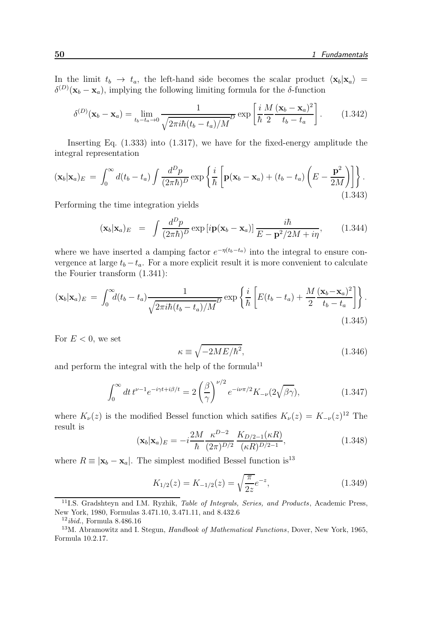In the limit  $t_b \to t_a$ , the left-hand side becomes the scalar product  $\langle x_b | x_a \rangle =$  $\delta^{(D)}(\mathbf{x}_b - \mathbf{x}_a)$ , implying the following limiting formula for the  $\delta$ -function

$$
\delta^{(D)}(\mathbf{x}_b - \mathbf{x}_a) = \lim_{t_b - t_a \to 0} \frac{1}{\sqrt{2\pi i\hbar (t_b - t_a)/M}} \exp\left[\frac{i}{\hbar} \frac{M}{2} \frac{(\mathbf{x}_b - \mathbf{x}_a)^2}{t_b - t_a}\right].
$$
 (1.342)

Inserting Eq. (1.333) into (1.317), we have for the fixed-energy amplitude the integral representation

$$
(\mathbf{x}_b|\mathbf{x}_a)_E = \int_0^\infty d(t_b - t_a) \int \frac{d^D p}{(2\pi\hbar)^D} \exp\left\{\frac{i}{\hbar} \left[\mathbf{p}(\mathbf{x}_b - \mathbf{x}_a) + (t_b - t_a) \left(E - \frac{\mathbf{p}^2}{2M}\right)\right]\right\}.
$$
\n(1.343)

Performing the time integration yields

$$
(\mathbf{x}_b|\mathbf{x}_a)_E = \int \frac{d^D p}{(2\pi\hbar)^D} \exp[i\mathbf{p}(\mathbf{x}_b - \mathbf{x}_a)] \frac{i\hbar}{E - \mathbf{p}^2/2M + i\eta}, \quad (1.344)
$$

where we have inserted a damping factor  $e^{-\eta(t_b-t_a)}$  into the integral to ensure convergence at large  $t_b - t_a$ . For a more explicit result it is more convenient to calculate the Fourier transform (1.341):

$$
(\mathbf{x}_b|\mathbf{x}_a)_E = \int_0^\infty d(t_b - t_a) \frac{1}{\sqrt{2\pi i\hbar (t_b - t_a)/M}} \exp\left\{\frac{i}{\hbar} \left[E(t_b - t_a) + \frac{M}{2} \frac{(\mathbf{x}_b - \mathbf{x}_a)^2}{t_b - t_a}\right]\right\}.
$$
\n(1.345)

For  $E < 0$ , we set

$$
\kappa \equiv \sqrt{-2ME/\hbar^2},\tag{1.346}
$$

and perform the integral with the help of the formula<sup>11</sup>

$$
\int_0^\infty dt \, t^{\nu - 1} e^{-i\gamma t + i\beta/t} = 2 \left(\frac{\beta}{\gamma}\right)^{\nu/2} e^{-i\nu\pi/2} K_{-\nu} (2\sqrt{\beta \gamma}),\tag{1.347}
$$

where  $K_{\nu}(z)$  is the modified Bessel function which satifies  $K_{\nu}(z) = K_{-\nu}(z)^{12}$  The result is

$$
(\mathbf{x}_b|\mathbf{x}_a)_E = -i\frac{2M}{\hbar} \frac{\kappa^{D-2}}{(2\pi)^{D/2}} \frac{K_{D/2-1}(\kappa R)}{(\kappa R)^{D/2-1}},\tag{1.348}
$$

where  $R \equiv |\mathbf{x}_b - \mathbf{x}_a|$ . The simplest modified Bessel function is<sup>13</sup>

$$
K_{1/2}(z) = K_{-1/2}(z) = \sqrt{\frac{\pi}{2z}}e^{-z},\tag{1.349}
$$

<sup>&</sup>lt;sup>11</sup>I.S. Gradshteyn and I.M. Ryzhik, *Table of Integrals, Series, and Products*, Academic Press, New York, 1980, Formulas 3.471.10, 3.471.11, and 8.432.6

 $12$ *ibid.*, Formula 8.486.16

<sup>&</sup>lt;sup>13</sup>M. Abramowitz and I. Stegun, *Handbook of Mathematical Functions*, Dover, New York, 1965, Formula 10.2.17.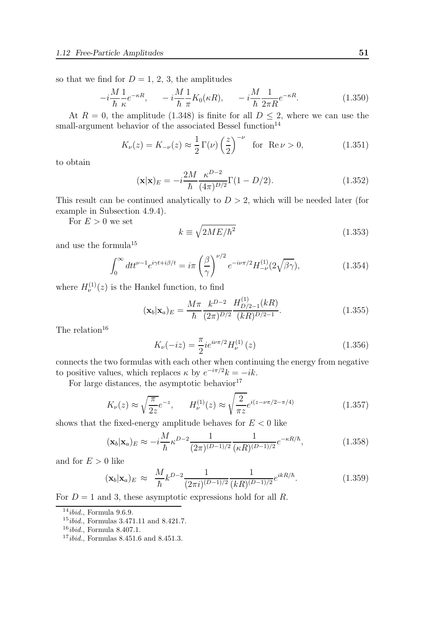so that we find for  $D = 1, 2, 3$ , the amplitudes

$$
-i\frac{M}{\hbar}\frac{1}{\kappa}e^{-\kappa R}, \qquad -i\frac{M}{\hbar}\frac{1}{\pi}K_0(\kappa R), \qquad -i\frac{M}{\hbar}\frac{1}{2\pi R}e^{-\kappa R}.\tag{1.350}
$$

At  $R = 0$ , the amplitude (1.348) is finite for all  $D \leq 2$ , where we can use the small-argument behavior of the associated Bessel function<sup>14</sup>

$$
K_{\nu}(z) = K_{-\nu}(z) \approx \frac{1}{2} \Gamma(\nu) \left(\frac{z}{2}\right)^{-\nu} \quad \text{for} \quad \text{Re}\,\nu > 0,\tag{1.351}
$$

to obtain

$$
(\mathbf{x}|\mathbf{x})_E = -i\frac{2M}{\hbar} \frac{\kappa^{D-2}}{(4\pi)^{D/2}} \Gamma(1 - D/2).
$$
 (1.352)

This result can be continued analytically to  $D > 2$ , which will be needed later (for example in Subsection 4.9.4).

For  $E > 0$  we set

$$
k \equiv \sqrt{2ME/\hbar^2} \tag{1.353}
$$

and use the formula $^{15}$ 

$$
\int_0^\infty dt t^{\nu-1} e^{i\gamma t + i\beta/t} = i\pi \left(\frac{\beta}{\gamma}\right)^{\nu/2} e^{-i\nu\pi/2} H_{-\nu}^{(1)}(2\sqrt{\beta\gamma}),\tag{1.354}
$$

where  $H_{\nu}^{(1)}(z)$  is the Hankel function, to find

$$
(\mathbf{x}_b|\mathbf{x}_a)_E = \frac{M\pi}{\hbar} \frac{k^{D-2}}{(2\pi)^{D/2}} \frac{H_{D/2-1}^{(1)}(kR)}{(kR)^{D/2-1}}.
$$
\n(1.355)

The relation<sup>16</sup>

$$
K_{\nu}(-iz) = \frac{\pi}{2} i e^{i\nu\pi/2} H_{\nu}^{(1)}(z)
$$
\n(1.356)

connects the two formulas with each other when continuing the energy from negative to positive values, which replaces  $\kappa$  by  $e^{-i\pi/2}k = -ik$ .

For large distances, the asymptotic behavior $17$ 

$$
K_{\nu}(z) \approx \sqrt{\frac{\pi}{2z}} e^{-z}, \qquad H_{\nu}^{(1)}(z) \approx \sqrt{\frac{2}{\pi z}} e^{i(z - \nu \pi/2 - \pi/4)}
$$
 (1.357)

shows that the fixed-energy amplitude behaves for  $E < 0$  like

$$
(\mathbf{x}_b|\mathbf{x}_a)_E \approx -i\frac{M}{\hbar} \kappa^{D-2} \frac{1}{(2\pi)^{(D-1)/2}} \frac{1}{(\kappa R)^{(D-1)/2}} e^{-\kappa R/\hbar}, \tag{1.358}
$$

and for  $E > 0$  like

$$
(\mathbf{x}_b|\mathbf{x}_a)_E \approx \frac{M}{\hbar} k^{D-2} \frac{1}{(2\pi i)^{(D-1)/2}} \frac{1}{(kR)^{(D-1)/2}} e^{ikR/\hbar}.
$$
 (1.359)

For  $D = 1$  and 3, these asymptotic expressions hold for all R.

 $14$ *ibid.*, Formula 9.6.9.

 $15$ *ibid.*, Formulas 3.471.11 and 8.421.7.

 $16$ *ibid.*, Formula 8.407.1.

 $17$ *ibid.*, Formulas 8.451.6 and 8.451.3.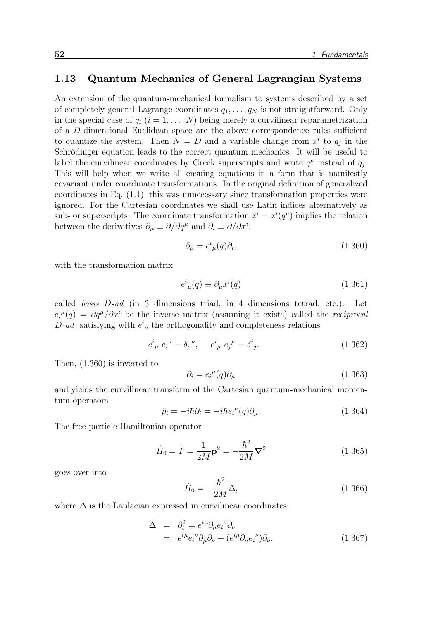#### 1.13 Quantum Mechanics of General Lagrangian Systems

An extension of the quantum-mechanical formalism to systems described by a set of completely general Lagrange coordinates  $q_1, \ldots, q_N$  is not straightforward. Only in the special case of  $q_i$   $(i = 1, \ldots, N)$  being merely a curvilinear reparametrization of a D-dimensional Euclidean space are the above correspondence rules sufficient to quantize the system. Then  $N = D$  and a variable change from  $x^i$  to  $q_j$  in the Schrödinger equation leads to the correct quantum mechanics. It will be useful to label the curvilinear coordinates by Greek superscripts and write  $q^{\mu}$  instead of  $q_j$ . This will help when we write all ensuing equations in a form that is manifestly covariant under coordinate transformations. In the original definition of generalized coordinates in Eq. (1.1), this was unnecessary since transformation properties were ignored. For the Cartesian coordinates we shall use Latin indices alternatively as sub- or superscripts. The coordinate transformation  $x^i = x^i(q^{\mu})$  implies the relation between the derivatives  $\partial_{\mu} \equiv \partial / \partial q^{\mu}$  and  $\partial_{i} \equiv \partial / \partial x^{i}$ :

$$
\partial_{\mu} = e^{i}{}_{\mu}(q)\partial_{i},\tag{1.360}
$$

with the transformation matrix

$$
e^{i}_{\ \mu}(q) \equiv \partial_{\mu}x^{i}(q) \tag{1.361}
$$

called basis D-ad (in 3 dimensions triad, in 4 dimensions tetrad, etc.). Let  $e_i^{\mu}(q) = \partial q^{\mu}/\partial x^i$  be the inverse matrix (assuming it exists) called the *reciprocal* D-ad, satisfying with  $e^i_{\mu}$  the orthogonality and completeness relations

$$
e^{i}_{\ \mu} e^{i}_{i} = \delta_{\mu}{}^{\nu}, \quad e^{i}_{\ \mu} e^{i}_{j}{}^{\mu} = \delta^{i}_{\ j}.
$$
 (1.362)

Then, (1.360) is inverted to

$$
\partial_i = e_i^{\mu}(q)\partial_{\mu} \tag{1.363}
$$

and yields the curvilinear transform of the Cartesian quantum-mechanical momentum operators

$$
\hat{p}_i = -i\hbar \partial_i = -i\hbar e_i^{\mu}(q)\partial_{\mu}.
$$
\n(1.364)

The free-particle Hamiltonian operator

$$
\hat{H}_0 = \hat{T} = \frac{1}{2M}\hat{\mathbf{p}}^2 = -\frac{\hbar^2}{2M}\nabla^2\tag{1.365}
$$

goes over into

$$
\hat{H}_0 = -\frac{\hbar^2}{2M}\Delta,\tag{1.366}
$$

where  $\Delta$  is the Laplacian expressed in curvilinear coordinates:

$$
\Delta = \partial_i^2 = e^{i\mu} \partial_\mu e_i^{\nu} \partial_\nu
$$
  
=  $e^{i\mu} e_i^{\nu} \partial_\mu \partial_\nu + (e^{i\mu} \partial_\mu e_i^{\nu}) \partial_\nu.$  (1.367)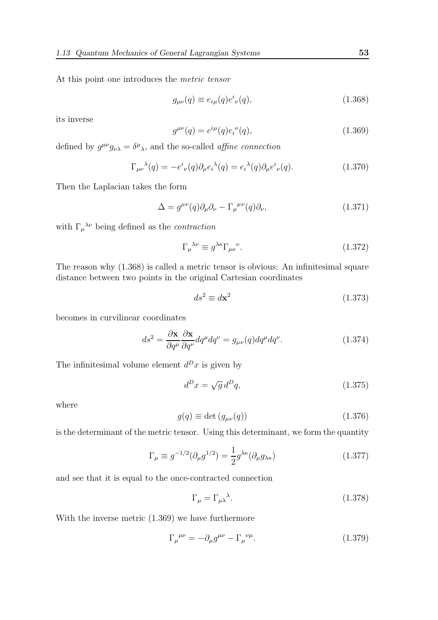At this point one introduces the metric tensor

$$
g_{\mu\nu}(q) \equiv e_{i\mu}(q)e^i_{\ \nu}(q),\tag{1.368}
$$

its inverse

$$
g^{\mu\nu}(q) = e^{i\mu}(q)e^{i\nu}(q), \qquad (1.369)
$$

defined by  $g^{\mu\nu}g_{\nu\lambda} = \delta^{\mu}{}_{\lambda}$ , and the so-called *affine connection* 

$$
\Gamma_{\mu\nu}{}^{\lambda}(q) = -e^{i}{}_{\nu}(q)\partial_{\mu}e_{i}{}^{\lambda}(q) = e_{i}{}^{\lambda}(q)\partial_{\mu}e^{i}{}_{\nu}(q). \qquad (1.370)
$$

Then the Laplacian takes the form

$$
\Delta = g^{\mu\nu}(q)\partial_{\mu}\partial_{\nu} - \Gamma_{\mu}^{\ \mu\nu}(q)\partial_{\nu},\tag{1.371}
$$

with  $\Gamma_{\mu}{}^{\lambda\nu}$  being defined as the *contraction* 

$$
\Gamma_{\mu}{}^{\lambda\nu} \equiv g^{\lambda\kappa} \Gamma_{\mu\kappa}{}^{\nu}.
$$
\n(1.372)

The reason why (1.368) is called a metric tensor is obvious: An infinitesimal square distance between two points in the original Cartesian coordinates

$$
ds^2 \equiv d\mathbf{x}^2 \tag{1.373}
$$

becomes in curvilinear coordinates

$$
ds^{2} = \frac{\partial \mathbf{x}}{\partial q^{\mu}} \frac{\partial \mathbf{x}}{\partial q^{\nu}} dq^{\mu} dq^{\nu} = g_{\mu\nu}(q) dq^{\mu} dq^{\nu}.
$$
 (1.374)

The infinitesimal volume element  $d^D x$  is given by

$$
d^D x = \sqrt{g} d^D q,\tag{1.375}
$$

where

$$
g(q) \equiv \det\left(g_{\mu\nu}(q)\right) \tag{1.376}
$$

is the determinant of the metric tensor. Using this determinant, we form the quantity

$$
\Gamma_{\mu} \equiv g^{-1/2} (\partial_{\mu} g^{1/2}) = \frac{1}{2} g^{\lambda \kappa} (\partial_{\mu} g_{\lambda \kappa}) \tag{1.377}
$$

and see that it is equal to the once-contracted connection

$$
\Gamma_{\mu} = \Gamma_{\mu\lambda}{}^{\lambda}.\tag{1.378}
$$

With the inverse metric (1.369) we have furthermore

$$
\Gamma_{\mu}^{\ \mu\nu} = -\partial_{\mu}g^{\mu\nu} - \Gamma_{\mu}^{\ \nu\mu}.\tag{1.379}
$$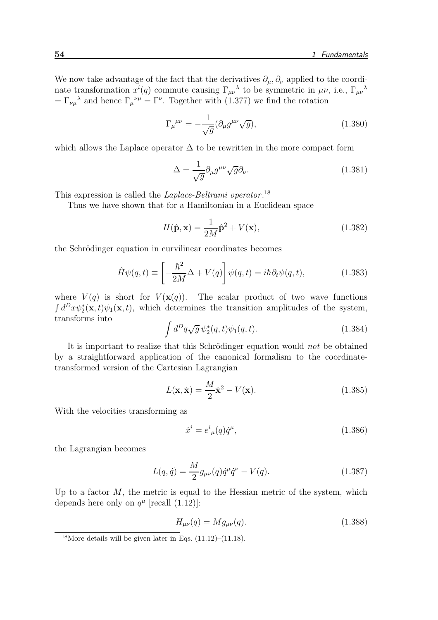We now take advantage of the fact that the derivatives  $\partial_{\mu}, \partial_{\nu}$  applied to the coordinate transformation  $x^{i}(q)$  commute causing  $\Gamma_{\mu\nu}^{\,\,\,\lambda}$  to be symmetric in  $\mu\nu$ , i.e.,  $\Gamma_{\mu\nu}^{\,\,\,\lambda}$  $=\Gamma_{\nu\mu}{}^{\lambda}$  and hence  $\Gamma_{\mu}{}^{\nu\mu}=\Gamma^{\nu}$ . Together with (1.377) we find the rotation

$$
\Gamma_{\mu}^{\ \mu\nu} = -\frac{1}{\sqrt{g}} (\partial_{\mu} g^{\mu\nu} \sqrt{g}), \qquad (1.380)
$$

which allows the Laplace operator  $\Delta$  to be rewritten in the more compact form

$$
\Delta = \frac{1}{\sqrt{g}} \partial_{\mu} g^{\mu \nu} \sqrt{g} \partial_{\nu}.
$$
\n(1.381)

This expression is called the *Laplace-Beltrami operator*.<sup>18</sup>

Thus we have shown that for a Hamiltonian in a Euclidean space

$$
H(\hat{\mathbf{p}}, \mathbf{x}) = \frac{1}{2M}\hat{\mathbf{p}}^2 + V(\mathbf{x}),\tag{1.382}
$$

the Schrödinger equation in curvilinear coordinates becomes

$$
\hat{H}\psi(q,t) \equiv \left[ -\frac{\hbar^2}{2M}\Delta + V(q) \right] \psi(q,t) = i\hbar \partial_t \psi(q,t), \qquad (1.383)
$$

where  $V(q)$  is short for  $V(\mathbf{x}(q))$ . The scalar product of two wave functions  $\int d^D x \psi_2^*(\mathbf{x}, t) \psi_1(\mathbf{x}, t)$ , which determines the transition amplitudes of the system, transforms into

$$
\int d^D q \sqrt{g} \psi_2^*(q, t) \psi_1(q, t). \tag{1.384}
$$

It is important to realize that this Schrödinger equation would not be obtained by a straightforward application of the canonical formalism to the coordinatetransformed version of the Cartesian Lagrangian

$$
L(\mathbf{x}, \dot{\mathbf{x}}) = \frac{M}{2}\dot{\mathbf{x}}^2 - V(\mathbf{x}).
$$
\n(1.385)

With the velocities transforming as

$$
\dot{x}^i = e^i{}_{\mu}(q)\dot{q}^{\mu},\tag{1.386}
$$

the Lagrangian becomes

$$
L(q, \dot{q}) = \frac{M}{2} g_{\mu\nu}(q) \dot{q}^{\mu} \dot{q}^{\nu} - V(q). \qquad (1.387)
$$

Up to a factor  $M$ , the metric is equal to the Hessian metric of the system, which depends here only on  $q^{\mu}$  [recall (1.12)]:

$$
H_{\mu\nu}(q) = Mg_{\mu\nu}(q). \tag{1.388}
$$

<sup>&</sup>lt;sup>18</sup>More details will be given later in Eqs.  $(11.12)$ – $(11.18)$ .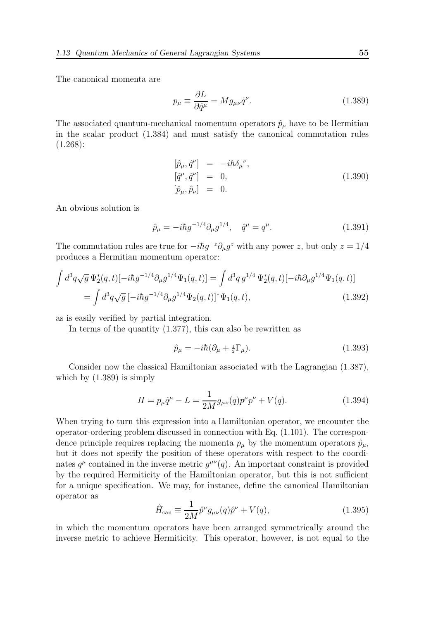The canonical momenta are

$$
p_{\mu} \equiv \frac{\partial L}{\partial \dot{q}^{\mu}} = M g_{\mu\nu} \dot{q}^{\nu}.
$$
 (1.389)

The associated quantum-mechanical momentum operators  $\hat{p}_{\mu}$  have to be Hermitian in the scalar product (1.384) and must satisfy the canonical commutation rules  $(1.268):$ 

$$
\begin{array}{rcl}\n[\hat{p}_{\mu}, \hat{q}^{\nu}] & = & -i\hbar \delta_{\mu}{}^{\nu}, \\
[\hat{q}^{\mu}, \hat{q}^{\nu}] & = & 0, \\
[\hat{p}_{\mu}, \hat{p}_{\nu}] & = & 0.\n\end{array} \tag{1.390}
$$

An obvious solution is

$$
\hat{p}_{\mu} = -i\hbar g^{-1/4} \partial_{\mu} g^{1/4}, \quad \hat{q}^{\mu} = q^{\mu}.
$$
 (1.391)

The commutation rules are true for  $-i\hbar g^{-z}\partial_{\mu}g^{z}$  with any power z, but only  $z = 1/4$ produces a Hermitian momentum operator:

$$
\int d^3q \sqrt{g} \Psi_2^*(q,t) [-i\hbar g^{-1/4} \partial_\mu g^{1/4} \Psi_1(q,t)] = \int d^3q \, g^{1/4} \Psi_2^*(q,t) [-i\hbar \partial_\mu g^{1/4} \Psi_1(q,t)]
$$
  
= 
$$
\int d^3q \sqrt{g} \left[-i\hbar g^{-1/4} \partial_\mu g^{1/4} \Psi_2(q,t)\right]^* \Psi_1(q,t),
$$
 (1.392)

as is easily verified by partial integration.

In terms of the quantity (1.377), this can also be rewritten as

$$
\hat{p}_{\mu} = -i\hbar (\partial_{\mu} + \frac{1}{2}\Gamma_{\mu}). \tag{1.393}
$$

Consider now the classical Hamiltonian associated with the Lagrangian (1.387), which by (1.389) is simply

$$
H = p_{\mu}\dot{q}^{\mu} - L = \frac{1}{2M}g_{\mu\nu}(q)p^{\mu}p^{\nu} + V(q). \qquad (1.394)
$$

When trying to turn this expression into a Hamiltonian operator, we encounter the operator-ordering problem discussed in connection with Eq.  $(1.101)$ . The correspondence principle requires replacing the momenta  $p_{\mu}$  by the momentum operators  $\hat{p}_{\mu}$ , but it does not specify the position of these operators with respect to the coordinates  $q^{\mu}$  contained in the inverse metric  $g^{\mu\nu}(q)$ . An important constraint is provided by the required Hermiticity of the Hamiltonian operator, but this is not sufficient for a unique specification. We may, for instance, define the canonical Hamiltonian operator as

$$
\hat{H}_{\text{can}} \equiv \frac{1}{2M} \hat{p}^{\mu} g_{\mu\nu}(q) \hat{p}^{\nu} + V(q),\tag{1.395}
$$

in which the momentum operators have been arranged symmetrically around the inverse metric to achieve Hermiticity. This operator, however, is not equal to the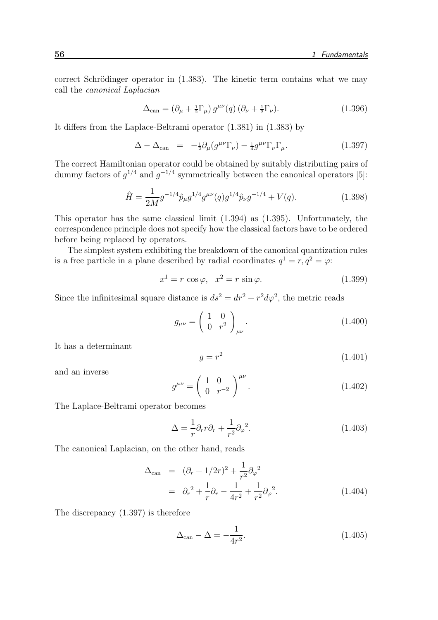correct Schrödinger operator in  $(1.383)$ . The kinetic term contains what we may call the canonical Laplacian

$$
\Delta_{\text{can}} = \left(\partial_{\mu} + \frac{1}{2}\Gamma_{\mu}\right)g^{\mu\nu}(q)\left(\partial_{\nu} + \frac{1}{2}\Gamma_{\nu}\right). \tag{1.396}
$$

It differs from the Laplace-Beltrami operator (1.381) in (1.383) by

$$
\Delta - \Delta_{\text{can}} = -\frac{1}{2} \partial_{\mu} (g^{\mu\nu} \Gamma_{\nu}) - \frac{1}{4} g^{\mu\nu} \Gamma_{\nu} \Gamma_{\mu}. \qquad (1.397)
$$

The correct Hamiltonian operator could be obtained by suitably distributing pairs of dummy factors of  $g^{1/4}$  and  $g^{-1/4}$  symmetrically between the canonical operators [5]:

$$
\hat{H} = \frac{1}{2M} g^{-1/4} \hat{p}_{\mu} g^{1/4} g^{\mu \nu}(q) g^{1/4} \hat{p}_{\nu} g^{-1/4} + V(q). \tag{1.398}
$$

This operator has the same classical limit (1.394) as (1.395). Unfortunately, the correspondence principle does not specify how the classical factors have to be ordered before being replaced by operators.

The simplest system exhibiting the breakdown of the canonical quantization rules is a free particle in a plane described by radial coordinates  $q^1 = r, q^2 = \varphi$ :

$$
x^1 = r \cos \varphi, \quad x^2 = r \sin \varphi. \tag{1.399}
$$

Since the infinitesimal square distance is  $ds^2 = dr^2 + r^2 d\varphi^2$ , the metric reads

$$
g_{\mu\nu} = \left(\begin{array}{cc} 1 & 0\\ 0 & r^2 \end{array}\right)_{\mu\nu}.\tag{1.400}
$$

It has a determinant

$$
g = r^2 \tag{1.401}
$$

and an inverse

$$
g^{\mu\nu} = \left(\begin{array}{cc} 1 & 0\\ 0 & r^{-2} \end{array}\right)^{\mu\nu}.\tag{1.402}
$$

The Laplace-Beltrami operator becomes

$$
\Delta = \frac{1}{r} \partial_r r \partial_r + \frac{1}{r^2} \partial_\varphi^2.
$$
\n(1.403)

The canonical Laplacian, on the other hand, reads

$$
\Delta_{\text{can}} = (\partial_r + 1/2r)^2 + \frac{1}{r^2} \partial_\varphi^2
$$
  
=  $\partial_r^2 + \frac{1}{r} \partial_r - \frac{1}{4r^2} + \frac{1}{r^2} \partial_\varphi^2.$  (1.404)

The discrepancy (1.397) is therefore

$$
\Delta_{\text{can}} - \Delta = -\frac{1}{4r^2}.\tag{1.405}
$$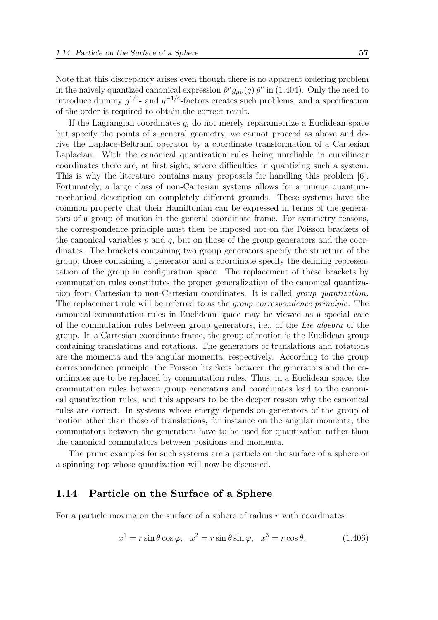Note that this discrepancy arises even though there is no apparent ordering problem in the naively quantized canonical expression  $\hat{p}^{\mu}g_{\mu\nu}(q)\,\hat{p}^{\nu}$  in (1.404). Only the need to introduce dummy  $g^{1/4}$ - and  $g^{-1/4}$ -factors creates such problems, and a specification of the order is required to obtain the correct result.

If the Lagrangian coordinates  $q_i$  do not merely reparametrize a Euclidean space but specify the points of a general geometry, we cannot proceed as above and derive the Laplace-Beltrami operator by a coordinate transformation of a Cartesian Laplacian. With the canonical quantization rules being unreliable in curvilinear coordinates there are, at first sight, severe difficulties in quantizing such a system. This is why the literature contains many proposals for handling this problem [6]. Fortunately, a large class of non-Cartesian systems allows for a unique quantummechanical description on completely different grounds. These systems have the common property that their Hamiltonian can be expressed in terms of the generators of a group of motion in the general coordinate frame. For symmetry reasons, the correspondence principle must then be imposed not on the Poisson brackets of the canonical variables  $p$  and  $q$ , but on those of the group generators and the coordinates. The brackets containing two group generators specify the structure of the group, those containing a generator and a coordinate specify the defining representation of the group in configuration space. The replacement of these brackets by commutation rules constitutes the proper generalization of the canonical quantization from Cartesian to non-Cartesian coordinates. It is called group quantization. The replacement rule will be referred to as the group correspondence principle. The canonical commutation rules in Euclidean space may be viewed as a special case of the commutation rules between group generators, i.e., of the Lie algebra of the group. In a Cartesian coordinate frame, the group of motion is the Euclidean group containing translations and rotations. The generators of translations and rotations are the momenta and the angular momenta, respectively. According to the group correspondence principle, the Poisson brackets between the generators and the coordinates are to be replaced by commutation rules. Thus, in a Euclidean space, the commutation rules between group generators and coordinates lead to the canonical quantization rules, and this appears to be the deeper reason why the canonical rules are correct. In systems whose energy depends on generators of the group of motion other than those of translations, for instance on the angular momenta, the commutators between the generators have to be used for quantization rather than the canonical commutators between positions and momenta.

The prime examples for such systems are a particle on the surface of a sphere or a spinning top whose quantization will now be discussed.

#### 1.14 Particle on the Surface of a Sphere

For a particle moving on the surface of a sphere of radius  $r$  with coordinates

$$
x^{1} = r \sin \theta \cos \varphi, \quad x^{2} = r \sin \theta \sin \varphi, \quad x^{3} = r \cos \theta,
$$
 (1.406)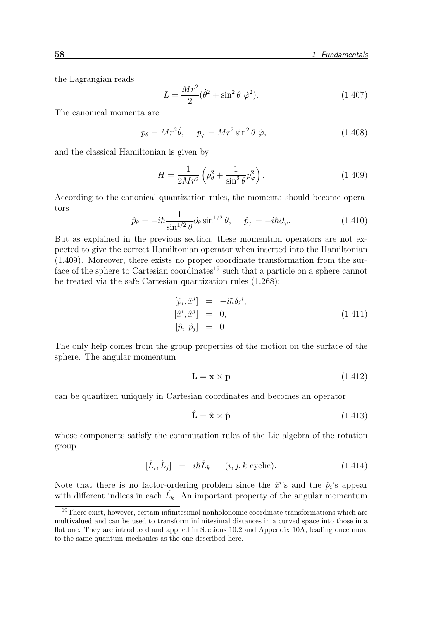the Lagrangian reads

$$
L = \frac{Mr^2}{2}(\dot{\theta}^2 + \sin^2 \theta \dot{\varphi}^2). \tag{1.407}
$$

The canonical momenta are

$$
p_{\theta} = Mr^2 \dot{\theta}, \quad p_{\varphi} = Mr^2 \sin^2 \theta \dot{\varphi}, \tag{1.408}
$$

and the classical Hamiltonian is given by

$$
H = \frac{1}{2Mr^2} \left( p_\theta^2 + \frac{1}{\sin^2 \theta} p_\varphi^2 \right).
$$
 (1.409)

According to the canonical quantization rules, the momenta should become operators

$$
\hat{p}_{\theta} = -i\hbar \frac{1}{\sin^{1/2} \theta} \partial_{\theta} \sin^{1/2} \theta, \quad \hat{p}_{\varphi} = -i\hbar \partial_{\varphi}.
$$
\n(1.410)

But as explained in the previous section, these momentum operators are not expected to give the correct Hamiltonian operator when inserted into the Hamiltonian (1.409). Moreover, there exists no proper coordinate transformation from the surface of the sphere to Cartesian coordinates<sup>19</sup> such that a particle on a sphere cannot be treated via the safe Cartesian quantization rules (1.268):

$$
\begin{array}{rcl}\n[\hat{p}_i, \hat{x}^j] & = & -i\hbar \delta_i{}^j, \\
[\hat{x}^i, \hat{x}^j] & = & 0, \\
[\hat{p}_i, \hat{p}_j] & = & 0.\n\end{array} \tag{1.411}
$$

The only help comes from the group properties of the motion on the surface of the sphere. The angular momentum

$$
\mathbf{L} = \mathbf{x} \times \mathbf{p} \tag{1.412}
$$

can be quantized uniquely in Cartesian coordinates and becomes an operator

$$
\hat{\mathbf{L}} = \hat{\mathbf{x}} \times \hat{\mathbf{p}} \tag{1.413}
$$

whose components satisfy the commutation rules of the Lie algebra of the rotation group

$$
[\hat{L}_i, \hat{L}_j] = i\hbar \hat{L}_k \qquad (i, j, k \text{ cyclic}). \tag{1.414}
$$

Note that there is no factor-ordering problem since the  $\hat{x}^{i}$ 's and the  $\hat{p}_{i}$ 's appear with different indices in each  $\hat{L_k}$ . An important property of the angular momentum

<sup>&</sup>lt;sup>19</sup>There exist, however, certain infinitesimal nonholonomic coordinate transformations which are multivalued and can be used to transform infinitesimal distances in a curved space into those in a flat one. They are introduced and applied in Sections 10.2 and Appendix 10A, leading once more to the same quantum mechanics as the one described here.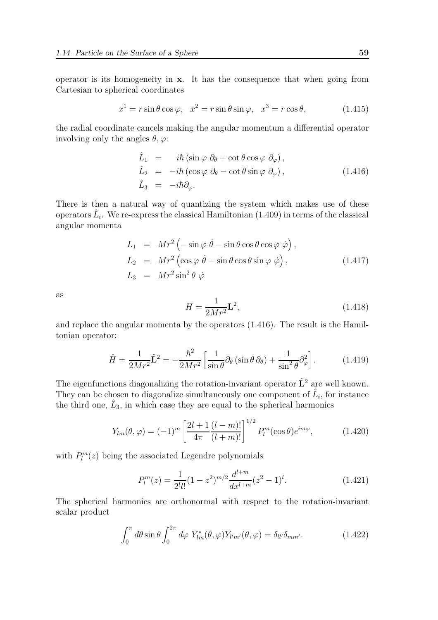operator is its homogeneity in x. It has the consequence that when going from Cartesian to spherical coordinates

$$
x^{1} = r \sin \theta \cos \varphi, \quad x^{2} = r \sin \theta \sin \varphi, \quad x^{3} = r \cos \theta,
$$
 (1.415)

the radial coordinate cancels making the angular momentum a differential operator involving only the angles  $\theta$ ,  $\varphi$ :

$$
\hat{L}_1 = i\hbar (\sin \varphi \, \partial_{\theta} + \cot \theta \cos \varphi \, \partial_{\varphi}), \n\hat{L}_2 = -i\hbar (\cos \varphi \, \partial_{\theta} - \cot \theta \sin \varphi \, \partial_{\varphi}), \n\hat{L}_3 = -i\hbar \partial_{\varphi}.
$$
\n(1.416)

There is then a natural way of quantizing the system which makes use of these operators  $\hat{L}_i$ . We re-express the classical Hamiltonian (1.409) in terms of the classical angular momenta

$$
L_1 = Mr^2 \left( -\sin \varphi \, \dot{\theta} - \sin \theta \cos \theta \cos \varphi \, \dot{\varphi} \right),
$$
  
\n
$$
L_2 = Mr^2 \left( \cos \varphi \, \dot{\theta} - \sin \theta \cos \theta \sin \varphi \, \dot{\varphi} \right),
$$
  
\n
$$
L_3 = Mr^2 \sin^2 \theta \, \dot{\varphi}
$$
\n(1.417)

as

$$
H = \frac{1}{2Mr^2} \mathbf{L}^2,\tag{1.418}
$$

and replace the angular momenta by the operators (1.416). The result is the Hamiltonian operator:

$$
\hat{H} = \frac{1}{2Mr^2}\hat{\mathbf{L}}^2 = -\frac{\hbar^2}{2Mr^2} \left[ \frac{1}{\sin\theta} \partial_\theta \left( \sin\theta \, \partial_\theta \right) + \frac{1}{\sin^2\theta} \partial_\varphi^2 \right]. \tag{1.419}
$$

The eigenfunctions diagonalizing the rotation-invariant operator  $\hat{L}^2$  are well known. They can be chosen to diagonalize simultaneously one component of  $\hat{L}_i$ , for instance the third one,  $\hat{L}_3$ , in which case they are equal to the spherical harmonics

$$
Y_{lm}(\theta,\varphi) = (-1)^m \left[ \frac{2l+1}{4\pi} \frac{(l-m)!}{(l+m)!} \right]^{1/2} P_l^m(\cos\theta) e^{im\varphi},\tag{1.420}
$$

with  $P_l^m(z)$  being the associated Legendre polynomials

$$
P_l^m(z) = \frac{1}{2^l l!} (1 - z^2)^{m/2} \frac{d^{l+m}}{dx^{l+m}} (z^2 - 1)^l.
$$
 (1.421)

The spherical harmonics are orthonormal with respect to the rotation-invariant scalar product

$$
\int_0^{\pi} d\theta \sin \theta \int_0^{2\pi} d\varphi Y_{lm}^*(\theta, \varphi) Y_{l'm'}(\theta, \varphi) = \delta_{ll'} \delta_{mm'}.
$$
 (1.422)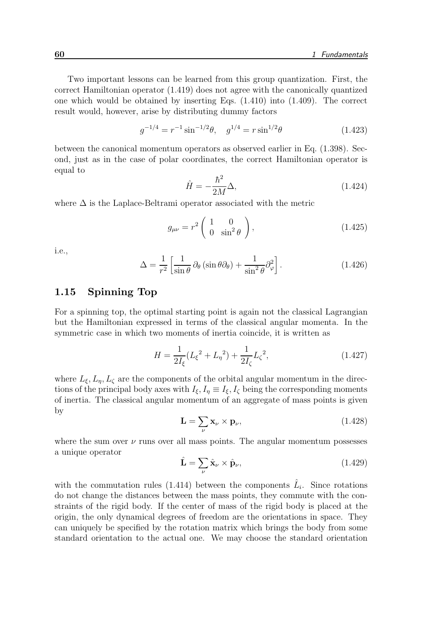Two important lessons can be learned from this group quantization. First, the correct Hamiltonian operator (1.419) does not agree with the canonically quantized one which would be obtained by inserting Eqs. (1.410) into (1.409). The correct result would, however, arise by distributing dummy factors

$$
g^{-1/4} = r^{-1} \sin^{-1/2} \theta, \quad g^{1/4} = r \sin^{1/2} \theta \tag{1.423}
$$

between the canonical momentum operators as observed earlier in Eq. (1.398). Second, just as in the case of polar coordinates, the correct Hamiltonian operator is equal to

$$
\hat{H} = -\frac{\hbar^2}{2M}\Delta,\tag{1.424}
$$

where  $\Delta$  is the Laplace-Beltrami operator associated with the metric

$$
g_{\mu\nu} = r^2 \begin{pmatrix} 1 & 0 \\ 0 & \sin^2 \theta \end{pmatrix}, \qquad (1.425)
$$

i.e.,

$$
\Delta = \frac{1}{r^2} \left[ \frac{1}{\sin \theta} \, \partial_{\theta} \left( \sin \theta \partial_{\theta} \right) + \frac{1}{\sin^2 \theta} \partial_{\varphi}^2 \right]. \tag{1.426}
$$

#### 1.15 Spinning Top

For a spinning top, the optimal starting point is again not the classical Lagrangian but the Hamiltonian expressed in terms of the classical angular momenta. In the symmetric case in which two moments of inertia coincide, it is written as

$$
H = \frac{1}{2I_{\xi}}(L_{\xi}^{2} + L_{\eta}^{2}) + \frac{1}{2I_{\zeta}}L_{\zeta}^{2},
$$
\n(1.427)

where  $L_{\xi}, L_{\eta}, L_{\zeta}$  are the components of the orbital angular momentum in the directions of the principal body axes with  $I_{\xi}, I_{\eta} \equiv I_{\xi}, I_{\zeta}$  being the corresponding moments of inertia. The classical angular momentum of an aggregate of mass points is given by

$$
\mathbf{L} = \sum_{\nu} \mathbf{x}_{\nu} \times \mathbf{p}_{\nu},\tag{1.428}
$$

where the sum over  $\nu$  runs over all mass points. The angular momentum possesses a unique operator

$$
\hat{\mathbf{L}} = \sum_{\nu} \hat{\mathbf{x}}_{\nu} \times \hat{\mathbf{p}}_{\nu},\tag{1.429}
$$

with the commutation rules (1.414) between the components  $\hat{L}_i$ . Since rotations do not change the distances between the mass points, they commute with the constraints of the rigid body. If the center of mass of the rigid body is placed at the origin, the only dynamical degrees of freedom are the orientations in space. They can uniquely be specified by the rotation matrix which brings the body from some standard orientation to the actual one. We may choose the standard orientation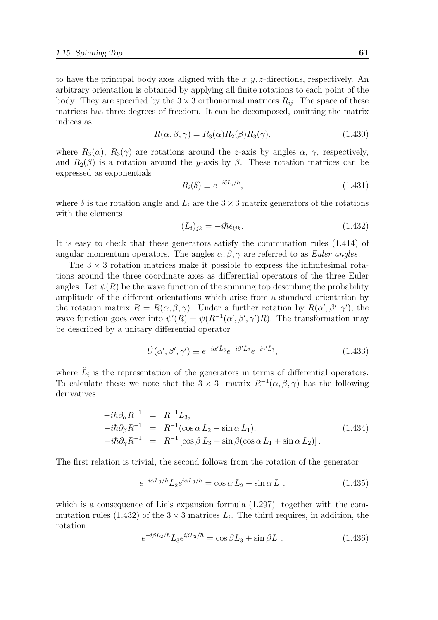to have the principal body axes aligned with the  $x, y, z$ -directions, respectively. An arbitrary orientation is obtained by applying all finite rotations to each point of the body. They are specified by the  $3 \times 3$  orthonormal matrices  $R_{ij}$ . The space of these matrices has three degrees of freedom. It can be decomposed, omitting the matrix indices as

$$
R(\alpha, \beta, \gamma) = R_3(\alpha) R_2(\beta) R_3(\gamma), \qquad (1.430)
$$

where  $R_3(\alpha)$ ,  $R_3(\gamma)$  are rotations around the z-axis by angles  $\alpha$ ,  $\gamma$ , respectively, and  $R_2(\beta)$  is a rotation around the y-axis by  $\beta$ . These rotation matrices can be expressed as exponentials

$$
R_i(\delta) \equiv e^{-i\delta L_i/\hbar},\tag{1.431}
$$

where  $\delta$  is the rotation angle and  $L_i$  are the  $3 \times 3$  matrix generators of the rotations with the elements

$$
(L_i)_{jk} = -i\hbar \epsilon_{ijk}.
$$
\n(1.432)

It is easy to check that these generators satisfy the commutation rules (1.414) of angular momentum operators. The angles  $\alpha, \beta, \gamma$  are referred to as *Euler angles*.

The  $3 \times 3$  rotation matrices make it possible to express the infinitesimal rotations around the three coordinate axes as differential operators of the three Euler angles. Let  $\psi(R)$  be the wave function of the spinning top describing the probability amplitude of the different orientations which arise from a standard orientation by the rotation matrix  $R = R(\alpha, \beta, \gamma)$ . Under a further rotation by  $R(\alpha', \beta', \gamma')$ , the wave function goes over into  $\psi'(R) = \psi(R^{-1}(\alpha', \beta', \gamma')R)$ . The transformation may be described by a unitary differential operator

$$
\hat{U}(\alpha', \beta', \gamma') \equiv e^{-i\alpha' \hat{L}_3} e^{-i\beta' \hat{L}_2} e^{-i\gamma' \hat{L}_3},\tag{1.433}
$$

where  $\hat{L}_i$  is the representation of the generators in terms of differential operators. To calculate these we note that the  $3 \times 3$  -matrix  $R^{-1}(\alpha, \beta, \gamma)$  has the following derivatives

$$
-i\hbar \partial_{\alpha} R^{-1} = R^{-1} L_3,
$$
  
\n
$$
-i\hbar \partial_{\beta} R^{-1} = R^{-1} (\cos \alpha L_2 - \sin \alpha L_1),
$$
  
\n
$$
-i\hbar \partial_{\gamma} R^{-1} = R^{-1} [\cos \beta L_3 + \sin \beta (\cos \alpha L_1 + \sin \alpha L_2)].
$$
\n(1.434)

The first relation is trivial, the second follows from the rotation of the generator

$$
e^{-i\alpha L_3/\hbar}L_2 e^{i\alpha L_3/\hbar} = \cos\alpha L_2 - \sin\alpha L_1,\tag{1.435}
$$

which is a consequence of Lie's expansion formula  $(1.297)$  together with the commutation rules (1.432) of the  $3 \times 3$  matrices  $L_i$ . The third requires, in addition, the rotation

$$
e^{-i\beta L_2/\hbar}L_3e^{i\beta L_2/\hbar} = \cos\beta L_3 + \sin\beta L_1. \tag{1.436}
$$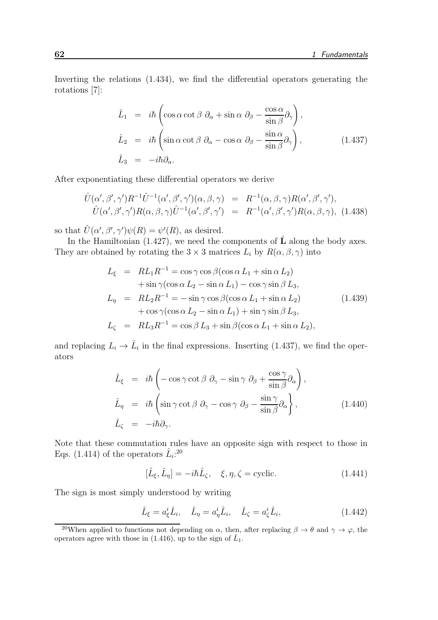Inverting the relations (1.434), we find the differential operators generating the rotations [7]:

$$
\hat{L}_1 = i\hbar \left( \cos \alpha \cot \beta \ \partial_{\alpha} + \sin \alpha \ \partial_{\beta} - \frac{\cos \alpha}{\sin \beta} \partial_{\gamma} \right),
$$
\n
$$
\hat{L}_2 = i\hbar \left( \sin \alpha \cot \beta \ \partial_{\alpha} - \cos \alpha \ \partial_{\beta} - \frac{\sin \alpha}{\sin \beta} \partial_{\gamma} \right),
$$
\n
$$
\hat{L}_3 = -i\hbar \partial_{\alpha}.
$$
\n(1.437)

After exponentiating these differential operators we derive

$$
\hat{U}(\alpha', \beta', \gamma')R^{-1}\hat{U}^{-1}(\alpha', \beta', \gamma')(\alpha, \beta, \gamma) = R^{-1}(\alpha, \beta, \gamma)R(\alpha', \beta', \gamma'),
$$
\n
$$
\hat{U}(\alpha', \beta', \gamma')R(\alpha, \beta, \gamma)\hat{U}^{-1}(\alpha', \beta', \gamma') = R^{-1}(\alpha', \beta', \gamma')R(\alpha, \beta, \gamma), \quad (1.438)
$$

so that  $\hat{U}(\alpha', \beta', \gamma')\psi(R) = \psi'(R)$ , as desired.

In the Hamiltonian (1.427), we need the components of  $\hat{L}$  along the body axes. They are obtained by rotating the  $3 \times 3$  matrices  $L_i$  by  $R(\alpha, \beta, \gamma)$  into

$$
L_{\xi} = RL_1 R^{-1} = \cos \gamma \cos \beta (\cos \alpha L_1 + \sin \alpha L_2)
$$
  
+  $\sin \gamma (\cos \alpha L_2 - \sin \alpha L_1) - \cos \gamma \sin \beta L_3$ ,  

$$
L_{\eta} = RL_2 R^{-1} = -\sin \gamma \cos \beta (\cos \alpha L_1 + \sin \alpha L_2)
$$
  
+  $\cos \gamma (\cos \alpha L_2 - \sin \alpha L_1) + \sin \gamma \sin \beta L_3$ ,  

$$
L_{\zeta} = RL_3 R^{-1} = \cos \beta L_3 + \sin \beta (\cos \alpha L_1 + \sin \alpha L_2),
$$
 (1.439)

and replacing  $L_i \to \hat{L}_i$  in the final expressions. Inserting (1.437), we find the operators

$$
\hat{L}_{\xi} = i\hbar \left( -\cos \gamma \cot \beta \partial_{\gamma} - \sin \gamma \partial_{\beta} + \frac{\cos \gamma}{\sin \beta} \partial_{\alpha} \right),
$$
\n
$$
\hat{L}_{\eta} = i\hbar \left( \sin \gamma \cot \beta \partial_{\gamma} - \cos \gamma \partial_{\beta} - \frac{\sin \gamma}{\sin \beta} \partial_{\alpha} \right),
$$
\n
$$
\hat{L}_{\zeta} = -i\hbar \partial_{\gamma}.
$$
\n(1.440)

Note that these commutation rules have an opposite sign with respect to those in Eqs. (1.414) of the operators  $\hat{L}_i$ :<sup>20</sup>

$$
[\hat{L}_{\xi}, \hat{L}_{\eta}] = -i\hbar \hat{L}_{\zeta}, \quad \xi, \eta, \zeta = \text{cyclic.} \tag{1.441}
$$

The sign is most simply understood by writing

$$
\hat{L}_{\xi} = a_{\xi}^i \hat{L}_i, \quad \hat{L}_{\eta} = a_{\eta}^i \hat{L}_i, \quad \hat{L}_{\zeta} = a_{\zeta}^i \hat{L}_i,
$$
\n(1.442)

<sup>&</sup>lt;sup>20</sup>When applied to functions not depending on  $\alpha$ , then, after replacing  $\beta \to \theta$  and  $\gamma \to \varphi$ , the operators agree with those in (1.416), up to the sign of  $\hat{L}_1$ .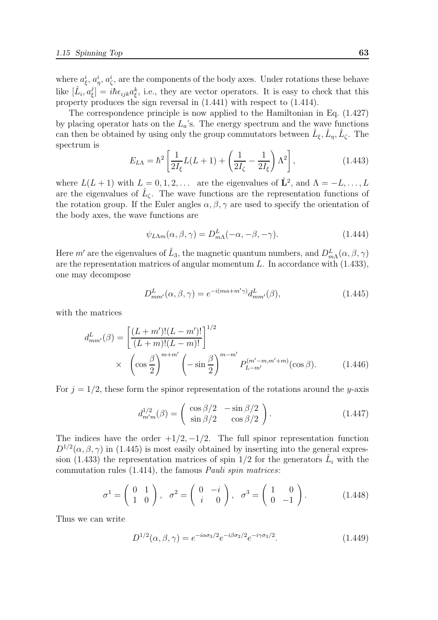where  $a_{\xi}^{i}, a_{\eta}^{i}, a_{\zeta}^{i}$ , are the components of the body axes. Under rotations these behave like  $[\hat{L}_i, a^j_\xi]$  $\zeta(\xi) = i\hbar \epsilon_{ijk} a_{\xi}^k$ , i.e., they are vector operators. It is easy to check that this property produces the sign reversal in (1.441) with respect to (1.414).

The correspondence principle is now applied to the Hamiltonian in Eq. (1.427) by placing operator hats on the  $L_a$ 's. The energy spectrum and the wave functions can then be obtained by using only the group commutators between  $\hat{L}_{\xi}, \hat{L}_{\eta}, \hat{L}_{\zeta}$ . The spectrum is

$$
E_{L\Lambda} = \hbar^2 \left[ \frac{1}{2I_{\xi}} L(L+1) + \left( \frac{1}{2I_{\zeta}} - \frac{1}{2I_{\xi}} \right) \Lambda^2 \right],
$$
 (1.443)

where  $L(L+1)$  with  $L = 0, 1, 2, \ldots$  are the eigenvalues of  $\hat{L}^2$ , and  $\Lambda = -L, \ldots, L$ are the eigenvalues of  $\hat{L}_{\zeta}$ . The wave functions are the representation functions of the rotation group. If the Euler angles  $\alpha, \beta, \gamma$  are used to specify the orientation of the body axes, the wave functions are

$$
\psi_{L\Lambda m}(\alpha,\beta,\gamma) = D_{m\Lambda}^{L}(-\alpha,-\beta,-\gamma). \tag{1.444}
$$

Here  $m'$  are the eigenvalues of  $\hat{L}_3$ , the magnetic quantum numbers, and  $D^L_{m\Lambda}(\alpha,\beta,\gamma)$ are the representation matrices of angular momentum  $L$ . In accordance with  $(1.433)$ , one may decompose

$$
D_{mm'}^{L}(\alpha,\beta,\gamma) = e^{-i(m\alpha+m'\gamma)}d_{mm'}^{L}(\beta), \qquad (1.445)
$$

with the matrices

$$
d_{mm'}^{L}(\beta) = \left[ \frac{(L+m')!(L-m')!}{(L+m)!(L-m)!} \right]^{1/2}
$$
  
 
$$
\times \left( \cos \frac{\beta}{2} \right)^{m+m'} \left( -\sin \frac{\beta}{2} \right)^{m-m'} P_{L-m'}^{(m'-m,m'+m)}(\cos \beta). \tag{1.446}
$$

For  $j = 1/2$ , these form the spinor representation of the rotations around the y-axis

$$
d_{m'm}^{1/2}(\beta) = \begin{pmatrix} \cos \beta/2 & -\sin \beta/2 \\ \sin \beta/2 & \cos \beta/2 \end{pmatrix}.
$$
 (1.447)

The indices have the order  $+1/2, -1/2$ . The full spinor representation function  $D^{1/2}(\alpha, \beta, \gamma)$  in (1.445) is most easily obtained by inserting into the general expression (1.433) the representation matrices of spin  $1/2$  for the generators  $\hat{L}_i$  with the commutation rules (1.414), the famous Pauli spin matrices:

$$
\sigma^1 = \begin{pmatrix} 0 & 1 \\ 1 & 0 \end{pmatrix}, \quad \sigma^2 = \begin{pmatrix} 0 & -i \\ i & 0 \end{pmatrix}, \quad \sigma^3 = \begin{pmatrix} 1 & 0 \\ 0 & -1 \end{pmatrix}.
$$
 (1.448)

Thus we can write

$$
D^{1/2}(\alpha, \beta, \gamma) = e^{-i\alpha\sigma_3/2} e^{-i\beta\sigma_2/2} e^{-i\gamma\sigma_3/2}.
$$
 (1.449)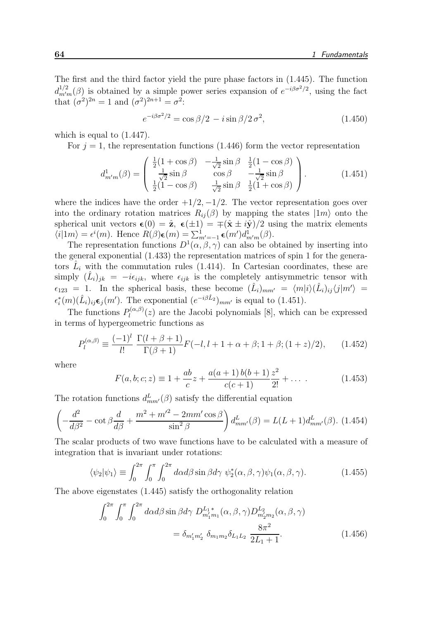The first and the third factor yield the pure phase factors in (1.445). The function  $d_{m'm}^{1/2}(\beta)$  is obtained by a simple power series expansion of  $e^{-i\beta \sigma^2/2}$ , using the fact that  $({\sigma}^2)^{2n} = 1$  and  $({\sigma}^2)^{2n+1} = {\sigma}^2$ :

$$
e^{-i\beta \sigma^2/2} = \cos \beta/2 - i \sin \beta/2 \sigma^2, \qquad (1.450)
$$

which is equal to (1.447).

For  $j = 1$ , the representation functions (1.446) form the vector representation

$$
d_{m'm}^1(\beta) = \begin{pmatrix} \frac{1}{2}(1+\cos\beta) & -\frac{1}{\sqrt{2}}\sin\beta & \frac{1}{2}(1-\cos\beta) \\ \frac{1}{\sqrt{2}}\sin\beta & \cos\beta & -\frac{1}{\sqrt{2}}\sin\beta \\ \frac{1}{2}(1-\cos\beta) & \frac{1}{\sqrt{2}}\sin\beta & \frac{1}{2}(1+\cos\beta) \end{pmatrix}.
$$
 (1.451)

where the indices have the order  $+1/2, -1/2$ . The vector representation goes over into the ordinary rotation matrices  $R_{ij}(\beta)$  by mapping the states  $|1m\rangle$  onto the spherical unit vectors  $\epsilon(0) = \hat{\mathbf{z}}, \ \epsilon(\pm 1) = \pm(\hat{\mathbf{x}} \pm i\hat{\mathbf{y}})/2$  using the matrix elements  $\langle i|1m\rangle = \epsilon^{i}(m)$ . Hence  $R(\beta)\epsilon(m) = \sum_{m'=-1}^{1} \epsilon(m')d^{1}_{m'm}(\beta)$ .

The representation functions  $D^1(\alpha,\beta,\gamma)$  can also be obtained by inserting into the general exponential (1.433) the representation matrices of spin 1 for the generators  $\hat{L}_i$  with the commutation rules (1.414). In Cartesian coordinates, these are  $\langle (\hat{L}_i)_{jk} = -i\epsilon_{ijk}$ , where  $\epsilon_{ijk}$  is the completely antisymmetric tensor with  $\epsilon_{123} = 1$ . In the spherical basis, these become  $(\hat{L}_i)_{mm'} = \langle m|i\rangle(\hat{L}_i)_{ij}\langle j|m'\rangle =$  $\epsilon_i^*(m)(\hat{L}_i)_{ij} \epsilon_j(m')$ . The exponential  $(e^{-i\beta \hat{L}_2})_{mm'}$  is equal to (1.451).

The functions  $P_l^{(\alpha,\beta)}$  $\mathcal{U}^{(\alpha,\rho)}(z)$  are the Jacobi polynomials [8], which can be expressed in terms of hypergeometric functions as

$$
P_l^{(\alpha,\beta)} \equiv \frac{(-1)^l}{l!} \frac{\Gamma(l+\beta+1)}{\Gamma(\beta+1)} F(-l,l+1+\alpha+\beta;1+\beta;(1+z)/2), \qquad (1.452)
$$

where

$$
F(a, b; c; z) \equiv 1 + \frac{ab}{c}z + \frac{a(a+1)b(b+1)z^{2}}{c(c+1)}z^{2} + \dots
$$
 (1.453)

The rotation functions  $d_{mm'}^L(\beta)$  satisfy the differential equation

$$
\left(-\frac{d^2}{d\beta^2} - \cot\beta \frac{d}{d\beta} + \frac{m^2 + m'^2 - 2mm'\cos\beta}{\sin^2\beta}\right) d_{mm'}^L(\beta) = L(L+1)d_{mm'}^L(\beta). \tag{1.454}
$$

The scalar products of two wave functions have to be calculated with a measure of integration that is invariant under rotations:

$$
\langle \psi_2 | \psi_1 \rangle \equiv \int_0^{2\pi} \int_0^{\pi} \int_0^{2\pi} d\alpha d\beta \sin \beta d\gamma \ \psi_2^*(\alpha, \beta, \gamma) \psi_1(\alpha, \beta, \gamma). \tag{1.455}
$$

The above eigenstates (1.445) satisfy the orthogonality relation

$$
\int_0^{2\pi} \int_0^{\pi} \int_0^{2\pi} d\alpha d\beta \sin \beta d\gamma \ D_{m'_1 m_1}^{L_1*}(\alpha, \beta, \gamma) D_{m'_2 m_2}^{L_2}(\alpha, \beta, \gamma)
$$

$$
= \delta_{m'_1 m'_2} \ \delta_{m_1 m_2} \delta_{L_1 L_2} \ \frac{8\pi^2}{2L_1 + 1}.
$$
 (1.456)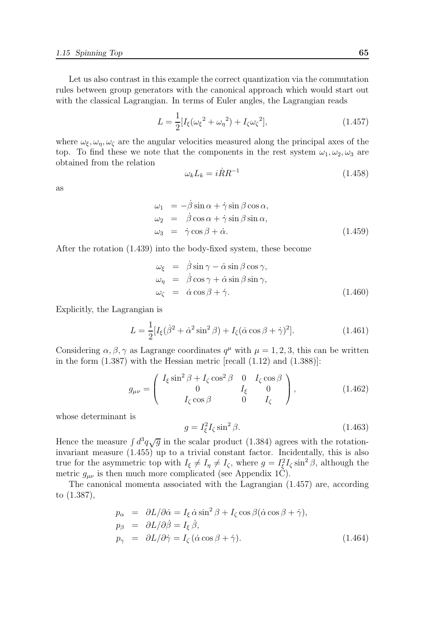Let us also contrast in this example the correct quantization via the commutation rules between group generators with the canonical approach which would start out with the classical Lagrangian. In terms of Euler angles, the Lagrangian reads

$$
L = \frac{1}{2} [I_{\xi}(\omega_{\xi}^{2} + \omega_{\eta}^{2}) + I_{\zeta}\omega_{\zeta}^{2}],
$$
\n(1.457)

where  $\omega_{\xi}, \omega_{\eta}, \omega_{\zeta}$  are the angular velocities measured along the principal axes of the top. To find these we note that the components in the rest system  $\omega_1, \omega_2, \omega_3$  are obtained from the relation

$$
\omega_k L_k = i\dot{R}R^{-1} \tag{1.458}
$$

as

$$
\omega_1 = -\dot{\beta}\sin\alpha + \dot{\gamma}\sin\beta\cos\alpha, \n\omega_2 = \dot{\beta}\cos\alpha + \dot{\gamma}\sin\beta\sin\alpha, \n\omega_3 = \dot{\gamma}\cos\beta + \dot{\alpha}.
$$
\n(1.459)

After the rotation (1.439) into the body-fixed system, these become

$$
\omega_{\xi} = \dot{\beta} \sin \gamma - \dot{\alpha} \sin \beta \cos \gamma, \n\omega_{\eta} = \dot{\beta} \cos \gamma + \dot{\alpha} \sin \beta \sin \gamma, \n\omega_{\zeta} = \dot{\alpha} \cos \beta + \dot{\gamma}.
$$
\n(1.460)

Explicitly, the Lagrangian is

$$
L = \frac{1}{2} [I_{\xi} (\dot{\beta}^2 + \dot{\alpha}^2 \sin^2 \beta) + I_{\zeta} (\dot{\alpha} \cos \beta + \dot{\gamma})^2].
$$
 (1.461)

Considering  $\alpha, \beta, \gamma$  as Lagrange coordinates  $q^{\mu}$  with  $\mu = 1, 2, 3$ , this can be written in the form  $(1.387)$  with the Hessian metric [recall  $(1.12)$  and  $(1.388)$ ]:

$$
g_{\mu\nu} = \begin{pmatrix} I_{\xi} \sin^2 \beta + I_{\zeta} \cos^2 \beta & 0 & I_{\zeta} \cos \beta \\ 0 & I_{\xi} & 0 \\ I_{\zeta} \cos \beta & 0 & I_{\zeta} \end{pmatrix},
$$
(1.462)

whose determinant is

$$
g = I_{\xi}^2 I_{\zeta} \sin^2 \beta. \tag{1.463}
$$

Hence the measure  $\int d^3q \sqrt{g}$  in the scalar product (1.384) agrees with the rotationinvariant measure (1.455) up to a trivial constant factor. Incidentally, this is also true for the asymmetric top with  $I_{\xi} \neq I_{\eta} \neq I_{\zeta}$ , where  $g = I_{\xi}^2 I_{\zeta} \sin^2 \beta$ , although the metric  $g_{\mu\nu}$  is then much more complicated (see Appendix 1C).

The canonical momenta associated with the Lagrangian (1.457) are, according to (1.387),

$$
p_{\alpha} = \partial L/\partial \dot{\alpha} = I_{\xi} \dot{\alpha} \sin^2 \beta + I_{\zeta} \cos \beta (\dot{\alpha} \cos \beta + \dot{\gamma}),
$$
  
\n
$$
p_{\beta} = \partial L/\partial \dot{\beta} = I_{\xi} \dot{\beta},
$$
  
\n
$$
p_{\gamma} = \partial L/\partial \dot{\gamma} = I_{\zeta} (\dot{\alpha} \cos \beta + \dot{\gamma}).
$$
\n(1.464)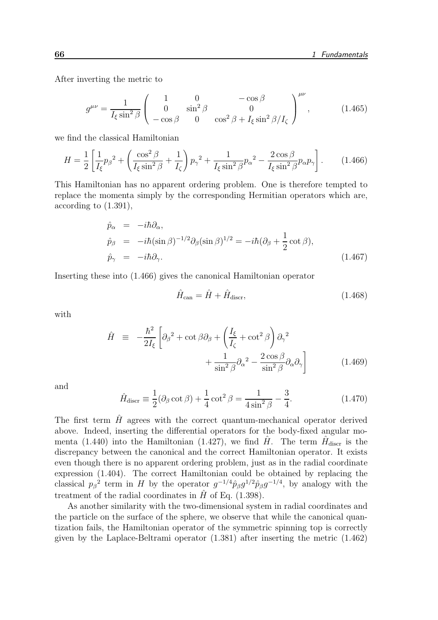After inverting the metric to

$$
g^{\mu\nu} = \frac{1}{I_{\xi}\sin^2\beta} \begin{pmatrix} 1 & 0 & -\cos\beta \\ 0 & \sin^2\beta & 0 \\ -\cos\beta & 0 & \cos^2\beta + I_{\xi}\sin^2\beta/I_{\zeta} \end{pmatrix}^{\mu\nu},
$$
(1.465)

we find the classical Hamiltonian

$$
H = \frac{1}{2} \left[ \frac{1}{I_{\xi}} p_{\beta}^2 + \left( \frac{\cos^2 \beta}{I_{\xi} \sin^2 \beta} + \frac{1}{I_{\zeta}} \right) p_{\gamma}^2 + \frac{1}{I_{\xi} \sin^2 \beta} p_{\alpha}^2 - \frac{2 \cos \beta}{I_{\xi} \sin^2 \beta} p_{\alpha} p_{\gamma} \right].
$$
 (1.466)

This Hamiltonian has no apparent ordering problem. One is therefore tempted to replace the momenta simply by the corresponding Hermitian operators which are, according to (1.391),

$$
\hat{p}_{\alpha} = -i\hbar \partial_{\alpha},
$$
\n
$$
\hat{p}_{\beta} = -i\hbar (\sin \beta)^{-1/2} \partial_{\beta} (\sin \beta)^{1/2} = -i\hbar (\partial_{\beta} + \frac{1}{2} \cot \beta),
$$
\n
$$
\hat{p}_{\gamma} = -i\hbar \partial_{\gamma}.
$$
\n(1.467)

Inserting these into (1.466) gives the canonical Hamiltonian operator

$$
\hat{H}_{\text{can}} = \hat{H} + \hat{H}_{\text{discr}},\tag{1.468}
$$

with

$$
\hat{H} = -\frac{\hbar^2}{2I_{\xi}} \left[ \partial_{\beta}^2 + \cot \beta \partial_{\beta} + \left( \frac{I_{\xi}}{I_{\zeta}} + \cot^2 \beta \right) \partial_{\gamma}^2 + \frac{1}{\sin^2 \beta} \partial_{\alpha}^2 - \frac{2 \cos \beta}{\sin^2 \beta} \partial_{\alpha} \partial_{\gamma} \right]
$$
\n(1.469)

and

$$
\hat{H}_{\text{discr}} \equiv \frac{1}{2} (\partial_{\beta} \cot \beta) + \frac{1}{4} \cot^2 \beta = \frac{1}{4 \sin^2 \beta} - \frac{3}{4}.
$$
\n(1.470)

The first term  $\hat{H}$  agrees with the correct quantum-mechanical operator derived above. Indeed, inserting the differential operators for the body-fixed angular momenta (1.440) into the Hamiltonian (1.427), we find  $\hat{H}$ . The term  $\hat{H}_{\text{discr}}$  is the discrepancy between the canonical and the correct Hamiltonian operator. It exists even though there is no apparent ordering problem, just as in the radial coordinate expression (1.404). The correct Hamiltonian could be obtained by replacing the classical  $p_\beta^2$  term in H by the operator  $g^{-1/4}$  $\hat{p}_\beta g^{1/2}$  $\hat{p}_\beta g^{-1/4}$ , by analogy with the treatment of the radial coordinates in  $\hat{H}$  of Eq. (1.398).

As another similarity with the two-dimensional system in radial coordinates and the particle on the surface of the sphere, we observe that while the canonical quantization fails, the Hamiltonian operator of the symmetric spinning top is correctly given by the Laplace-Beltrami operator (1.381) after inserting the metric (1.462)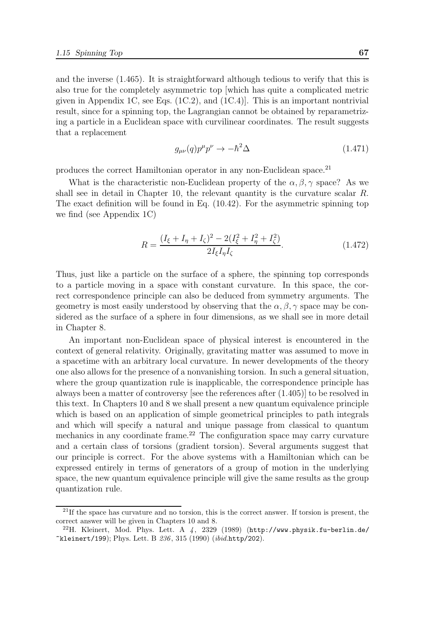and the inverse (1.465). It is straightforward although tedious to verify that this is also true for the completely asymmetric top [which has quite a complicated metric given in Appendix 1C, see Eqs.  $(1C.2)$ , and  $(1C.4)$ . This is an important nontrivial result, since for a spinning top, the Lagrangian cannot be obtained by reparametrizing a particle in a Euclidean space with curvilinear coordinates. The result suggests that a replacement

$$
g_{\mu\nu}(q)p^{\mu}p^{\nu}\to -\hbar^2\Delta\tag{1.471}
$$

produces the correct Hamiltonian operator in any non-Euclidean space.<sup>21</sup>

What is the characteristic non-Euclidean property of the  $\alpha, \beta, \gamma$  space? As we shall see in detail in Chapter 10, the relevant quantity is the curvature scalar R. The exact definition will be found in Eq. (10.42). For the asymmetric spinning top we find (see Appendix 1C)

$$
R = \frac{(I_{\xi} + I_{\eta} + I_{\zeta})^2 - 2(I_{\xi}^2 + I_{\eta}^2 + I_{\zeta}^2)}{2I_{\xi}I_{\eta}I_{\zeta}}.
$$
(1.472)

Thus, just like a particle on the surface of a sphere, the spinning top corresponds to a particle moving in a space with constant curvature. In this space, the correct correspondence principle can also be deduced from symmetry arguments. The geometry is most easily understood by observing that the  $\alpha, \beta, \gamma$  space may be considered as the surface of a sphere in four dimensions, as we shall see in more detail in Chapter 8.

An important non-Euclidean space of physical interest is encountered in the context of general relativity. Originally, gravitating matter was assumed to move in a spacetime with an arbitrary local curvature. In newer developments of the theory one also allows for the presence of a nonvanishing torsion. In such a general situation, where the group quantization rule is inapplicable, the correspondence principle has always been a matter of controversy [see the references after (1.405)] to be resolved in this text. In Chapters 10 and 8 we shall present a new quantum equivalence principle which is based on an application of simple geometrical principles to path integrals and which will specify a natural and unique passage from classical to quantum mechanics in any coordinate frame.<sup>22</sup> The configuration space may carry curvature and a certain class of torsions (gradient torsion). Several arguments suggest that our principle is correct. For the above systems with a Hamiltonian which can be expressed entirely in terms of generators of a group of motion in the underlying space, the new quantum equivalence principle will give the same results as the group quantization rule.

<sup>&</sup>lt;sup>21</sup>If the space has curvature and no torsion, this is the correct answer. If torsion is present, the correct answer will be given in Chapters 10 and 8.

<sup>&</sup>lt;sup>22</sup>H. Kleinert, Mod. Phys. Lett. A  $\downarrow$ , 2329 (1989) (http://www.physik.fu-berlin.de/  $k$ leinert/199); Phys. Lett. B 236, 315 (1990) ( $ibid.$ http/202).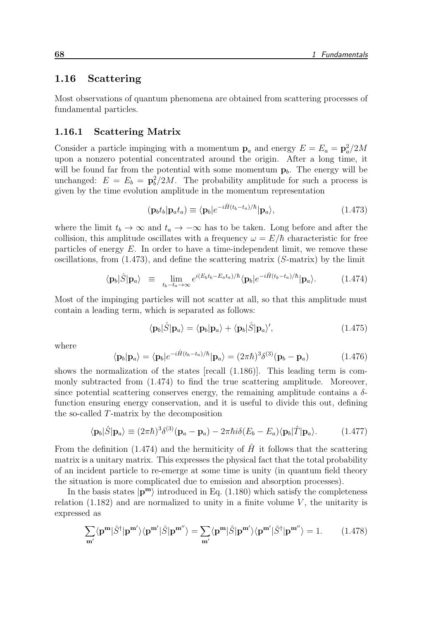## 1.16 Scattering

Most observations of quantum phenomena are obtained from scattering processes of fundamental particles.

#### 1.16.1 Scattering Matrix

Consider a particle impinging with a momentum  $\mathbf{p}_a$  and energy  $E = E_a = \mathbf{p}_a^2/2M$ upon a nonzero potential concentrated around the origin. After a long time, it will be found far from the potential with some momentum  $p_b$ . The energy will be unchanged:  $E = E_b = \mathbf{p}_b^2/2M$ . The probability amplitude for such a process is given by the time evolution amplitude in the momentum representation

$$
(\mathbf{p}_b t_b | \mathbf{p}_a t_a) \equiv \langle \mathbf{p}_b | e^{-i\hat{H}(t_b - t_a)/\hbar} | \mathbf{p}_a \rangle, \tag{1.473}
$$

where the limit  $t_b \to \infty$  and  $t_a \to -\infty$  has to be taken. Long before and after the collision, this amplitude oscillates with a frequency  $\omega = E/\hbar$  characteristic for free particles of energy  $E$ . In order to have a time-independent limit, we remove these oscillations, from  $(1.473)$ , and define the scattering matrix  $(S\text{-matrix})$  by the limit

$$
\langle \mathbf{p}_b | \hat{S} | \mathbf{p}_a \rangle \equiv \lim_{t_b - t_a \to \infty} e^{i(E_b t_b - E_a t_a)/\hbar} \langle \mathbf{p}_b | e^{-i\hat{H}(t_b - t_a)/\hbar} | \mathbf{p}_a \rangle. \tag{1.474}
$$

Most of the impinging particles will not scatter at all, so that this amplitude must contain a leading term, which is separated as follows:

$$
\langle \mathbf{p}_b | \hat{S} | \mathbf{p}_a \rangle = \langle \mathbf{p}_b | \mathbf{p}_a \rangle + \langle \mathbf{p}_b | \hat{S} | \mathbf{p}_a \rangle', \qquad (1.475)
$$

where

$$
\langle \mathbf{p}_b | \mathbf{p}_a \rangle = \langle \mathbf{p}_b | e^{-i\hat{H}(t_b - t_a)/\hbar} | \mathbf{p}_a \rangle = (2\pi\hbar)^3 \delta^{(3)}(\mathbf{p}_b - \mathbf{p}_a)
$$
 (1.476)

shows the normalization of the states [recall (1.186)]. This leading term is commonly subtracted from (1.474) to find the true scattering amplitude. Moreover, since potential scattering conserves energy, the remaining amplitude contains a  $\delta$ function ensuring energy conservation, and it is useful to divide this out, defining the so-called T-matrix by the decomposition

$$
\langle \mathbf{p}_b | \hat{S} | \mathbf{p}_a \rangle \equiv (2\pi \hbar)^3 \delta^{(3)} (\mathbf{p}_a - \mathbf{p}_a) - 2\pi \hbar i \delta (E_b - E_a) \langle \mathbf{p}_b | \hat{T} | \mathbf{p}_a \rangle. \tag{1.477}
$$

From the definition (1.474) and the hermiticity of  $\hat{H}$  it follows that the scattering matrix is a unitary matrix. This expresses the physical fact that the total probability of an incident particle to re-emerge at some time is unity (in quantum field theory the situation is more complicated due to emission and absorption processes).

In the basis states  $|\mathbf{p}^{\mathbf{m}}\rangle$  introduced in Eq. (1.180) which satisfy the completeness relation  $(1.182)$  and are normalized to unity in a finite volume V, the unitarity is expressed as

$$
\sum_{\mathbf{m'}} \langle \mathbf{p}^{\mathbf{m}} | \hat{S}^{\dagger} | \mathbf{p}^{\mathbf{m'}} \rangle \langle \mathbf{p}^{\mathbf{m'}} | \hat{S} | \mathbf{p}^{\mathbf{m'}} \rangle = \sum_{\mathbf{m'}} \langle \mathbf{p}^{\mathbf{m}} | \hat{S} | \mathbf{p}^{\mathbf{m'}} \rangle \langle \mathbf{p}^{\mathbf{m'}} | \hat{S}^{\dagger} | \mathbf{p}^{\mathbf{m'}} \rangle = 1. \quad (1.478)
$$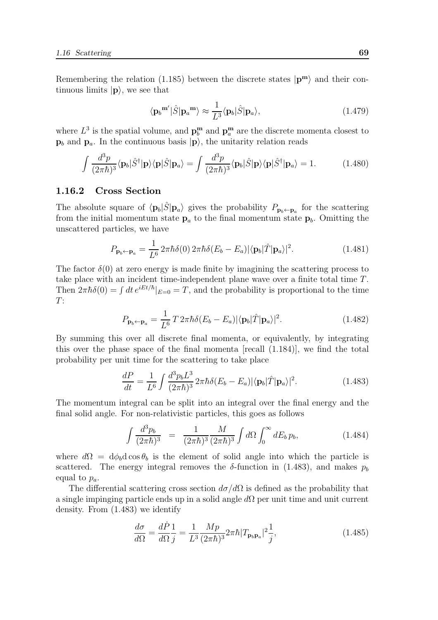Remembering the relation (1.185) between the discrete states  $|\mathbf{p}^{\mathbf{m}}\rangle$  and their continuous limits  $|\mathbf{p}\rangle$ , we see that

$$
\langle \mathbf{p}_b^{\mathbf{m}'} |\hat{S} | \mathbf{p}_a^{\mathbf{m}} \rangle \approx \frac{1}{L^3} \langle \mathbf{p}_b | \hat{S} | \mathbf{p}_a \rangle, \tag{1.479}
$$

where  $L^3$  is the spatial volume, and  $\mathbf{p}_b^{\mathbf{m}}$  and  $\mathbf{p}_a^{\mathbf{m}}$  are the discrete momenta closest to  $\mathbf{p}_b$  and  $\mathbf{p}_a$ . In the continuous basis  $|\mathbf{p}\rangle$ , the unitarity relation reads

$$
\int \frac{d^3 p}{(2\pi\hbar)^3} \langle \mathbf{p}_b | \hat{S}^\dagger | \mathbf{p} \rangle \langle \mathbf{p} | \hat{S} | \mathbf{p}_a \rangle = \int \frac{d^3 p}{(2\pi\hbar)^3} \langle \mathbf{p}_b | \hat{S} | \mathbf{p} \rangle \langle \mathbf{p} | \hat{S}^\dagger | \mathbf{p}_a \rangle = 1.
$$
 (1.480)

#### 1.16.2 Cross Section

The absolute square of  $\langle \mathbf{p}_b|\hat{S}|\mathbf{p}_a\rangle$  gives the probability  $P_{\mathbf{p}_b \leftarrow \mathbf{p}_a}$  for the scattering from the initial momentum state  $p_a$  to the final momentum state  $p_b$ . Omitting the unscattered particles, we have

$$
P_{\mathbf{p}_b \leftarrow \mathbf{p}_a} = \frac{1}{L^6} 2\pi \hbar \delta(0) 2\pi \hbar \delta(E_b - E_a) |\langle \mathbf{p}_b | \hat{T} | \mathbf{p}_a \rangle|^2.
$$
 (1.481)

The factor  $\delta(0)$  at zero energy is made finite by imagining the scattering process to take place with an incident time-independent plane wave over a finite total time T. Then  $2\pi\hbar\delta(0) = \int dt \, e^{iEt/\hbar}|_{E=0} = T$ , and the probability is proportional to the time  $T:$ 

$$
P_{\mathbf{p}_b \leftarrow \mathbf{p}_a} = \frac{1}{L^6} T 2\pi \hbar \delta (E_b - E_a) |\langle \mathbf{p}_b | \hat{T} | \mathbf{p}_a \rangle|^2.
$$
 (1.482)

By summing this over all discrete final momenta, or equivalently, by integrating this over the phase space of the final momenta [recall (1.184)], we find the total probability per unit time for the scattering to take place

$$
\frac{dP}{dt} = \frac{1}{L^6} \int \frac{d^3 p_b L^3}{(2\pi\hbar)^3} 2\pi\hbar \delta(E_b - E_a) |\langle \mathbf{p}_b | \hat{T} | \mathbf{p}_a \rangle|^2.
$$
 (1.483)

The momentum integral can be split into an integral over the final energy and the final solid angle. For non-relativistic particles, this goes as follows

$$
\int \frac{d^3 p_b}{(2\pi\hbar)^3} = \frac{1}{(2\pi\hbar)^3} \frac{M}{(2\pi\hbar)^3} \int d\Omega \int_0^\infty dE_b \, p_b,\tag{1.484}
$$

where  $d\Omega = d\phi_b d\cos\theta_b$  is the element of solid angle into which the particle is scattered. The energy integral removes the  $\delta$ -function in (1.483), and makes  $p_b$ equal to  $p_a$ .

The differential scattering cross section  $d\sigma/d\Omega$  is defined as the probability that a single impinging particle ends up in a solid angle  $d\Omega$  per unit time and unit current density. From (1.483) we identify

$$
\frac{d\sigma}{d\Omega} = \frac{d\dot{P}}{d\Omega} \frac{1}{j} = \frac{1}{L^3} \frac{Mp}{(2\pi\hbar)^3} 2\pi\hbar |T_{\mathbf{p}_b \mathbf{p}_a}|^2 \frac{1}{j},\tag{1.485}
$$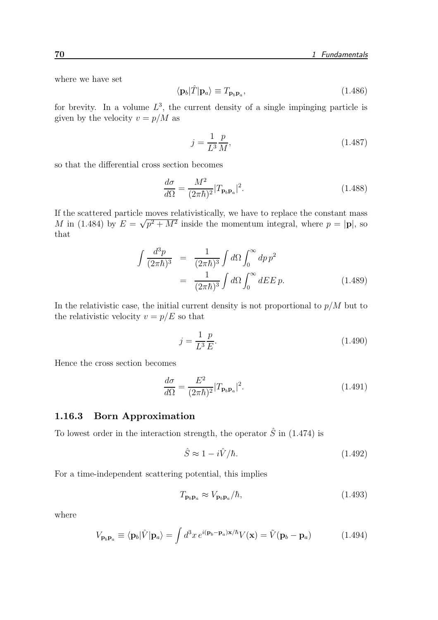where we have set

$$
\langle \mathbf{p}_b | \hat{T} | \mathbf{p}_a \rangle \equiv T_{\mathbf{p}_b \mathbf{p}_a},\tag{1.486}
$$

for brevity. In a volume  $L^3$ , the current density of a single impinging particle is given by the velocity  $v = p/M$  as

$$
j = \frac{1}{L^3} \frac{p}{M},
$$
\n(1.487)

so that the differential cross section becomes

$$
\frac{d\sigma}{d\Omega} = \frac{M^2}{(2\pi\hbar)^2} |T_{\mathbf{p}_b \mathbf{p}_a}|^2.
$$
\n(1.488)

If the scattered particle moves relativistically, we have to replace the constant mass M in (1.484) by  $E = \sqrt{p^2 + M^2}$  inside the momentum integral, where  $p = |\mathbf{p}|$ , so that

$$
\int \frac{d^3p}{(2\pi\hbar)^3} = \frac{1}{(2\pi\hbar)^3} \int d\Omega \int_0^\infty dp \, p^2
$$
\n
$$
= \frac{1}{(2\pi\hbar)^3} \int d\Omega \int_0^\infty dE E \, p. \tag{1.489}
$$

In the relativistic case, the initial current density is not proportional to  $p/M$  but to the relativistic velocity  $v = p/E$  so that

$$
j = \frac{1}{L^3} \frac{p}{E}.\tag{1.490}
$$

Hence the cross section becomes

$$
\frac{d\sigma}{d\Omega} = \frac{E^2}{(2\pi\hbar)^2} |T_{\mathbf{p}_b \mathbf{p}_a}|^2.
$$
\n(1.491)

#### 1.16.3 Born Approximation

To lowest order in the interaction strength, the operator  $\hat{S}$  in (1.474) is

$$
\hat{S} \approx 1 - i\hat{V}/\hbar. \tag{1.492}
$$

For a time-independent scattering potential, this implies

$$
T_{\mathbf{p}_b \mathbf{p}_a} \approx V_{\mathbf{p}_b \mathbf{p}_a} / \hbar,
$$
\n(1.493)

where

$$
V_{\mathbf{p}_b \mathbf{p}_a} \equiv \langle \mathbf{p}_b | \hat{V} | \mathbf{p}_a \rangle = \int d^3x \, e^{i(\mathbf{p}_b - \mathbf{p}_a) \mathbf{x}/\hbar} V(\mathbf{x}) = \tilde{V}(\mathbf{p}_b - \mathbf{p}_a)
$$
 (1.494)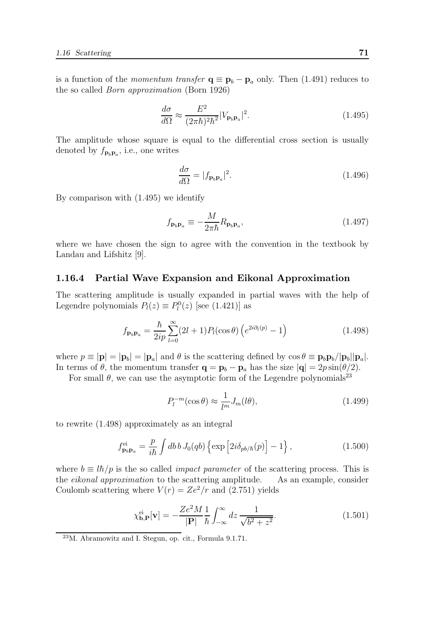is a function of the *momentum transfer*  $q \equiv p_b - p_a$  only. Then (1.491) reduces to the so called Born approximation (Born 1926)

$$
\frac{d\sigma}{d\Omega} \approx \frac{E^2}{(2\pi\hbar)^2\hbar^2} |V_{\mathbf{p}_b\mathbf{p}_a}|^2. \tag{1.495}
$$

The amplitude whose square is equal to the differential cross section is usually denoted by  $f_{\mathbf{p}_b \mathbf{p}_a}$ , i.e., one writes

$$
\frac{d\sigma}{d\Omega} = |f_{\mathbf{p}_b \mathbf{p}_a}|^2. \tag{1.496}
$$

By comparison with (1.495) we identify

$$
f_{\mathbf{p}_b \mathbf{p}_a} \equiv -\frac{M}{2\pi\hbar} R_{\mathbf{p}_b \mathbf{p}_a},\tag{1.497}
$$

where we have chosen the sign to agree with the convention in the textbook by Landau and Lifshitz [9].

#### 1.16.4 Partial Wave Expansion and Eikonal Approximation

The scattering amplitude is usually expanded in partial waves with the help of Legendre polynomials  $P_l(z) \equiv P_l^0(z)$  [see (1.421)] as

$$
f_{\mathbf{p}_b \mathbf{p}_a} = \frac{\hbar}{2ip} \sum_{l=0}^{\infty} (2l+1) P_l(\cos \theta) \left( e^{2i\partial_l(p)} - 1 \right)
$$
 (1.498)

where  $p \equiv |\mathbf{p}| = |\mathbf{p}_b| = |\mathbf{p}_a|$  and  $\theta$  is the scattering defined by  $\cos \theta \equiv \mathbf{p}_b \mathbf{p}_b/|\mathbf{p}_b||\mathbf{p}_a|$ . In terms of  $\theta$ , the momentum transfer  $\mathbf{q} = \mathbf{p}_b - \mathbf{p}_a$  has the size  $|\mathbf{q}| = 2p \sin(\theta/2)$ .

For small  $\theta$ , we can use the asymptotic form of the Legendre polynomials<sup>23</sup>

$$
P_l^{-m}(\cos \theta) \approx \frac{1}{l^m} J_m(l\theta),\tag{1.499}
$$

to rewrite (1.498) approximately as an integral

$$
f_{\mathbf{p}_b \mathbf{p}_a}^{\text{ei}} = \frac{p}{i\hbar} \int db \, b \, J_0(qb) \left\{ \exp \left[ 2i \delta_{pb/\hbar}(p) \right] - 1 \right\},\tag{1.500}
$$

where  $b \equiv l\hbar/p$  is the so called *impact parameter* of the scattering process. This is the *eikonal approximation* to the scattering amplitude. As an example, consider the *eikonal approximation* to the scattering amplitude. Coulomb scattering where  $V(r) = Ze^2/r$  and (2.751) yields

$$
\chi_{\mathbf{b},\mathbf{P}}^{\text{ei}}[\mathbf{v}] = -\frac{Ze^2M}{|\mathbf{P}|}\frac{1}{\hbar} \int_{-\infty}^{\infty} dz \frac{1}{\sqrt{b^2 + z^2}}.
$$
\n(1.501)

<sup>23</sup>M. Abramowitz and I. Stegun, op. cit., Formula 9.1.71.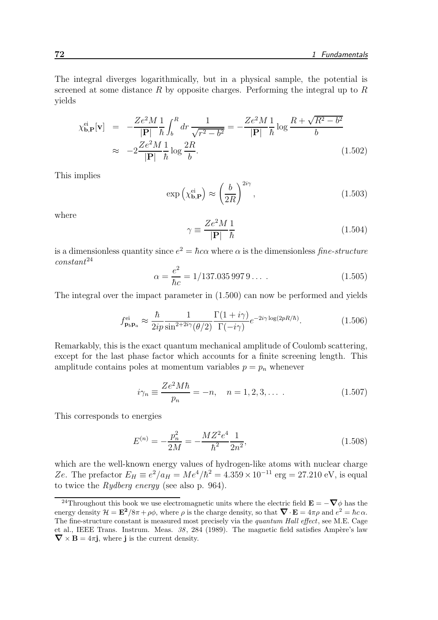The integral diverges logarithmically, but in a physical sample, the potential is screened at some distance R by opposite charges. Performing the integral up to  $R$ yields

$$
\chi_{\mathbf{b},\mathbf{P}}^{\text{ei}}[\mathbf{v}] = -\frac{Ze^2M}{|\mathbf{P}|} \frac{1}{\hbar} \int_b^R dr \frac{1}{\sqrt{r^2 - b^2}} = -\frac{Ze^2M}{|\mathbf{P}|} \frac{1}{\hbar} \log \frac{R + \sqrt{R^2 - b^2}}{b}
$$
  

$$
\approx -2\frac{Ze^2M}{|\mathbf{P}|} \frac{1}{\hbar} \log \frac{2R}{b}.
$$
 (1.502)

This implies

$$
\exp\left(\chi_{\mathbf{b},\mathbf{P}}^{\text{ei}}\right) \approx \left(\frac{b}{2R}\right)^{2i\gamma},\tag{1.503}
$$

where

$$
\gamma \equiv \frac{Ze^2M}{|\mathbf{P}|} \frac{1}{\hbar} \tag{1.504}
$$

is a dimensionless quantity since  $e^2 = \hbar c \alpha$  where  $\alpha$  is the dimensionless fine-structure  $constant^{24}$ 

$$
\alpha = \frac{e^2}{\hbar c} = 1/137.035\,997\,9\ldots\,. \tag{1.505}
$$

The integral over the impact parameter in (1.500) can now be performed and yields

$$
f_{\mathbf{p}_b \mathbf{p}_a}^{\text{ei}} \approx \frac{\hbar}{2ip} \frac{1}{\sin^{2+2i\gamma}(\theta/2)} \frac{\Gamma(1+i\gamma)}{\Gamma(-i\gamma)} e^{-2i\gamma \log(2pR/\hbar)}.\tag{1.506}
$$

Remarkably, this is the exact quantum mechanical amplitude of Coulomb scattering, except for the last phase factor which accounts for a finite screening length. This amplitude contains poles at momentum variables  $p = p_n$  whenever

$$
i\gamma_n \equiv \frac{Ze^2M\hbar}{p_n} = -n, \quad n = 1, 2, 3, \dots \tag{1.507}
$$

This corresponds to energies

$$
E^{(n)} = -\frac{p_n^2}{2M} = -\frac{MZ^2e^4}{\hbar^2} \frac{1}{2n^2},\tag{1.508}
$$

which are the well-known energy values of hydrogen-like atoms with nuclear charge Ze. The prefactor  $E_H \equiv e^2/a_H = Me^4/\hbar^2 = 4.359 \times 10^{-11}$  erg = 27.210 eV, is equal to twice the Rydberg energy (see also p. 964).

<sup>&</sup>lt;sup>24</sup>Throughout this book we use electromagnetic units where the electric field  $\mathbf{E} = -\nabla \phi$  has the energy density  $\mathcal{H} = \mathbf{E}^2/8\pi + \rho\phi$ , where  $\rho$  is the charge density, so that  $\mathbf{\nabla} \cdot \mathbf{E} = 4\pi\rho$  and  $e^2 = \hbar c \alpha$ . The fine-structure constant is measured most precisely via the quantum Hall effect, see M.E. Cage et al., IEEE Trans. Instrum. Meas.  $38, 284$  (1989). The magnetic field satisfies Ampère's law  $\nabla \times \mathbf{B} = 4\pi \mathbf{j}$ , where **j** is the current density.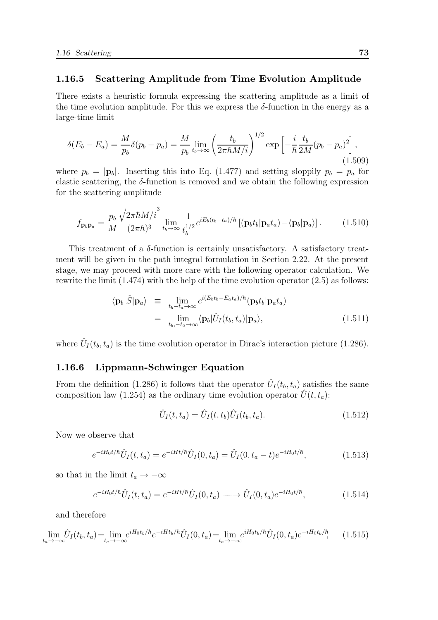## 1.16.5 Scattering Amplitude from Time Evolution Amplitude

There exists a heuristic formula expressing the scattering amplitude as a limit of the time evolution amplitude. For this we express the  $\delta$ -function in the energy as a large-time limit

$$
\delta(E_b - E_a) = \frac{M}{p_b} \delta(p_b - p_a) = \frac{M}{p_b} \lim_{t_b \to \infty} \left(\frac{t_b}{2\pi\hbar M/i}\right)^{1/2} \exp\left[-\frac{i}{\hbar} \frac{t_b}{2M} (p_b - p_a)^2\right],\tag{1.509}
$$

where  $p_b = |\mathbf{p}_b|$ . Inserting this into Eq. (1.477) and setting sloppily  $p_b = p_a$  for elastic scattering, the  $\delta$ -function is removed and we obtain the following expression for the scattering amplitude

$$
f_{\mathbf{p}_b \mathbf{p}_a} = \frac{p_b}{M} \frac{\sqrt{2\pi \hbar M/i}^3}{(2\pi \hbar)^3} \lim_{t_b \to \infty} \frac{1}{t_b^{1/2}} e^{iE_b(t_b - t_a)/\hbar} \left[ (\mathbf{p}_b t_b | \mathbf{p}_a t_a) - \langle \mathbf{p}_b | \mathbf{p}_a \rangle \right]. \tag{1.510}
$$

This treatment of a  $\delta$ -function is certainly unsatisfactory. A satisfactory treatment will be given in the path integral formulation in Section 2.22. At the present stage, we may proceed with more care with the following operator calculation. We rewrite the limit (1.474) with the help of the time evolution operator (2.5) as follows:

$$
\langle \mathbf{p}_b | \hat{S} | \mathbf{p}_a \rangle \equiv \lim_{t_b - t_a \to \infty} e^{i(E_b t_b - E_a t_a)/\hbar} (\mathbf{p}_b t_b | \mathbf{p}_a t_a)
$$
  

$$
= \lim_{t_b, -t_a \to \infty} \langle \mathbf{p}_b | \hat{U}_I(t_b, t_a) | \mathbf{p}_a \rangle,
$$
(1.511)

where  $\hat{U}_I(t_b, t_a)$  is the time evolution operator in Dirac's interaction picture (1.286).

### 1.16.6 Lippmann-Schwinger Equation

From the definition (1.286) it follows that the operator  $\hat{U}_I(t_b, t_a)$  satisfies the same composition law (1.254) as the ordinary time evolution operator  $U(t, t_a)$ :

$$
\hat{U}_I(t, t_a) = \hat{U}_I(t, t_b) \hat{U}_I(t_b, t_a).
$$
\n(1.512)

Now we observe that

$$
e^{-iH_0t/\hbar}\hat{U}_I(t,t_a) = e^{-iHt/\hbar}\hat{U}_I(0,t_a) = \hat{U}_I(0,t_a-t)e^{-iH_0t/\hbar},\tag{1.513}
$$

so that in the limit  $t_a \to -\infty$ 

$$
e^{-iH_0t/\hbar}\hat{U}_I(t,t_a) = e^{-iHt/\hbar}\hat{U}_I(0,t_a) \longrightarrow \hat{U}_I(0,t_a)e^{-iH_0t/\hbar}, \qquad (1.514)
$$

and therefore

$$
\lim_{t_a \to -\infty} \hat{U}_I(t_b, t_a) = \lim_{t_a \to -\infty} e^{iH_0 t_b/\hbar} e^{-iH t_b/\hbar} \hat{U}_I(0, t_a) = \lim_{t_a \to -\infty} e^{iH_0 t_b/\hbar} \hat{U}_I(0, t_a) e^{-iH_0 t_b/\hbar}, \quad (1.515)
$$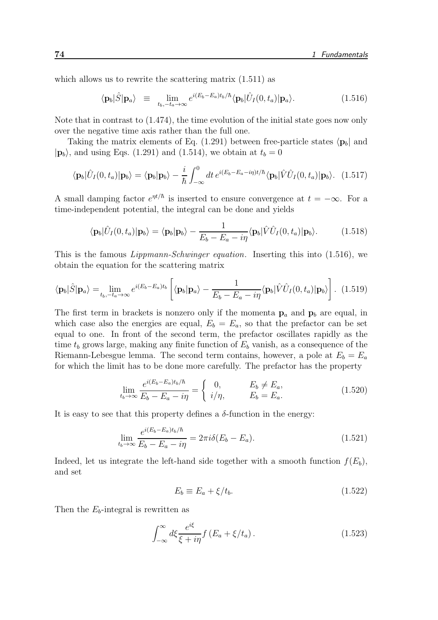which allows us to rewrite the scattering matrix  $(1.511)$  as

$$
\langle \mathbf{p}_b | \hat{S} | \mathbf{p}_a \rangle \equiv \lim_{t_b, -t_a \to \infty} e^{i(E_b - E_a)t_b/\hbar} \langle \mathbf{p}_b | \hat{U}_I(0, t_a) | \mathbf{p}_a \rangle. \tag{1.516}
$$

Note that in contrast to (1.474), the time evolution of the initial state goes now only over the negative time axis rather than the full one.

Taking the matrix elements of Eq. (1.291) between free-particle states  $\langle \mathbf{p}_b|$  and  $|\mathbf{p}_b\rangle$ , and using Eqs. (1.291) and (1.514), we obtain at  $t_b = 0$ 

$$
\langle \mathbf{p}_b | \hat{U}_I(0, t_a) | \mathbf{p}_b \rangle = \langle \mathbf{p}_b | \mathbf{p}_b \rangle - \frac{i}{\hbar} \int_{-\infty}^0 dt \, e^{i(E_b - E_a - i\eta)t/\hbar} \langle \mathbf{p}_b | \hat{V} \hat{U}_I(0, t_a) | \mathbf{p}_b \rangle. \tag{1.517}
$$

A small damping factor  $e^{\eta t/\hbar}$  is inserted to ensure convergence at  $t = -\infty$ . For a time-independent potential, the integral can be done and yields

$$
\langle \mathbf{p}_b | \hat{U}_I(0, t_a) | \mathbf{p}_b \rangle = \langle \mathbf{p}_b | \mathbf{p}_b \rangle - \frac{1}{E_b - E_a - i\eta} \langle \mathbf{p}_b | \hat{V} \hat{U}_I(0, t_a) | \mathbf{p}_b \rangle.
$$
 (1.518)

This is the famous Lippmann-Schwinger equation. Inserting this into (1.516), we obtain the equation for the scattering matrix

$$
\langle \mathbf{p}_b | \hat{S} | \mathbf{p}_a \rangle = \lim_{t_b, -t_a \to \infty} e^{i(E_b - E_a)t_b} \left[ \langle \mathbf{p}_b | \mathbf{p}_a \rangle - \frac{1}{E_b - E_a - i\eta} \langle \mathbf{p}_b | \hat{V} \hat{U}_I(0, t_a) | \mathbf{p}_b \rangle \right]. \tag{1.519}
$$

The first term in brackets is nonzero only if the momenta  $p_a$  and  $p_b$  are equal, in which case also the energies are equal,  $E_b = E_a$ , so that the prefactor can be set equal to one. In front of the second term, the prefactor oscillates rapidly as the time  $t_b$  grows large, making any finite function of  $E_b$  vanish, as a consequence of the Riemann-Lebesgue lemma. The second term contains, however, a pole at  $E_b = E_a$ for which the limit has to be done more carefully. The prefactor has the property

$$
\lim_{t_b \to \infty} \frac{e^{i(E_b - E_a)t_b/\hbar}}{E_b - E_a - i\eta} = \begin{cases} 0, & E_b \neq E_a, \\ i/\eta, & E_b = E_a. \end{cases} \tag{1.520}
$$

It is easy to see that this property defines a  $\delta$ -function in the energy:

$$
\lim_{t_b \to \infty} \frac{e^{i(E_b - E_a)t_b/\hbar}}{E_b - E_a - i\eta} = 2\pi i \delta(E_b - E_a).
$$
\n(1.521)

Indeed, let us integrate the left-hand side together with a smooth function  $f(E_b)$ , and set

$$
E_b \equiv E_a + \xi / t_b. \tag{1.522}
$$

Then the  $E_b$ -integral is rewritten as

$$
\int_{-\infty}^{\infty} d\xi \frac{e^{i\xi}}{\xi + i\eta} f(E_a + \xi/t_a). \tag{1.523}
$$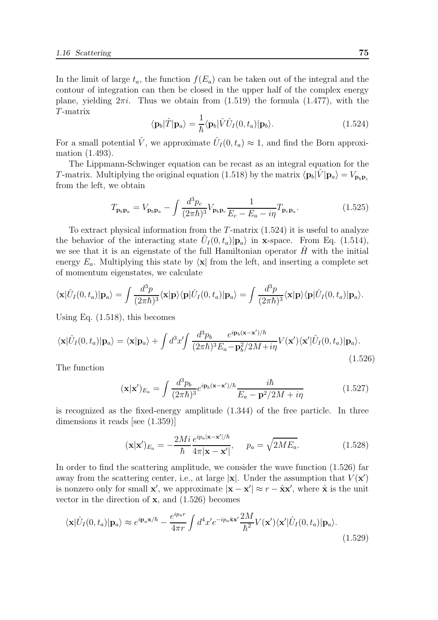In the limit of large  $t_a$ , the function  $f(E_a)$  can be taken out of the integral and the contour of integration can then be closed in the upper half of the complex energy plane, yielding  $2\pi i$ . Thus we obtain from  $(1.519)$  the formula  $(1.477)$ , with the T-matrix

$$
\langle \mathbf{p}_b | \hat{T} | \mathbf{p}_a \rangle = \frac{1}{\hbar} \langle \mathbf{p}_b | \hat{V} \hat{U}_I(0, t_a) | \mathbf{p}_b \rangle.
$$
 (1.524)

For a small potential  $\hat{V}$ , we approximate  $\hat{U}_I(0, t_a) \approx 1$ , and find the Born approximation (1.493).

The Lippmann-Schwinger equation can be recast as an integral equation for the T-matrix. Multiplying the original equation (1.518) by the matrix  $\langle \mathbf{p}_b|V|\mathbf{p}_a \rangle = V_{\mathbf{p}_b\mathbf{p}_c}$ from the left, we obtain

$$
T_{\mathbf{p}_b \mathbf{p}_a} = V_{\mathbf{p}_b \mathbf{p}_a} - \int \frac{d^3 p_c}{(2\pi\hbar)^3} V_{\mathbf{p}_b \mathbf{p}_c} \frac{1}{E_c - E_a - i\eta} T_{\mathbf{p}_c \mathbf{p}_a}.
$$
 (1.525)

To extract physical information from the  $T$ -matrix  $(1.524)$  it is useful to analyze the behavior of the interacting state  $\hat{U}_I(0, t_a)|\mathbf{p}_a\rangle$  in **x**-space. From Eq. (1.514), we see that it is an eigenstate of the full Hamiltonian operator  $H$  with the initial energy  $E_a$ . Multiplying this state by  $\langle \mathbf{x} |$  from the left, and inserting a complete set of momentum eigenstates, we calculate

$$
\langle \mathbf{x} | \hat{U}_I(0, t_a) | \mathbf{p}_a \rangle = \int \frac{d^3 p}{(2\pi\hbar)^3} \langle \mathbf{x} | \mathbf{p} \rangle \langle \mathbf{p} | \hat{U}_I(0, t_a) | \mathbf{p}_a \rangle = \int \frac{d^3 p}{(2\pi\hbar)^3} \langle \mathbf{x} | \mathbf{p} \rangle \langle \mathbf{p} | \hat{U}_I(0, t_a) | \mathbf{p}_a \rangle.
$$

Using Eq. (1.518), this becomes

$$
\langle \mathbf{x} | \hat{U}_I(0, t_a) | \mathbf{p}_a \rangle = \langle \mathbf{x} | \mathbf{p}_a \rangle + \int d^3 x' \int \frac{d^3 p_b}{(2\pi \hbar)^3 E_a - \mathbf{p}_b^2 / 2M + i\eta} V(\mathbf{x}') \langle \mathbf{x}' | \hat{U}_I(0, t_a) | \mathbf{p}_a \rangle.
$$
\n(1.526)

The function

$$
(\mathbf{x}|\mathbf{x}')_{E_a} = \int \frac{d^3 p_b}{(2\pi\hbar)^3} e^{i\mathbf{p}_b(\mathbf{x}-\mathbf{x}')/\hbar} \frac{i\hbar}{E_a - \mathbf{p}^2/2M + i\eta}
$$
(1.527)

is recognized as the fixed-energy amplitude (1.344) of the free particle. In three dimensions it reads [see (1.359)]

$$
(\mathbf{x}|\mathbf{x}')_{E_a} = -\frac{2Mi}{\hbar} \frac{e^{ip_a|\mathbf{x} - \mathbf{x}'|/\hbar}}{4\pi|\mathbf{x} - \mathbf{x}'|}, \quad p_a = \sqrt{2ME_a}.
$$
 (1.528)

In order to find the scattering amplitude, we consider the wave function (1.526) far away from the scattering center, i.e., at large  $|\mathbf{x}|$ . Under the assumption that  $V(\mathbf{x}')$ is nonzero only for small **x'**, we approximate  $|\mathbf{x} - \mathbf{x}'| \approx r - \hat{\mathbf{x}}\mathbf{x}'$ , where  $\hat{\mathbf{x}}$  is the unit vector in the direction of  $x$ , and  $(1.526)$  becomes

$$
\langle \mathbf{x} | \hat{U}_I(0, t_a) | \mathbf{p}_a \rangle \approx e^{i \mathbf{p}_a \mathbf{x}/\hbar} - \frac{e^{i p_a r}}{4 \pi r} \int d^4 x' e^{-i p_a \hat{\mathbf{x}} \mathbf{x}'} \frac{2M}{\hbar^2} V(\mathbf{x}') \langle \mathbf{x}' | \hat{U}_I(0, t_a) | \mathbf{p}_a \rangle.
$$
\n(1.529)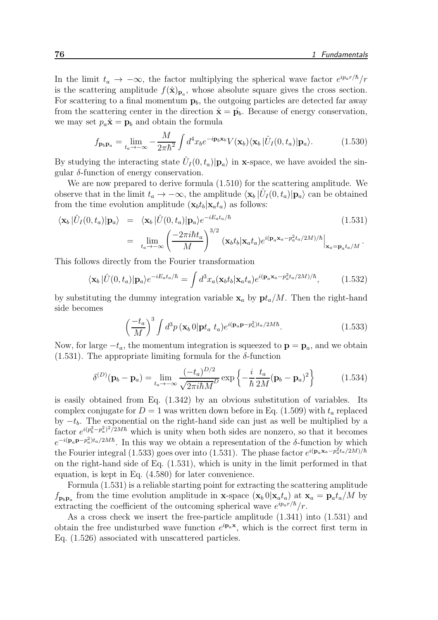In the limit  $t_a \to -\infty$ , the factor multiplying the spherical wave factor  $e^{ip_a r/\hbar}/r$ is the scattering amplitude  $f(\hat{\mathbf{x}})_{\mathbf{p}_a}$ , whose absolute square gives the cross section. For scattering to a final momentum  $\mathbf{p}_b$ , the outgoing particles are detected far away from the scattering center in the direction  $\hat{\mathbf{x}} = \hat{\mathbf{p}}_b$ . Because of energy conservation, we may set  $p_a\hat{\mathbf{x}} = \mathbf{p}_b$  and obtain the formula

$$
f_{\mathbf{p}_b \mathbf{p}_a} = \lim_{t_a \to -\infty} -\frac{M}{2\pi\hbar^2} \int d^4x_b e^{-i\mathbf{p}_b \mathbf{x}_b} V(\mathbf{x}_b) \langle \mathbf{x}_b | \hat{U}_I(0, t_a) | \mathbf{p}_a \rangle.
$$
 (1.530)

By studying the interacting state  $\hat{U}_I(0, t_a)|\mathbf{p}_a\rangle$  in **x**-space, we have avoided the singular  $\delta$ -function of energy conservation.

We are now prepared to derive formula (1.510) for the scattering amplitude. We observe that in the limit  $t_a \to -\infty$ , the amplitude  $\langle \mathbf{x}_b | \hat{U}_I(0, t_a) | \mathbf{p}_a \rangle$  can be obtained from the time evolution amplitude  $(\mathbf{x}_b t_b | \mathbf{x}_a t_a)$  as follows:

$$
\langle \mathbf{x}_b | \hat{U}_I(0, t_a) | \mathbf{p}_a \rangle = \langle \mathbf{x}_b | \hat{U}(0, t_a) | \mathbf{p}_a \rangle e^{-iE_a t_a/\hbar}
$$
\n
$$
= \lim_{t_a \to -\infty} \left( \frac{-2\pi i \hbar t_a}{M} \right)^{3/2} (\mathbf{x}_b t_b | \mathbf{x}_a t_a) e^{i(\mathbf{p}_a \mathbf{x}_a - p_a^2 t_a/2M)/\hbar} |_{\mathbf{x}_a = \mathbf{p}_a t_a/M}.
$$
\n(1.531)

This follows directly from the Fourier transformation

$$
\langle \mathbf{x}_b | \hat{U}(0, t_a) | \mathbf{p}_a \rangle e^{-iE_a t_a/\hbar} = \int d^3x_a (\mathbf{x}_b t_b | \mathbf{x}_a t_a) e^{i(\mathbf{p}_a \mathbf{x}_a - p_a^2 t_a/2M)/\hbar}, \tag{1.532}
$$

by substituting the dummy integration variable  $x_a$  by  $pt_a/M$ . Then the right-hand side becomes

$$
\left(\frac{-t_a}{M}\right)^3 \int d^3p \left(\mathbf{x}_b \, 0\right) \mathbf{p} t_a \ t_a \, e^{i(\mathbf{p}_a \mathbf{p} - p_a^2) t_a/2M\hbar}.\tag{1.533}
$$

Now, for large  $-t_a$ , the momentum integration is squeezed to  $\mathbf{p} = \mathbf{p}_a$ , and we obtain  $(1.531)$ . The appropriate limiting formula for the  $\delta$ -function

$$
\delta^{(D)}(\mathbf{p}_b - \mathbf{p}_a) = \lim_{t_a \to -\infty} \frac{(-t_a)^{D/2}}{\sqrt{2\pi i\hbar M^D}} \exp\left\{-\frac{i}{\hbar} \frac{t_a}{2M} (\mathbf{p}_b - \mathbf{p}_a)^2\right\} \tag{1.534}
$$

is easily obtained from Eq. (1.342) by an obvious substitution of variables. Its complex conjugate for  $D = 1$  was written down before in Eq. (1.509) with  $t_a$  replaced by  $-t<sub>b</sub>$ . The exponential on the right-hand side can just as well be multiplied by a factor  $e^{i(p_b^2 - p_a^2)^2/2M\hbar}$  which is unity when both sides are nonzero, so that it becomes  $e^{-i(\mathbf{p}_a \mathbf{p} - p_a^2)t_a/2M\hbar}$ . In this way we obtain a representation of the  $\delta$ -function by which the Fourier integral (1.533) goes over into (1.531). The phase factor  $e^{i(\mathbf{p}_a \mathbf{x}_a - p_a^2 t_a/2M)/\hbar}$ on the right-hand side of Eq. (1.531), which is unity in the limit performed in that equation, is kept in Eq. (4.580) for later convenience.

Formula (1.531) is a reliable starting point for extracting the scattering amplitude  $f_{\mathbf{p}_b \mathbf{p}_a}$  from the time evolution amplitude in **x**-space  $(\mathbf{x}_b \mathbf{0} | \mathbf{x}_a t_a)$  at  $\mathbf{x}_a = \mathbf{p}_a t_a/M$  by extracting the coefficient of the outcoming spherical wave  $e^{ip_a r/\hbar}/r$ .

As a cross check we insert the free-particle amplitude (1.341) into (1.531) and obtain the free undisturbed wave function  $e^{i\mathbf{p}_a\mathbf{x}}$ , which is the correct first term in Eq. (1.526) associated with unscattered particles.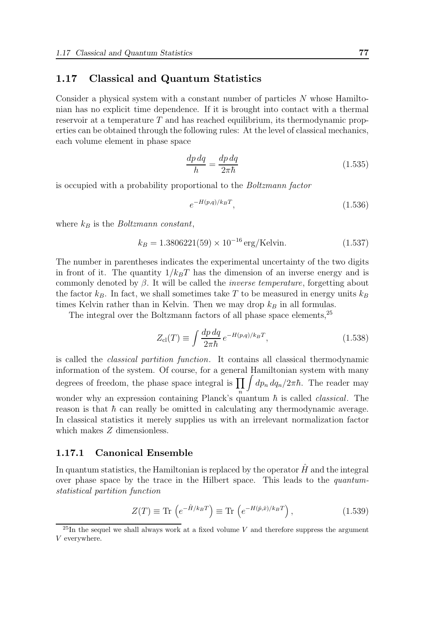## 1.17 Classical and Quantum Statistics

Consider a physical system with a constant number of particles N whose Hamiltonian has no explicit time dependence. If it is brought into contact with a thermal reservoir at a temperature T and has reached equilibrium, its thermodynamic properties can be obtained through the following rules: At the level of classical mechanics, each volume element in phase space

$$
\frac{dp\,dq}{h} = \frac{dp\,dq}{2\pi\hbar} \tag{1.535}
$$

is occupied with a probability proportional to the Boltzmann factor

$$
e^{-H(p,q)/k_BT},\tag{1.536}
$$

where  $k_B$  is the *Boltzmann constant*,

$$
k_B = 1.3806221(59) \times 10^{-16} \,\text{erg/Kelvin.} \tag{1.537}
$$

The number in parentheses indicates the experimental uncertainty of the two digits in front of it. The quantity  $1/k_BT$  has the dimension of an inverse energy and is commonly denoted by  $\beta$ . It will be called the *inverse temperature*, forgetting about the factor  $k_B$ . In fact, we shall sometimes take T to be measured in energy units  $k_B$ times Kelvin rather than in Kelvin. Then we may drop  $k_B$  in all formulas.

The integral over the Boltzmann factors of all phase space elements,  $25$ 

$$
Z_{\rm cl}(T) \equiv \int \frac{dp \, dq}{2\pi\hbar} \, e^{-H(p,q)/k_B T},\tag{1.538}
$$

is called the classical partition function. It contains all classical thermodynamic information of the system. Of course, for a general Hamiltonian system with many degrees of freedom, the phase space integral is  $\prod_{n=1}^{\infty} \int dp_n dq_n/2\pi\hbar$ . The reader may wonder why an expression containing Planck's quantum  $\hbar$  is called *classical*. The reason is that  $\hbar$  can really be omitted in calculating any thermodynamic average. In classical statistics it merely supplies us with an irrelevant normalization factor which makes  $Z$  dimensionless.

#### 1.17.1 Canonical Ensemble

In quantum statistics, the Hamiltonian is replaced by the operator  $H$  and the integral over phase space by the trace in the Hilbert space. This leads to the quantumstatistical partition function

$$
Z(T) \equiv \text{Tr}\left(e^{-\hat{H}/k_B T}\right) \equiv \text{Tr}\left(e^{-H(\hat{p}, \hat{x})/k_B T}\right),\tag{1.539}
$$

 $^{25}$ In the sequel we shall always work at a fixed volume V and therefore suppress the argument V everywhere.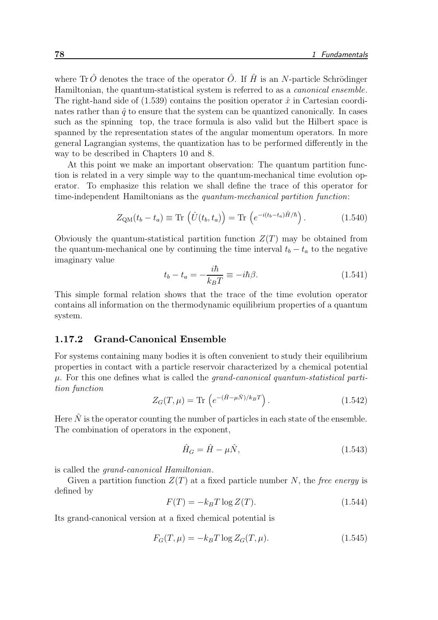where Tr $\hat{O}$  denotes the trace of the operator  $\hat{O}$ . If  $\hat{H}$  is an N-particle Schrödinger Hamiltonian, the quantum-statistical system is referred to as a *canonical ensemble*. The right-hand side of  $(1.539)$  contains the position operator  $\hat{x}$  in Cartesian coordinates rather than  $\hat{q}$  to ensure that the system can be quantized canonically. In cases such as the spinning top, the trace formula is also valid but the Hilbert space is spanned by the representation states of the angular momentum operators. In more general Lagrangian systems, the quantization has to be performed differently in the way to be described in Chapters 10 and 8.

At this point we make an important observation: The quantum partition function is related in a very simple way to the quantum-mechanical time evolution operator. To emphasize this relation we shall define the trace of this operator for time-independent Hamiltonians as the quantum-mechanical partition function:

$$
Z_{\text{QM}}(t_b - t_a) \equiv \text{Tr}\left(\hat{U}(t_b, t_a)\right) = \text{Tr}\left(e^{-i(t_b - t_a)\hat{H}/\hbar}\right). \tag{1.540}
$$

Obviously the quantum-statistical partition function  $Z(T)$  may be obtained from the quantum-mechanical one by continuing the time interval  $t_b - t_a$  to the negative imaginary value

$$
t_b - t_a = -\frac{i\hbar}{k_B T} \equiv -i\hbar\beta.
$$
 (1.541)

This simple formal relation shows that the trace of the time evolution operator contains all information on the thermodynamic equilibrium properties of a quantum system.

#### 1.17.2 Grand-Canonical Ensemble

For systems containing many bodies it is often convenient to study their equilibrium properties in contact with a particle reservoir characterized by a chemical potential  $\mu$ . For this one defines what is called the *grand-canonical quantum-statistical parti*tion function

$$
Z_G(T,\mu) = \text{Tr}\left(e^{-(\hat{H}-\mu\hat{N})/k_BT}\right). \tag{1.542}
$$

Here  $\hat{N}$  is the operator counting the number of particles in each state of the ensemble. The combination of operators in the exponent,

$$
\hat{H}_G = \hat{H} - \mu \hat{N},\tag{1.543}
$$

is called the grand-canonical Hamiltonian.

Given a partition function  $Z(T)$  at a fixed particle number N, the free energy is defined by

$$
F(T) = -k_B T \log Z(T). \qquad (1.544)
$$

Its grand-canonical version at a fixed chemical potential is

$$
F_G(T,\mu) = -k_B T \log Z_G(T,\mu). \tag{1.545}
$$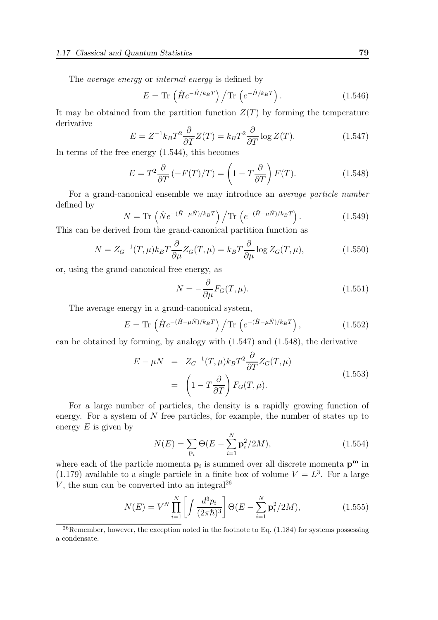The average energy or internal energy is defined by

$$
E = \text{Tr}\left(\hat{H}e^{-\hat{H}/k_BT}\right) / \text{Tr}\left(e^{-\hat{H}/k_BT}\right). \tag{1.546}
$$

It may be obtained from the partition function  $Z(T)$  by forming the temperature derivative

$$
E = Z^{-1}k_B T^2 \frac{\partial}{\partial T} Z(T) = k_B T^2 \frac{\partial}{\partial T} \log Z(T). \tag{1.547}
$$

In terms of the free energy (1.544), this becomes

$$
E = T^2 \frac{\partial}{\partial T} \left( -F(T)/T \right) = \left( 1 - T \frac{\partial}{\partial T} \right) F(T). \tag{1.548}
$$

For a grand-canonical ensemble we may introduce an average particle number defined by

$$
N = \text{Tr}\left(\hat{N}e^{-(\hat{H}-\mu\hat{N})/k_BT}\right) / \text{Tr}\left(e^{-(\hat{H}-\mu\hat{N})/k_BT}\right). \tag{1.549}
$$

This can be derived from the grand-canonical partition function as

$$
N = Z_G^{-1}(T,\mu)k_B T \frac{\partial}{\partial \mu} Z_G(T,\mu) = k_B T \frac{\partial}{\partial \mu} \log Z_G(T,\mu),\tag{1.550}
$$

or, using the grand-canonical free energy, as

$$
N = -\frac{\partial}{\partial \mu} F_G(T, \mu). \tag{1.551}
$$

The average energy in a grand-canonical system,

$$
E = \text{Tr}\left(\hat{H}e^{-(\hat{H}-\mu\hat{N})/k_BT}\right) / \text{Tr}\left(e^{-(\hat{H}-\mu\hat{N})/k_BT}\right),\tag{1.552}
$$

can be obtained by forming, by analogy with (1.547) and (1.548), the derivative

$$
E - \mu N = Z_G^{-1}(T, \mu) k_B T^2 \frac{\partial}{\partial T} Z_G(T, \mu)
$$
  
= 
$$
\left(1 - T \frac{\partial}{\partial T}\right) F_G(T, \mu).
$$
 (1.553)

For a large number of particles, the density is a rapidly growing function of energy. For a system of N free particles, for example, the number of states up to energy  $E$  is given by

$$
N(E) = \sum_{\mathbf{p}_i} \Theta(E - \sum_{i=1}^N \mathbf{p}_i^2 / 2M), \qquad (1.554)
$$

where each of the particle momenta  $\mathbf{p}_i$  is summed over all discrete momenta  $\mathbf{p}^{\mathbf{m}}$  in  $(1.179)$  available to a single particle in a finite box of volume  $V = L<sup>3</sup>$ . For a large  $V$ , the sum can be converted into an integral<sup>26</sup>

$$
N(E) = V^N \prod_{i=1}^N \left[ \int \frac{d^3 p_i}{(2\pi \hbar)^3} \right] \Theta(E - \sum_{i=1}^N \mathbf{p}_i^2 / 2M), \tag{1.555}
$$

 $26$ Remember, however, the exception noted in the footnote to Eq. (1.184) for systems possessing a condensate.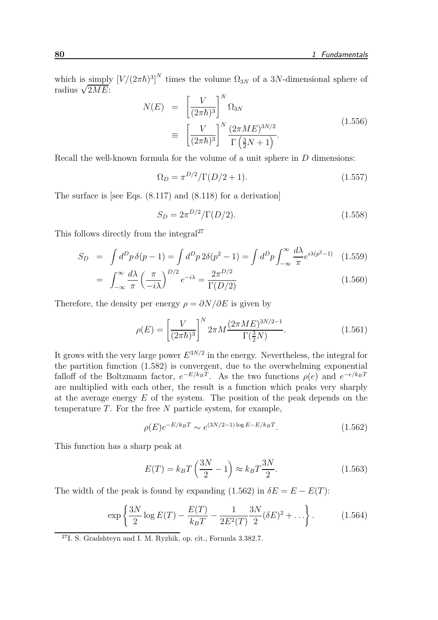which is simply  $[V/(2\pi\hbar)^3]^N$  times the volume  $\Omega_{3N}$  of a 3N-dimensional sphere of radius  $\sqrt{2ME}$ :  $\overline{N}$ 

$$
N(E) = \left[\frac{V}{(2\pi\hbar)^3}\right]^N \Omega_{3N}
$$
  

$$
\equiv \left[\frac{V}{(2\pi\hbar)^3}\right]^N \frac{(2\pi ME)^{3N/2}}{\Gamma(\frac{3}{2}N+1)}.
$$
 (1.556)

Recall the well-known formula for the volume of a unit sphere in D dimensions:

$$
\Omega_D = \pi^{D/2} / \Gamma(D/2 + 1). \tag{1.557}
$$

The surface is [see Eqs. (8.117) and (8.118) for a derivation]

$$
S_D = 2\pi^{D/2} / \Gamma(D/2). \tag{1.558}
$$

This follows directly from the integral<sup>27</sup>

$$
S_D = \int d^D p \,\delta(p-1) = \int d^D p \,2\delta(p^2 - 1) = \int d^D p \int_{-\infty}^{\infty} \frac{d\lambda}{\pi} e^{i\lambda(p^2 - 1)} \tag{1.559}
$$
\n
$$
\int \frac{d^D p}{\lambda(p^2 - 1)} \,d^D p \,2\delta(p^2 - 1) = \int d^D p \int_{-\infty}^{\infty} \frac{d\lambda}{\pi} e^{i\lambda(p^2 - 1)} \tag{1.559}
$$

$$
= \int_{-\infty}^{\infty} \frac{d\lambda}{\pi} \left(\frac{\pi}{-i\lambda}\right)^{D/2} e^{-i\lambda} = \frac{2\pi^{D/2}}{\Gamma(D/2)}\tag{1.560}
$$

Therefore, the density per energy  $\rho = \partial N/\partial E$  is given by

$$
\rho(E) = \left[\frac{V}{(2\pi\hbar)^3}\right]^N 2\pi M \frac{(2\pi ME)^{3N/2-1}}{\Gamma(\frac{3}{2}N)}.\tag{1.561}
$$

It grows with the very large power  $E^{3N/2}$  in the energy. Nevertheless, the integral for the partition function (1.582) is convergent, due to the overwhelming exponential falloff of the Boltzmann factor,  $e^{-E/k_BT}$ . As the two functions  $\rho(e)$  and  $e^{-e/k_BT}$ are multiplied with each other, the result is a function which peaks very sharply at the average energy E of the system. The position of the peak depends on the temperature  $T$ . For the free  $N$  particle system, for example,

$$
\rho(E)e^{-E/k_BT} \sim e^{(3N/2-1)\log E - E/k_BT}.\tag{1.562}
$$

This function has a sharp peak at

$$
E(T) = k_B T \left(\frac{3N}{2} - 1\right) \approx k_B T \frac{3N}{2}.\tag{1.563}
$$

The width of the peak is found by expanding (1.562) in  $\delta E = E - E(T)$ :

$$
\exp\left\{\frac{3N}{2}\log E(T) - \frac{E(T)}{k_B T} - \frac{1}{2E^2(T)}\frac{3N}{2}(\delta E)^2 + \ldots\right\}.
$$
 (1.564)

<sup>27</sup>I. S. Gradshteyn and I. M. Ryzhik, op. cit., Formula 3.382.7.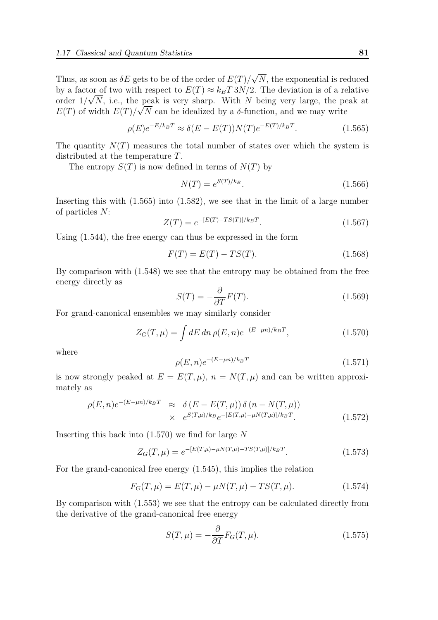Thus, as soon as  $\delta E$  gets to be of the order of  $E(T)/\sqrt{N}$ , the exponential is reduced by a factor of two with respect to  $E(T) \approx k_B T 3N/2$ . The deviation is of a relative order  $1/\sqrt{N}$ , i.e., the peak is very sharp. With N being very large, the peak at  $E(T)$  of width  $E(T)/\sqrt{N}$  can be idealized by a  $\delta$ -function, and we may write

$$
\rho(E)e^{-E/k_BT} \approx \delta(E - E(T))N(T)e^{-E(T)/k_BT}.
$$
\n(1.565)

The quantity  $N(T)$  measures the total number of states over which the system is distributed at the temperature T.

The entropy  $S(T)$  is now defined in terms of  $N(T)$  by

$$
N(T) = e^{S(T)/k_B}.
$$
\n(1.566)

Inserting this with (1.565) into (1.582), we see that in the limit of a large number of particles N:

$$
Z(T) = e^{-[E(T) - TS(T)]/k_B T}.
$$
\n(1.567)

Using (1.544), the free energy can thus be expressed in the form

$$
F(T) = E(T) - TS(T).
$$
\n(1.568)

By comparison with (1.548) we see that the entropy may be obtained from the free energy directly as

$$
S(T) = -\frac{\partial}{\partial T}F(T). \tag{1.569}
$$

For grand-canonical ensembles we may similarly consider

$$
Z_G(T,\mu) = \int dE \, dn \, \rho(E,n) e^{-(E-\mu n)/k_B T}, \qquad (1.570)
$$

where

$$
\rho(E,n)e^{-(E-\mu n)/k_BT} \tag{1.571}
$$

is now strongly peaked at  $E = E(T, \mu)$ ,  $n = N(T, \mu)$  and can be written approximately as

$$
\rho(E, n)e^{-(E-\mu n)/k_B T} \approx \delta(E - E(T, \mu))\delta(n - N(T, \mu)) \times e^{S(T, \mu)/k_B}e^{-[E(T, \mu) - \mu N(T, \mu)]/k_B T}.
$$
\n(1.572)

Inserting this back into  $(1.570)$  we find for large N

$$
Z_G(T,\mu) = e^{-[E(T,\mu) - \mu N(T,\mu) - TS(T,\mu)]/k_B T}.
$$
\n(1.573)

For the grand-canonical free energy (1.545), this implies the relation

$$
F_G(T,\mu) = E(T,\mu) - \mu N(T,\mu) - TS(T,\mu). \tag{1.574}
$$

By comparison with (1.553) we see that the entropy can be calculated directly from the derivative of the grand-canonical free energy

$$
S(T,\mu) = -\frac{\partial}{\partial T} F_G(T,\mu). \tag{1.575}
$$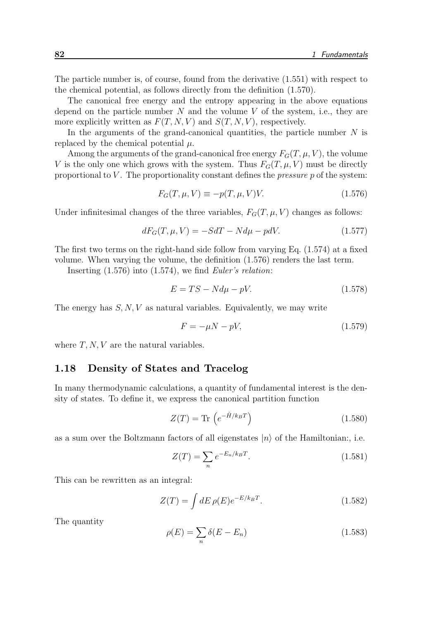The particle number is, of course, found from the derivative (1.551) with respect to the chemical potential, as follows directly from the definition (1.570).

The canonical free energy and the entropy appearing in the above equations depend on the particle number  $N$  and the volume  $V$  of the system, i.e., they are more explicitly written as  $F(T, N, V)$  and  $S(T, N, V)$ , respectively.

In the arguments of the grand-canonical quantities, the particle number  $N$  is replaced by the chemical potential  $\mu$ .

Among the arguments of the grand-canonical free energy  $F_G(T, \mu, V)$ , the volume V is the only one which grows with the system. Thus  $F_G(T, \mu, V)$  must be directly proportional to V. The proportionality constant defines the *pressure*  $p$  of the system:

$$
F_G(T, \mu, V) \equiv -p(T, \mu, V)V. \tag{1.576}
$$

Under infinitesimal changes of the three variables,  $F_G(T, \mu, V)$  changes as follows:

$$
dF_G(T, \mu, V) = -SdT - Nd\mu - pdV.
$$
\n(1.577)

The first two terms on the right-hand side follow from varying Eq. (1.574) at a fixed volume. When varying the volume, the definition (1.576) renders the last term.

Inserting  $(1.576)$  into  $(1.574)$ , we find Euler's relation:

$$
E = TS - Nd\mu - pV.\t\t(1.578)
$$

The energy has  $S, N, V$  as natural variables. Equivalently, we may write

$$
F = -\mu N - pV,\tag{1.579}
$$

where  $T, N, V$  are the natural variables.

# 1.18 Density of States and Tracelog

In many thermodynamic calculations, a quantity of fundamental interest is the density of states. To define it, we express the canonical partition function

$$
Z(T) = \text{Tr}\left(e^{-\hat{H}/k_B T}\right) \tag{1.580}
$$

as a sum over the Boltzmann factors of all eigenstates  $|n\rangle$  of the Hamiltonian:, i.e.

$$
Z(T) = \sum_{n} e^{-E_n/k_B T}.
$$
 (1.581)

This can be rewritten as an integral:

$$
Z(T) = \int dE \,\rho(E)e^{-E/k_BT}.\tag{1.582}
$$

The quantity

$$
\rho(E) = \sum_{n} \delta(E - E_n) \tag{1.583}
$$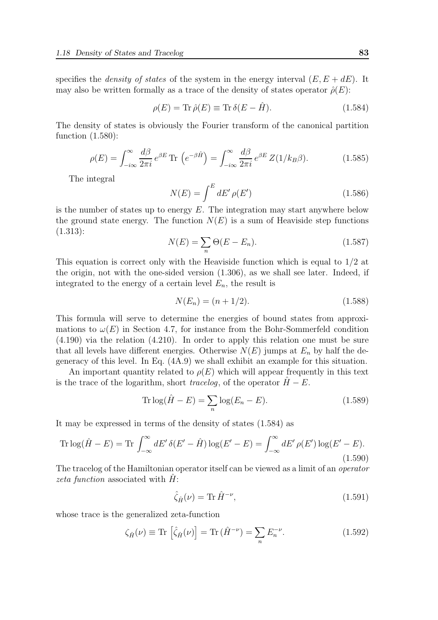specifies the *density of states* of the system in the energy interval  $(E, E + dE)$ . It may also be written formally as a trace of the density of states operator  $\hat{\rho}(E)$ :

$$
\rho(E) = \text{Tr}\,\hat{\rho}(E) \equiv \text{Tr}\,\delta(E - \hat{H}).\tag{1.584}
$$

The density of states is obviously the Fourier transform of the canonical partition function (1.580):

$$
\rho(E) = \int_{-i\infty}^{\infty} \frac{d\beta}{2\pi i} e^{\beta E} \text{Tr}\left(e^{-\beta \hat{H}}\right) = \int_{-i\infty}^{\infty} \frac{d\beta}{2\pi i} e^{\beta E} Z(1/k_B \beta). \tag{1.585}
$$

The integral

$$
N(E) = \int^{E} dE' \,\rho(E') \tag{1.586}
$$

is the number of states up to energy  $E$ . The integration may start anywhere below the ground state energy. The function  $N(E)$  is a sum of Heaviside step functions (1.313):

$$
N(E) = \sum_{n} \Theta(E - E_n). \tag{1.587}
$$

This equation is correct only with the Heaviside function which is equal to 1/2 at the origin, not with the one-sided version (1.306), as we shall see later. Indeed, if integrated to the energy of a certain level  $E_n$ , the result is

$$
N(E_n) = (n + 1/2). \tag{1.588}
$$

This formula will serve to determine the energies of bound states from approximations to  $\omega(E)$  in Section 4.7, for instance from the Bohr-Sommerfeld condition (4.190) via the relation (4.210). In order to apply this relation one must be sure that all levels have different energies. Otherwise  $N(E)$  jumps at  $E_n$  by half the degeneracy of this level. In Eq. (4A.9) we shall exhibit an example for this situation.

An important quantity related to  $\rho(E)$  which will appear frequently in this text is the trace of the logarithm, short tracelog, of the operator  $H - E$ .

$$
\operatorname{Tr}\log(\hat{H} - E) = \sum_{n} \log(E_n - E). \tag{1.589}
$$

It may be expressed in terms of the density of states (1.584) as

$$
\operatorname{Tr}\log(\hat{H}-E) = \operatorname{Tr}\int_{-\infty}^{\infty} dE' \,\delta(E'-\hat{H}) \log(E'-E) = \int_{-\infty}^{\infty} dE' \,\rho(E') \log(E'-E). \tag{1.590}
$$

The tracelog of the Hamiltonian operator itself can be viewed as a limit of an *operator* zeta function associated with  $H$ :

$$
\hat{\zeta}_{\hat{H}}(\nu) = \text{Tr}\,\hat{H}^{-\nu},\tag{1.591}
$$

whose trace is the generalized zeta-function

$$
\zeta_{\hat{H}}(\nu) \equiv \text{Tr}\left[\hat{\zeta}_{\hat{H}}(\nu)\right] = \text{Tr}\left(\hat{H}^{-\nu}\right) = \sum_{n} E_{n}^{-\nu}.\tag{1.592}
$$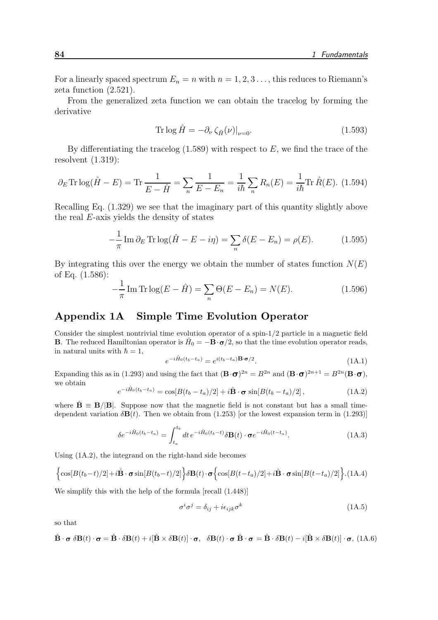For a linearly spaced spectrum  $E_n = n$  with  $n = 1, 2, 3, \ldots$ , this reduces to Riemann's zeta function (2.521).

From the generalized zeta function we can obtain the tracelog by forming the derivative

$$
\operatorname{Tr} \log \hat{H} = -\partial_{\nu} \zeta_{\hat{H}}(\nu)|_{\nu=0}.\tag{1.593}
$$

By differentiating the tracelog  $(1.589)$  with respect to E, we find the trace of the resolvent (1.319):

$$
\partial_E \text{Tr} \log(\hat{H} - E) = \text{Tr} \frac{1}{E - \hat{H}} = \sum_n \frac{1}{E - E_n} = \frac{1}{i\hbar} \sum_n R_n(E) = \frac{1}{i\hbar} \text{Tr} \hat{R}(E). \tag{1.594}
$$

Recalling Eq. (1.329) we see that the imaginary part of this quantity slightly above the real E-axis yields the density of states

$$
-\frac{1}{\pi}\operatorname{Im}\partial_E \operatorname{Tr}\log(\hat{H} - E - i\eta) = \sum_n \delta(E - E_n) = \rho(E). \tag{1.595}
$$

By integrating this over the energy we obtain the number of states function  $N(E)$ of Eq. (1.586):

$$
-\frac{1}{\pi}\operatorname{Im}\operatorname{Tr}\log(E-\hat{H}) = \sum_{n}\Theta(E-E_n) = N(E). \tag{1.596}
$$

# Appendix 1A Simple Time Evolution Operator

Consider the simplest nontrivial time evolution operator of a spin-1/2 particle in a magnetic field **B**. The reduced Hamiltonian operator is  $\hat{H}_0 = -\mathbf{B} \cdot \mathbf{\sigma}/2$ , so that the time evolution operator reads, in natural units with  $\hbar = 1$ ,

$$
e^{-i\hat{H}_0(t_b - t_a)} = e^{i(t_b - t_a)\mathbf{B} \cdot \boldsymbol{\sigma}/2}.
$$
\n(1A.1)

Expanding this as in (1.293) and using the fact that  $(\mathbf{B} \cdot \mathbf{\sigma})^{2n} = B^{2n}$  and  $(\mathbf{B} \cdot \mathbf{\sigma})^{2n+1} = B^{2n}(\mathbf{B} \cdot \mathbf{\sigma})$ , we obtain

$$
e^{-i\hat{H}_0(t_b - t_a)} = \cos[B(t_b - t_a)/2] + i\hat{\mathbf{B}} \cdot \boldsymbol{\sigma} \sin[B(t_b - t_a)/2], \qquad (1A.2)
$$

where  $\hat{\mathbf{B}} \equiv \mathbf{B}/|\mathbf{B}|$ . Suppose now that the magnetic field is not constant but has a small timedependent variation  $\delta \mathbf{B}(t)$ . Then we obtain from (1.253) [or the lowest expansion term in (1.293)]

$$
\delta e^{-i\hat{H}_0(t_b - t_a)} = \int_{t_a}^{t_b} dt \, e^{-i\hat{H}_0(t_b - t)} \delta \mathbf{B}(t) \cdot \boldsymbol{\sigma} e^{-i\hat{H}_0(t - t_a)}.
$$
\n(1A.3)

Using (1A.2), the integrand on the right-hand side becomes

$$
\left\{\cos[B(t_b-t)/2]+i\hat{\mathbf{B}}\cdot\boldsymbol{\sigma}\sin[B(t_b-t)/2]\right\}\delta\mathbf{B}(t)\cdot\boldsymbol{\sigma}\left\{\cos[B(t-t_a)/2]+i\hat{\mathbf{B}}\cdot\boldsymbol{\sigma}\sin[B(t-t_a)/2]\right\}.\tag{1A.4}
$$

We simplify this with the help of the formula [recall (1.448)]

$$
\sigma^i \sigma^j = \delta_{ij} + i \epsilon_{ijk} \sigma^k \tag{1A.5}
$$

so that

$$
\hat{\mathbf{B}} \cdot \mathbf{\sigma} \, \delta \mathbf{B}(t) \cdot \mathbf{\sigma} = \hat{\mathbf{B}} \cdot \delta \mathbf{B}(t) + i[\hat{\mathbf{B}} \times \delta \mathbf{B}(t)] \cdot \mathbf{\sigma}, \quad \delta \mathbf{B}(t) \cdot \mathbf{\sigma} \, \hat{\mathbf{B}} \cdot \mathbf{\sigma} = \hat{\mathbf{B}} \cdot \delta \mathbf{B}(t) - i[\hat{\mathbf{B}} \times \delta \mathbf{B}(t)] \cdot \mathbf{\sigma}, \tag{1A.6}
$$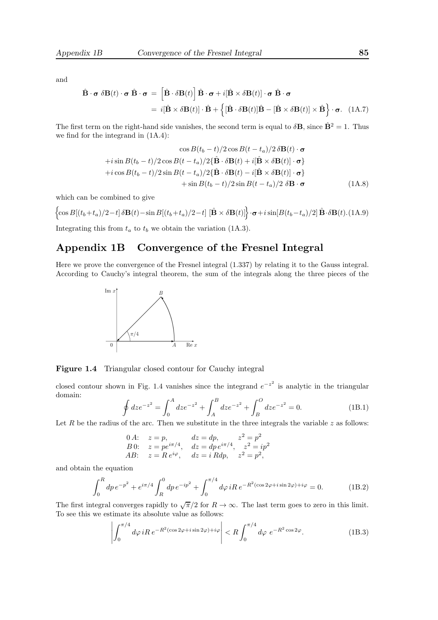and

$$
\hat{\mathbf{B}} \cdot \boldsymbol{\sigma} \, \delta \mathbf{B}(t) \cdot \boldsymbol{\sigma} \, \hat{\mathbf{B}} \cdot \boldsymbol{\sigma} = \left[ \hat{\mathbf{B}} \cdot \delta \mathbf{B}(t) \right] \hat{\mathbf{B}} \cdot \boldsymbol{\sigma} + i [\hat{\mathbf{B}} \times \delta \mathbf{B}(t)] \cdot \boldsymbol{\sigma} \, \hat{\mathbf{B}} \cdot \boldsymbol{\sigma} \n= i [\hat{\mathbf{B}} \times \delta \mathbf{B}(t)] \cdot \hat{\mathbf{B}} + \left\{ [\hat{\mathbf{B}} \cdot \delta \mathbf{B}(t)] \hat{\mathbf{B}} - [\hat{\mathbf{B}} \times \delta \mathbf{B}(t)] \times \hat{\mathbf{B}} \right\} \cdot \boldsymbol{\sigma}. \quad (1A.7)
$$

The first term on the right-hand side vanishes, the second term is equal to  $\delta \mathbf{B}$ , since  $\hat{\mathbf{B}}^2 = 1$ . Thus we find for the integrand in (1A.4):

$$
\cos B(t_b - t)/2 \cos B(t - t_a)/2 \delta \mathbf{B}(t) \cdot \boldsymbol{\sigma}
$$
  
+ $i \sin B(t_b - t)/2 \cos B(t - t_a)/2 {\hat{\mathbf{B}} \cdot \delta \mathbf{B}(t) + i [\hat{\mathbf{B}} \times \delta \mathbf{B}(t)] \cdot \boldsymbol{\sigma}}$   
+ $i \cos B(t_b - t)/2 \sin B(t - t_a)/2 {\hat{\mathbf{B}} \cdot \delta \mathbf{B}(t) - i [\hat{\mathbf{B}} \times \delta \mathbf{B}(t)] \cdot \boldsymbol{\sigma}}$   
+ $\sin B(t_b - t)/2 \sin B(t - t_a)/2 \delta \mathbf{B} \cdot \boldsymbol{\sigma}$  (1A.8)

which can be combined to give

$$
\left\{ \cos B[(t_b + t_a)/2 - t] \, \delta \mathbf{B}(t) - \sin B[(t_b + t_a)/2 - t] \, \left[ \hat{\mathbf{B}} \times \delta \mathbf{B}(t) \right] \right\} \cdot \sigma + i \sin[B(t_b - t_a)/2] \, \hat{\mathbf{B}} \cdot \delta \mathbf{B}(t). \tag{1A.9}
$$

Integrating this from  $t_a$  to  $t_b$  we obtain the variation (1A.3).

# Appendix 1B Convergence of the Fresnel Integral

Here we prove the convergence of the Fresnel integral (1.337) by relating it to the Gauss integral. According to Cauchy's integral theorem, the sum of the integrals along the three pieces of the



Figure 1.4 Triangular closed contour for Cauchy integral

closed contour shown in Fig. 1.4 vanishes since the integrand  $e^{-z^2}$  is analytic in the triangular domain:

$$
\oint dz e^{-z^2} = \int_0^A dz e^{-z^2} + \int_A^B dz e^{-z^2} + \int_B^O dz e^{-z^2} = 0.
$$
\n(1B.1)

Let R be the radius of the arc. Then we substitute in the three integrals the variable  $z$  as follows:

0 A: 
$$
z = p
$$
,  $dz = dp$ ,  $z^2 = p^2$   
\nB 0:  $z = pe^{i\pi/4}$ ,  $dz = dp e^{i\pi/4}$ ,  $z^2 = ip^2$   
\nAB:  $z = Re^{i\varphi}$ ,  $dz = i Rdp$ ,  $z^2 = p^2$ ,

and obtain the equation

$$
\int_0^R dp \, e^{-p^2} + e^{i\pi/4} \int_R^0 dp \, e^{-ip^2} + \int_0^{\pi/4} d\varphi \, iR \, e^{-R^2(\cos 2\varphi + i\sin 2\varphi) + i\varphi} = 0. \tag{1B.2}
$$

The first integral converges rapidly to  $\sqrt{\pi}/2$  for  $R \to \infty$ . The last term goes to zero in this limit. To see this we estimate its absolute value as follows:

$$
\left| \int_0^{\pi/4} d\varphi \, iR \, e^{-R^2(\cos 2\varphi + i\sin 2\varphi) + i\varphi} \right| < R \int_0^{\pi/4} d\varphi \, e^{-R^2 \cos 2\varphi} . \tag{1B.3}
$$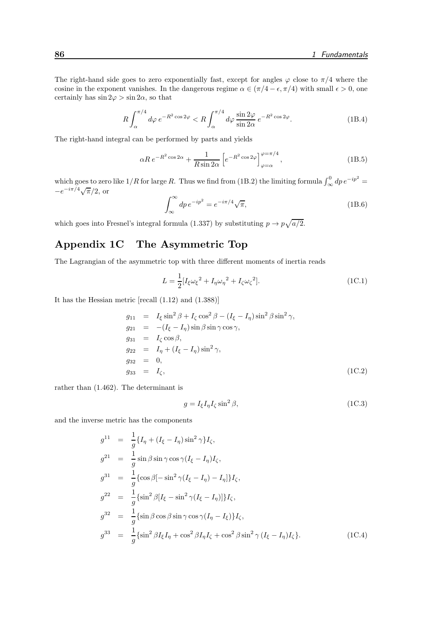The right-hand side goes to zero exponentially fast, except for angles  $\varphi$  close to  $\pi/4$  where the cosine in the exponent vanishes. In the dangerous regime  $\alpha \in (\pi/4 - \epsilon, \pi/4)$  with small  $\epsilon > 0$ , one certainly has  $\sin 2\varphi > \sin 2\alpha$ , so that

$$
R\int_{\alpha}^{\pi/4} d\varphi \, e^{-R^2 \cos 2\varphi} < R\int_{\alpha}^{\pi/4} d\varphi \, \frac{\sin 2\varphi}{\sin 2\alpha} \, e^{-R^2 \cos 2\varphi}.\tag{1B.4}
$$

The right-hand integral can be performed by parts and yields

$$
\alpha R e^{-R^2 \cos 2\alpha} + \frac{1}{R \sin 2\alpha} \left[ e^{-R^2 \cos 2\varphi} \right]_{\varphi = \alpha}^{\varphi = \pi/4}, \tag{1B.5}
$$

which goes to zero like  $1/R$  for large R. Thus we find from (1B.2) the limiting formula  $\int_{\infty}^{0} dp e^{-ip^2} =$  $-e^{-i\pi/4}\sqrt{\pi/2}$ , or

$$
\int_{\infty}^{\infty} dp e^{-ip^2} = e^{-i\pi/4} \sqrt{\pi},\qquad(1B.6)
$$

which goes into Fresnel's integral formula (1.337) by substituting  $p \to p\sqrt{a/2}$ .

# Appendix 1C The Asymmetric Top

The Lagrangian of the asymmetric top with three different moments of inertia reads

$$
L = \frac{1}{2} [I_{\xi} \omega_{\xi}^{2} + I_{\eta} \omega_{\eta}^{2} + I_{\zeta} \omega_{\zeta}^{2}].
$$
 (1C.1)

It has the Hessian metric [recall (1.12) and (1.388)]

$$
g_{11} = I_{\xi} \sin^2 \beta + I_{\zeta} \cos^2 \beta - (I_{\xi} - I_{\eta}) \sin^2 \beta \sin^2 \gamma,
$$
  
\n
$$
g_{21} = -(I_{\xi} - I_{\eta}) \sin \beta \sin \gamma \cos \gamma,
$$
  
\n
$$
g_{31} = I_{\zeta} \cos \beta,
$$
  
\n
$$
g_{22} = I_{\eta} + (I_{\xi} - I_{\eta}) \sin^2 \gamma,
$$
  
\n
$$
g_{32} = 0,
$$
  
\n
$$
g_{33} = I_{\zeta},
$$
  
\n(1C.2)

rather than (1.462). The determinant is

$$
g = I_{\xi} I_{\eta} I_{\zeta} \sin^2 \beta, \tag{1C.3}
$$

and the inverse metric has the components

$$
g^{11} = \frac{1}{g} \{I_{\eta} + (I_{\xi} - I_{\eta}) \sin^2 \gamma\} I_{\zeta},
$$
  
\n
$$
g^{21} = \frac{1}{g} \sin \beta \sin \gamma \cos \gamma (I_{\xi} - I_{\eta}) I_{\zeta},
$$
  
\n
$$
g^{31} = \frac{1}{g} \{ \cos \beta [-\sin^2 \gamma (I_{\xi} - I_{\eta}) - I_{\eta}] \} I_{\zeta},
$$
  
\n
$$
g^{22} = \frac{1}{g} \{ \sin^2 \beta [I_{\xi} - \sin^2 \gamma (I_{\xi} - I_{\eta})] \} I_{\zeta},
$$
  
\n
$$
g^{32} = \frac{1}{g} \{ \sin \beta \cos \beta \sin \gamma \cos \gamma (I_{\eta} - I_{\xi}) \} I_{\zeta},
$$
  
\n
$$
g^{33} = \frac{1}{g} \{ \sin^2 \beta I_{\xi} I_{\eta} + \cos^2 \beta I_{\eta} I_{\zeta} + \cos^2 \beta \sin^2 \gamma (I_{\xi} - I_{\eta}) I_{\zeta} \}.
$$
\n(1C.4)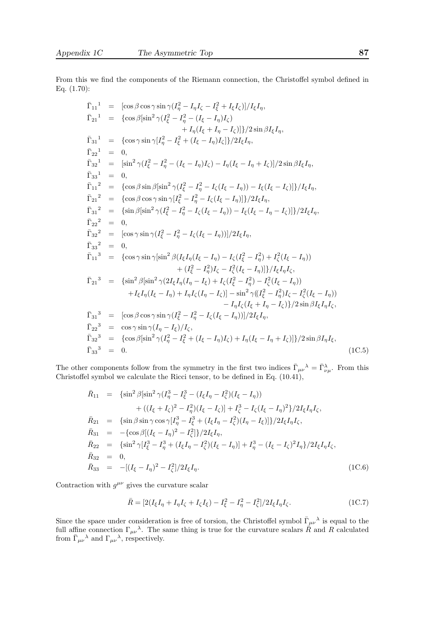From this we find the components of the Riemann connection, the Christoffel symbol defined in Eq. (1.70):

$$
\begin{array}{rcl}\n\bar{\Gamma}_{11}^{11} & = & \left[\cos\beta\cos\gamma\sin\gamma(I_{\eta}^{2} - I_{\eta}I_{\zeta} - I_{\xi}^{2} + I_{\xi}I_{\zeta}\right)\right]/I_{\xi}I_{\eta}, \\
\bar{\Gamma}_{21}^{11} & = & \left\{\cos\beta\left[\sin^{2}\gamma(I_{\xi}^{2} - I_{\eta}^{2} - (I_{\xi} - I_{\eta})I_{\zeta}\right)\right. \\
& & \left. + I_{\eta}(I_{\xi} + I_{\eta} - I_{\zeta})\right]/2\sin\beta I_{\xi}I_{\eta}, \\
\bar{\Gamma}_{22}^{11} & = & 0, \\
\bar{\Gamma}_{32}^{11} & = & \left[\sin^{2}\gamma(I_{\xi}^{2} - I_{\eta}^{2} - (I_{\xi} - I_{\eta})I_{\zeta}\right] - I_{\eta}(I_{\xi} - I_{\eta} + I_{\zeta})\right]/2\sin\beta I_{\xi}I_{\eta}, \\
\bar{\Gamma}_{33}^{1} & = & 0, \\
\bar{\Gamma}_{11}^{2} & = & \left\{\cos\beta\sin\beta\left[\sin^{2}\gamma(I_{\xi}^{2} - I_{\eta}^{2} - I_{\zeta}(I_{\xi} - I_{\eta})\right) - I_{\xi}(I_{\xi} - I_{\zeta})\right]\right]/I_{\xi}I_{\eta}, \\
\bar{\Gamma}_{21}^{2} & = & \left\{\cos\beta\cos\gamma\sin\gamma[I_{\xi}^{2} - I_{\eta}^{2} - I_{\zeta}(I_{\xi} - I_{\eta})\right]\right)/2I_{\xi}I_{\eta}, \\
\bar{\Gamma}_{22}^{2} & = & 0, \\
\bar{\Gamma}_{32}^{2} & = & \left[\cos\gamma\sin\gamma(I_{\xi}^{2} - I_{\eta}^{2} - I_{\zeta}(I_{\xi} - I_{\eta})\right]/2I_{\xi}I_{\eta}, \\
\bar{\Gamma}_{22}^{2} & = & 0, \\
\bar{\Gamma}_{32}^{2} & = & \left[\cos\gamma\sin\gamma(I_{\xi}^{2} - I_{\eta}^{2} - I_{\zeta}(I_{\xi} - I_{\eta})\right]/2I_{\xi}I_{\eta}, \\
\bar{\Gamma}_{33}^{2} & = & 0, \\
\bar{\Gamma}_{13}^{3} & = & \left\{\
$$

The other components follow from the symmetry in the first two indices  $\bar{\Gamma}_{\mu\nu}{}^{\lambda} = \bar{\Gamma}_{\nu\mu}^{\lambda}$ . From this Christoffel symbol we calculate the Ricci tensor, to be defined in Eq. (10.41),

$$
\bar{R}_{11} = \{ \sin^2 \beta [\sin^2 \gamma (I_{\eta}^3 - I_{\xi}^2 - (I_{\xi} I_{\eta} - I_{\zeta}^2)(I_{\xi} - I_{\eta})) \newline + ((I_{\xi} + I_{\zeta})^2 - I_{\eta}^2)(I_{\xi} - I_{\zeta})] + I_{\zeta}^3 - I_{\zeta}(I_{\xi} - I_{\eta})^2 \} / 2I_{\xi} I_{\eta} I_{\zeta},
$$
\n
$$
\bar{R}_{21} = \{ \sin \beta \sin \gamma \cos \gamma [I_{\eta}^3 - I_{\xi}^3 + (I_{\xi} I_{\eta} - I_{\zeta}^2)(I_{\eta} - I_{\xi})] \} / 2I_{\xi} I_{\eta} I_{\zeta},
$$
\n
$$
\bar{R}_{31} = -\{ \cos \beta [(I_{\xi} - I_{\eta})^2 - I_{\zeta}^2] \} / 2I_{\xi} I_{\eta},
$$
\n
$$
\bar{R}_{22} = \{ \sin^2 \gamma [I_{\xi}^3 - I_{\eta}^3 + (I_{\xi} I_{\eta} - I_{\zeta}^2)(I_{\xi} - I_{\eta})] + I_{\eta}^3 - (I_{\xi} - I_{\zeta})^2 I_{\eta} \} / 2I_{\xi} I_{\eta} I_{\zeta},
$$
\n
$$
\bar{R}_{32} = 0,
$$
\n
$$
\bar{R}_{33} = -[(I_{\xi} - I_{\eta})^2 - I_{\zeta}^2] / 2I_{\xi} I_{\eta}.
$$
\n(1C.6)

Contraction with  $g^{\mu\nu}$  gives the curvature scalar

$$
\bar{R} = [2(I_{\xi}I_{\eta} + I_{\eta}I_{\zeta} + I_{\zeta}I_{\xi}) - I_{\xi}^{2} - I_{\eta}^{2} - I_{\zeta}^{2}]/2I_{\xi}I_{\eta}I_{\zeta}.
$$
\n(1C.7)

Since the space under consideration is free of torsion, the Christoffel symbol  $\bar{\Gamma}_{\mu\nu}{}^{\lambda}$  is equal to the full affine connection  $\Gamma_{\mu\nu}{}^{\lambda}$ . The same thing is true for the curvature scalars  $\dot{\bar{R}}$  and R calculated from  $\bar{\Gamma}_{\mu\nu}{}^{\lambda}$  and  $\Gamma_{\mu\nu}{}^{\lambda}$ , respectively.